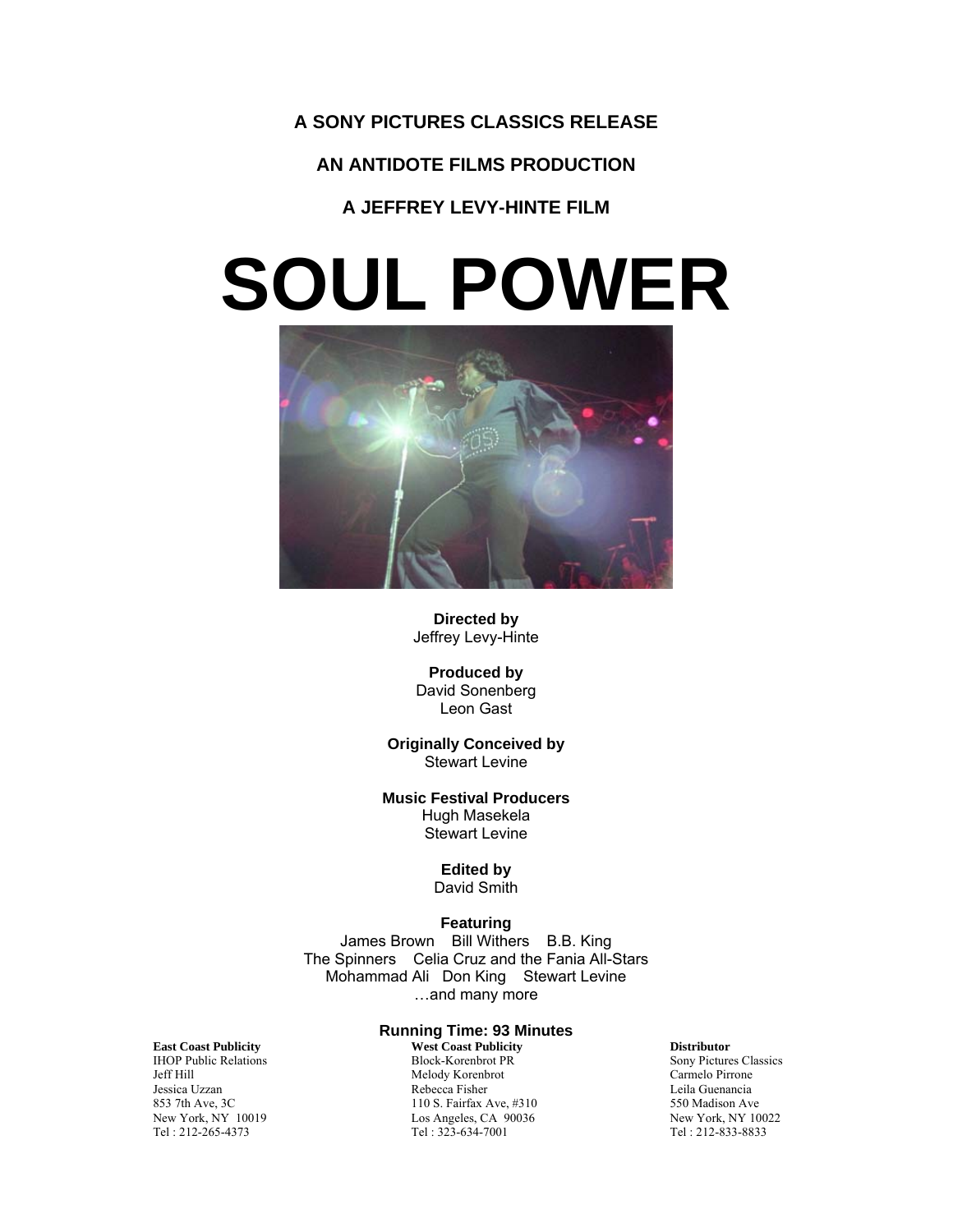# **A SONY PICTURES CLASSICS RELEASE**

## **AN ANTIDOTE FILMS PRODUCTION**

# **A JEFFREY LEVY-HINTE FILM**

# **SOUL POWER**



**Directed by**  Jeffrey Levy-Hinte

**Produced by**  David Sonenberg Leon Gast

**Originally Conceived by**  Stewart Levine

**Music Festival Producers**  Hugh Masekela Stewart Levine

> **Edited by**  David Smith

#### **Featuring**

James Brown Bill Withers B.B. King The Spinners Celia Cruz and the Fania All-Stars Mohammad Ali Don King Stewart Levine …and many more

#### **Running Time: 93 Minutes**

#### **East Coast Publicity**

IHOP Public Relations Jeff Hill Jessica Uzzan 853 7th Ave, 3C New York, NY 10019 Tel : 212-265-4373

 **West Coast Publicity**  Block-Korenbrot PR Melody Korenbrot Rebecca Fisher 110 S. Fairfax Ave, #310 Los Angeles, CA 90036 Tel : 323-634-7001

 **Distributor** 

Sony Pictures Classics Carmelo Pirrone Leila Guenancia 550 Madison Ave New York, NY 10022 Tel : 212-833-8833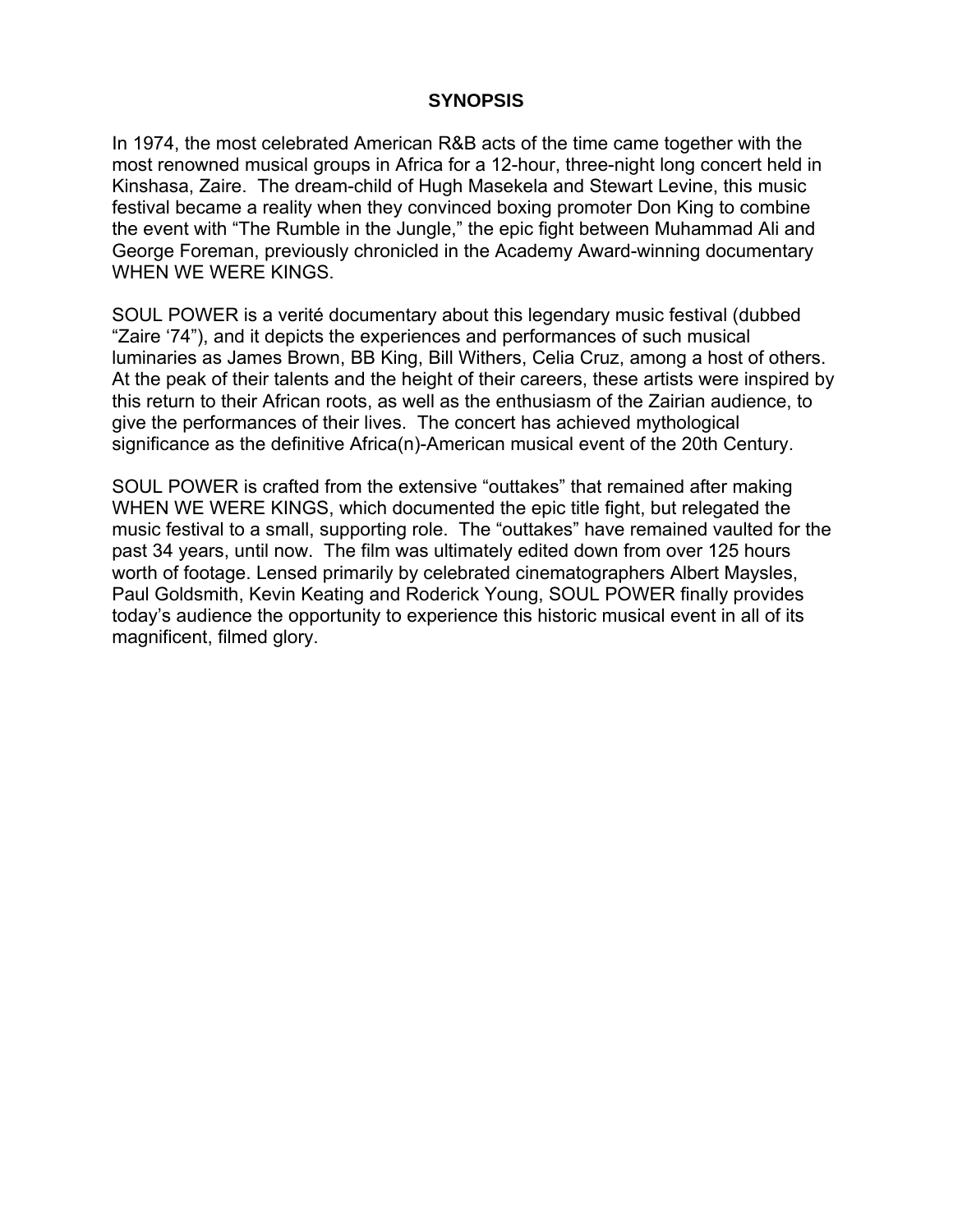## **SYNOPSIS**

In 1974, the most celebrated American R&B acts of the time came together with the most renowned musical groups in Africa for a 12-hour, three-night long concert held in Kinshasa, Zaire. The dream-child of Hugh Masekela and Stewart Levine, this music festival became a reality when they convinced boxing promoter Don King to combine the event with "The Rumble in the Jungle," the epic fight between Muhammad Ali and George Foreman, previously chronicled in the Academy Award-winning documentary WHEN WE WERE KINGS.

SOUL POWER is a verité documentary about this legendary music festival (dubbed "Zaire '74"), and it depicts the experiences and performances of such musical luminaries as James Brown, BB King, Bill Withers, Celia Cruz, among a host of others. At the peak of their talents and the height of their careers, these artists were inspired by this return to their African roots, as well as the enthusiasm of the Zairian audience, to give the performances of their lives. The concert has achieved mythological significance as the definitive Africa(n)-American musical event of the 20th Century.

SOUL POWER is crafted from the extensive "outtakes" that remained after making WHEN WE WERE KINGS, which documented the epic title fight, but relegated the music festival to a small, supporting role. The "outtakes" have remained vaulted for the past 34 years, until now. The film was ultimately edited down from over 125 hours worth of footage. Lensed primarily by celebrated cinematographers Albert Maysles, Paul Goldsmith, Kevin Keating and Roderick Young, SOUL POWER finally provides today's audience the opportunity to experience this historic musical event in all of its magnificent, filmed glory.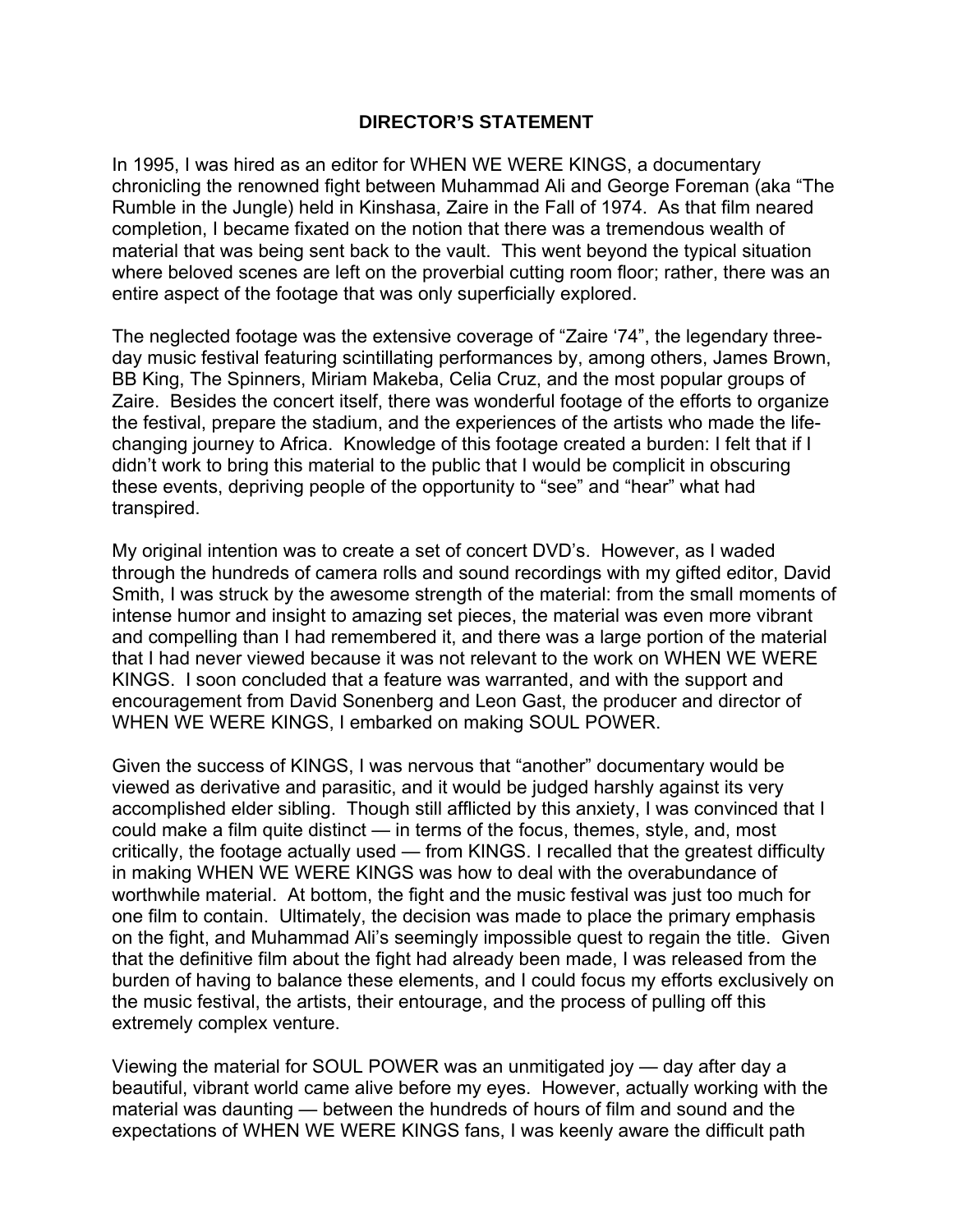# **DIRECTOR'S STATEMENT**

In 1995, I was hired as an editor for WHEN WE WERE KINGS, a documentary chronicling the renowned fight between Muhammad Ali and George Foreman (aka "The Rumble in the Jungle) held in Kinshasa, Zaire in the Fall of 1974. As that film neared completion, I became fixated on the notion that there was a tremendous wealth of material that was being sent back to the vault. This went beyond the typical situation where beloved scenes are left on the proverbial cutting room floor; rather, there was an entire aspect of the footage that was only superficially explored.

The neglected footage was the extensive coverage of "Zaire '74", the legendary threeday music festival featuring scintillating performances by, among others, James Brown, BB King, The Spinners, Miriam Makeba, Celia Cruz, and the most popular groups of Zaire. Besides the concert itself, there was wonderful footage of the efforts to organize the festival, prepare the stadium, and the experiences of the artists who made the lifechanging journey to Africa. Knowledge of this footage created a burden: I felt that if I didn't work to bring this material to the public that I would be complicit in obscuring these events, depriving people of the opportunity to "see" and "hear" what had transpired.

My original intention was to create a set of concert DVD's. However, as I waded through the hundreds of camera rolls and sound recordings with my gifted editor, David Smith, I was struck by the awesome strength of the material: from the small moments of intense humor and insight to amazing set pieces, the material was even more vibrant and compelling than I had remembered it, and there was a large portion of the material that I had never viewed because it was not relevant to the work on WHEN WE WERE KINGS. I soon concluded that a feature was warranted, and with the support and encouragement from David Sonenberg and Leon Gast, the producer and director of WHEN WE WERE KINGS, I embarked on making SOUL POWER.

Given the success of KINGS, I was nervous that "another" documentary would be viewed as derivative and parasitic, and it would be judged harshly against its very accomplished elder sibling. Though still afflicted by this anxiety, I was convinced that I could make a film quite distinct — in terms of the focus, themes, style, and, most critically, the footage actually used — from KINGS. I recalled that the greatest difficulty in making WHEN WE WERE KINGS was how to deal with the overabundance of worthwhile material. At bottom, the fight and the music festival was just too much for one film to contain. Ultimately, the decision was made to place the primary emphasis on the fight, and Muhammad Ali's seemingly impossible quest to regain the title. Given that the definitive film about the fight had already been made, I was released from the burden of having to balance these elements, and I could focus my efforts exclusively on the music festival, the artists, their entourage, and the process of pulling off this extremely complex venture.

Viewing the material for SOUL POWER was an unmitigated joy — day after day a beautiful, vibrant world came alive before my eyes. However, actually working with the material was daunting — between the hundreds of hours of film and sound and the expectations of WHEN WE WERE KINGS fans, I was keenly aware the difficult path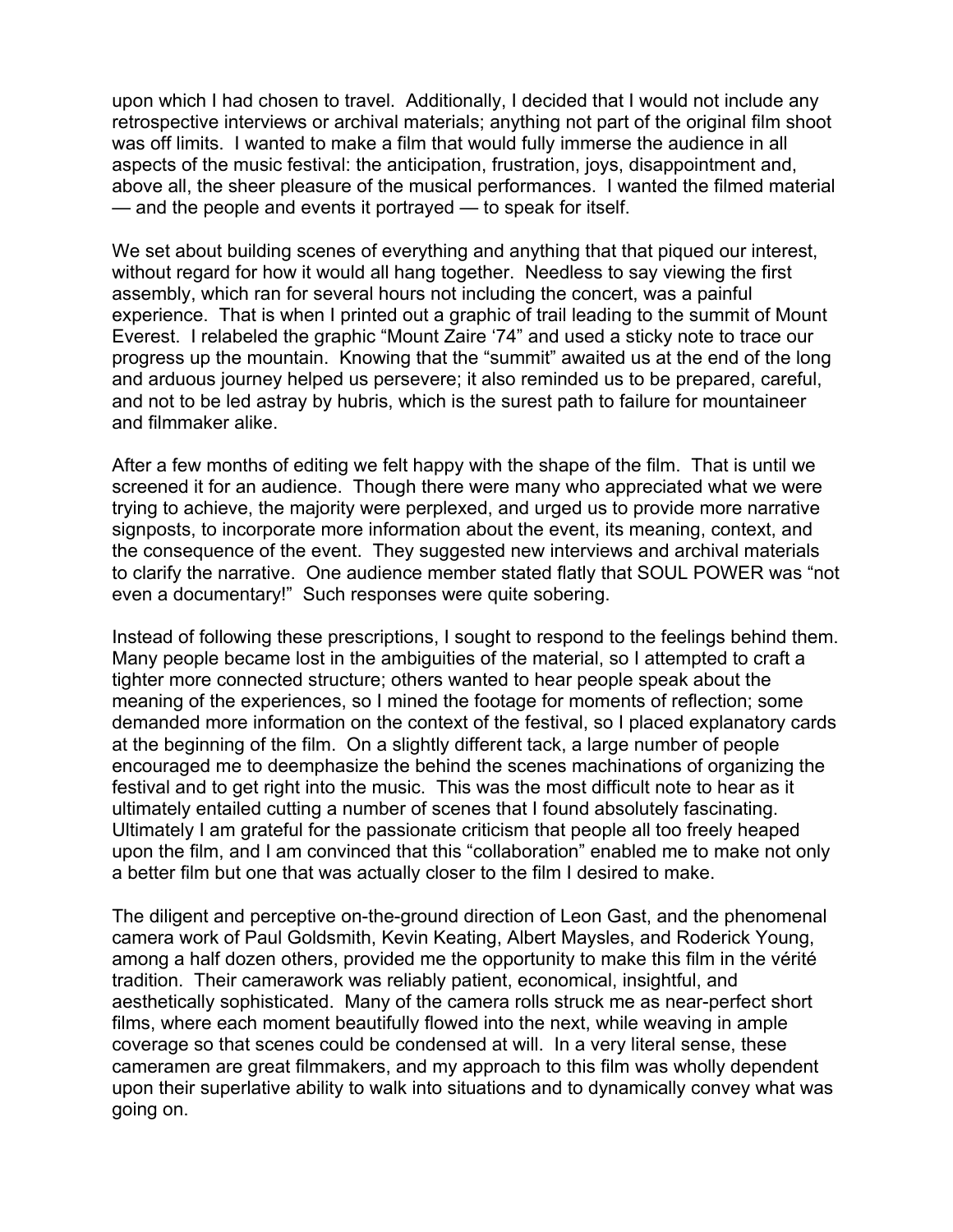upon which I had chosen to travel. Additionally, I decided that I would not include any retrospective interviews or archival materials; anything not part of the original film shoot was off limits. I wanted to make a film that would fully immerse the audience in all aspects of the music festival: the anticipation, frustration, joys, disappointment and, above all, the sheer pleasure of the musical performances. I wanted the filmed material — and the people and events it portrayed — to speak for itself.

We set about building scenes of everything and anything that that piqued our interest, without regard for how it would all hang together. Needless to say viewing the first assembly, which ran for several hours not including the concert, was a painful experience. That is when I printed out a graphic of trail leading to the summit of Mount Everest. I relabeled the graphic "Mount Zaire '74" and used a sticky note to trace our progress up the mountain. Knowing that the "summit" awaited us at the end of the long and arduous journey helped us persevere; it also reminded us to be prepared, careful, and not to be led astray by hubris, which is the surest path to failure for mountaineer and filmmaker alike.

After a few months of editing we felt happy with the shape of the film. That is until we screened it for an audience. Though there were many who appreciated what we were trying to achieve, the majority were perplexed, and urged us to provide more narrative signposts, to incorporate more information about the event, its meaning, context, and the consequence of the event. They suggested new interviews and archival materials to clarify the narrative. One audience member stated flatly that SOUL POWER was "not even a documentary!" Such responses were quite sobering.

Instead of following these prescriptions, I sought to respond to the feelings behind them. Many people became lost in the ambiguities of the material, so I attempted to craft a tighter more connected structure; others wanted to hear people speak about the meaning of the experiences, so I mined the footage for moments of reflection; some demanded more information on the context of the festival, so I placed explanatory cards at the beginning of the film. On a slightly different tack, a large number of people encouraged me to deemphasize the behind the scenes machinations of organizing the festival and to get right into the music. This was the most difficult note to hear as it ultimately entailed cutting a number of scenes that I found absolutely fascinating. Ultimately I am grateful for the passionate criticism that people all too freely heaped upon the film, and I am convinced that this "collaboration" enabled me to make not only a better film but one that was actually closer to the film I desired to make.

The diligent and perceptive on-the-ground direction of Leon Gast, and the phenomenal camera work of Paul Goldsmith, Kevin Keating, Albert Maysles, and Roderick Young, among a half dozen others, provided me the opportunity to make this film in the vérité tradition. Their camerawork was reliably patient, economical, insightful, and aesthetically sophisticated. Many of the camera rolls struck me as near-perfect short films, where each moment beautifully flowed into the next, while weaving in ample coverage so that scenes could be condensed at will. In a very literal sense, these cameramen are great filmmakers, and my approach to this film was wholly dependent upon their superlative ability to walk into situations and to dynamically convey what was going on.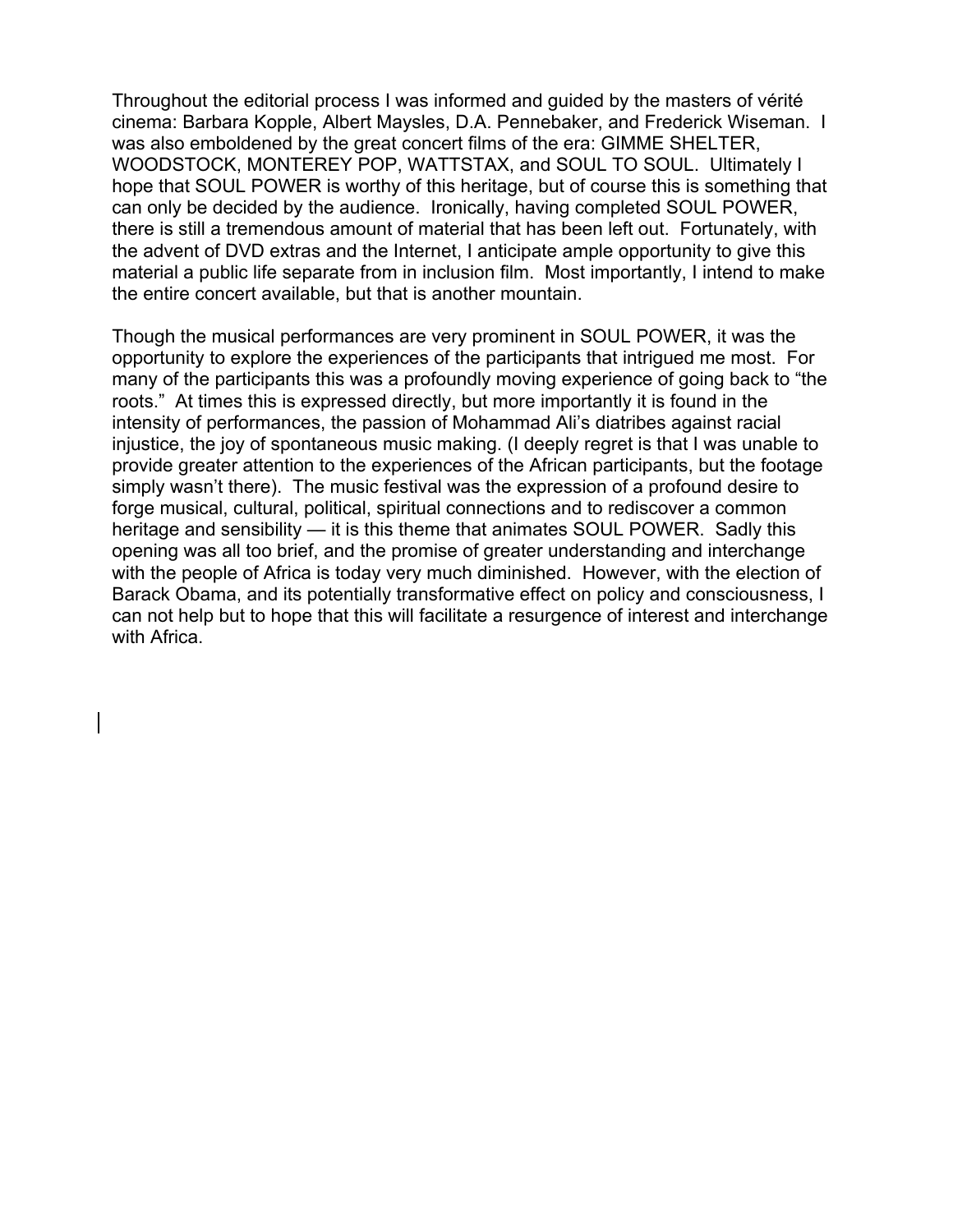Throughout the editorial process I was informed and guided by the masters of vérité cinema: Barbara Kopple, Albert Maysles, D.A. Pennebaker, and Frederick Wiseman. I was also emboldened by the great concert films of the era: GIMME SHELTER, WOODSTOCK, MONTEREY POP, WATTSTAX, and SOUL TO SOUL. Ultimately I hope that SOUL POWER is worthy of this heritage, but of course this is something that can only be decided by the audience. Ironically, having completed SOUL POWER, there is still a tremendous amount of material that has been left out. Fortunately, with the advent of DVD extras and the Internet, I anticipate ample opportunity to give this material a public life separate from in inclusion film. Most importantly, I intend to make the entire concert available, but that is another mountain.

Though the musical performances are very prominent in SOUL POWER, it was the opportunity to explore the experiences of the participants that intrigued me most. For many of the participants this was a profoundly moving experience of going back to "the roots." At times this is expressed directly, but more importantly it is found in the intensity of performances, the passion of Mohammad Ali's diatribes against racial injustice, the joy of spontaneous music making. (I deeply regret is that I was unable to provide greater attention to the experiences of the African participants, but the footage simply wasn't there). The music festival was the expression of a profound desire to forge musical, cultural, political, spiritual connections and to rediscover a common heritage and sensibility — it is this theme that animates SOUL POWER. Sadly this opening was all too brief, and the promise of greater understanding and interchange with the people of Africa is today very much diminished. However, with the election of Barack Obama, and its potentially transformative effect on policy and consciousness, I can not help but to hope that this will facilitate a resurgence of interest and interchange with Africa.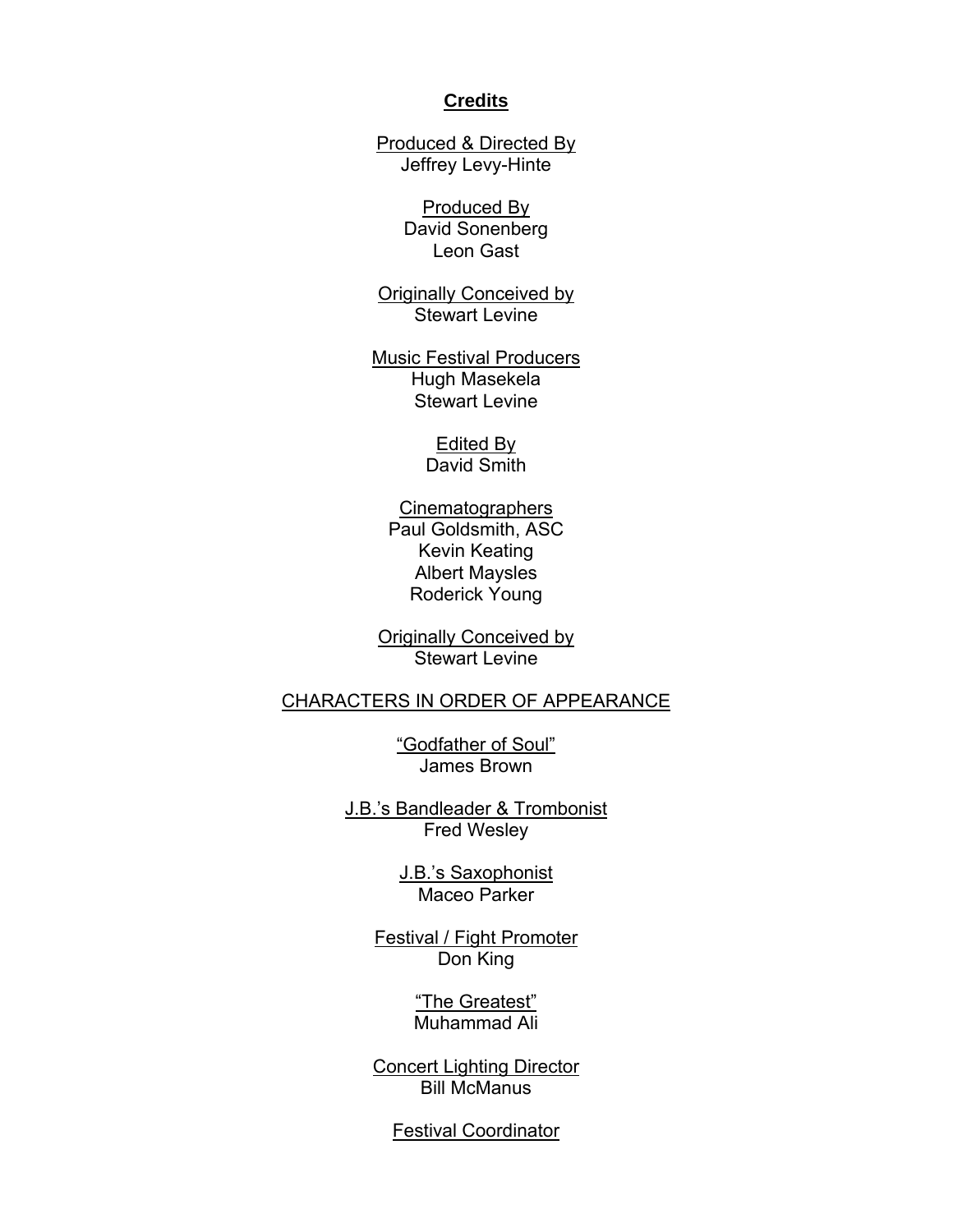## **Credits**

Produced & Directed By Jeffrey Levy-Hinte

> Produced By David Sonenberg Leon Gast

Originally Conceived by Stewart Levine

Music Festival Producers Hugh Masekela Stewart Levine

## Edited By David Smith

Cinematographers Paul Goldsmith, ASC Kevin Keating Albert Maysles Roderick Young

Originally Conceived by Stewart Levine

# CHARACTERS IN ORDER OF APPEARANCE

"Godfather of Soul" James Brown

J.B.'s Bandleader & Trombonist Fred Wesley

> J.B.'s Saxophonist Maceo Parker

Festival / Fight Promoter Don King

> "The Greatest" Muhammad Ali

Concert Lighting Director Bill McManus

Festival Coordinator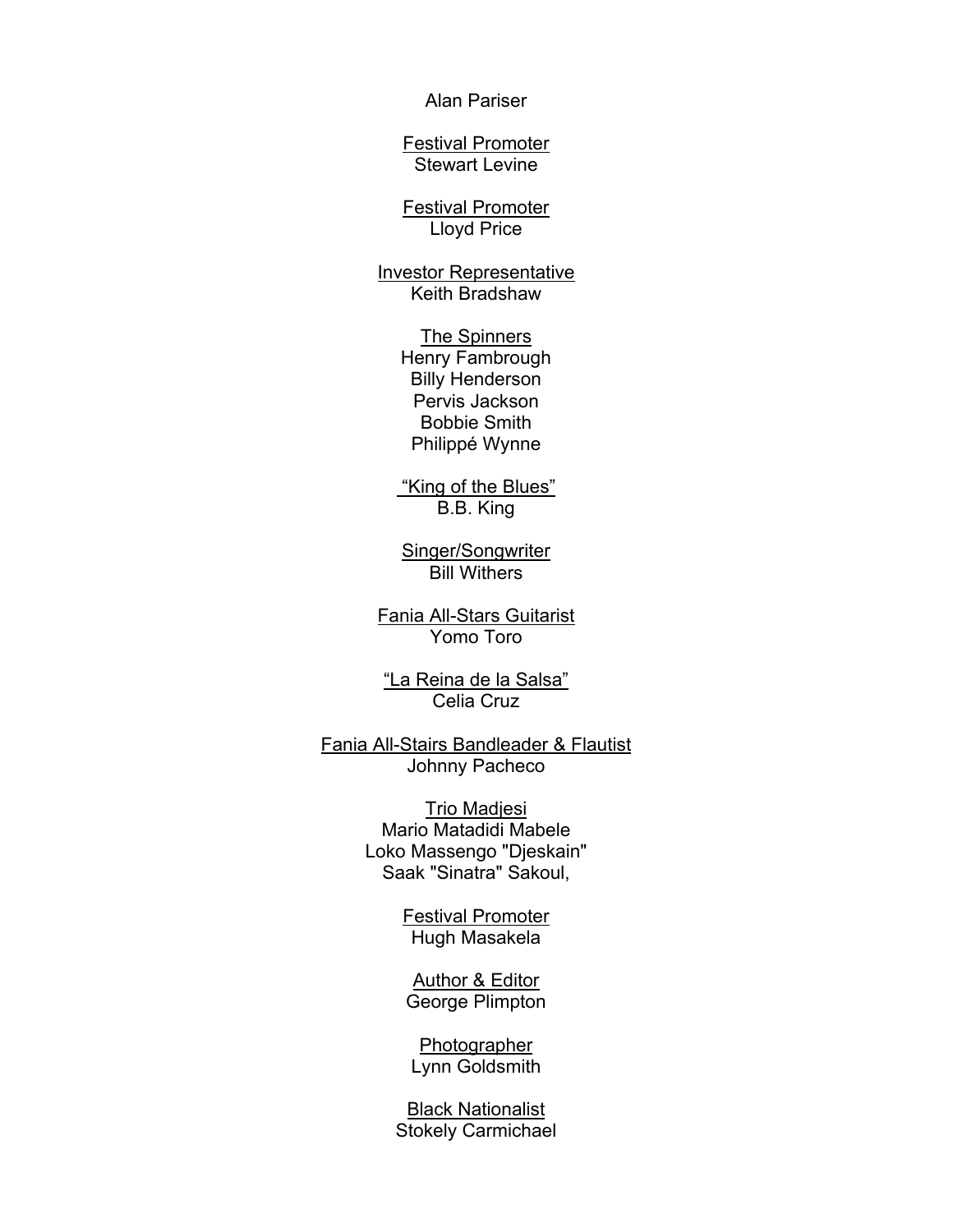Alan Pariser

Festival Promoter Stewart Levine

Festival Promoter Lloyd Price

Investor Representative Keith Bradshaw

> The Spinners Henry Fambrough Billy Henderson Pervis Jackson Bobbie Smith Philippé Wynne

 "King of the Blues" B.B. King

Singer/Songwriter Bill Withers

Fania All-Stars Guitarist Yomo Toro

"La Reina de la Salsa" Celia Cruz

Fania All-Stairs Bandleader & Flautist Johnny Pacheco

> Trio Madjesi Mario Matadidi Mabele Loko Massengo "Djeskain" Saak "Sinatra" Sakoul,

> > Festival Promoter Hugh Masakela

Author & Editor George Plimpton

Photographer Lynn Goldsmith

Black Nationalist Stokely Carmichael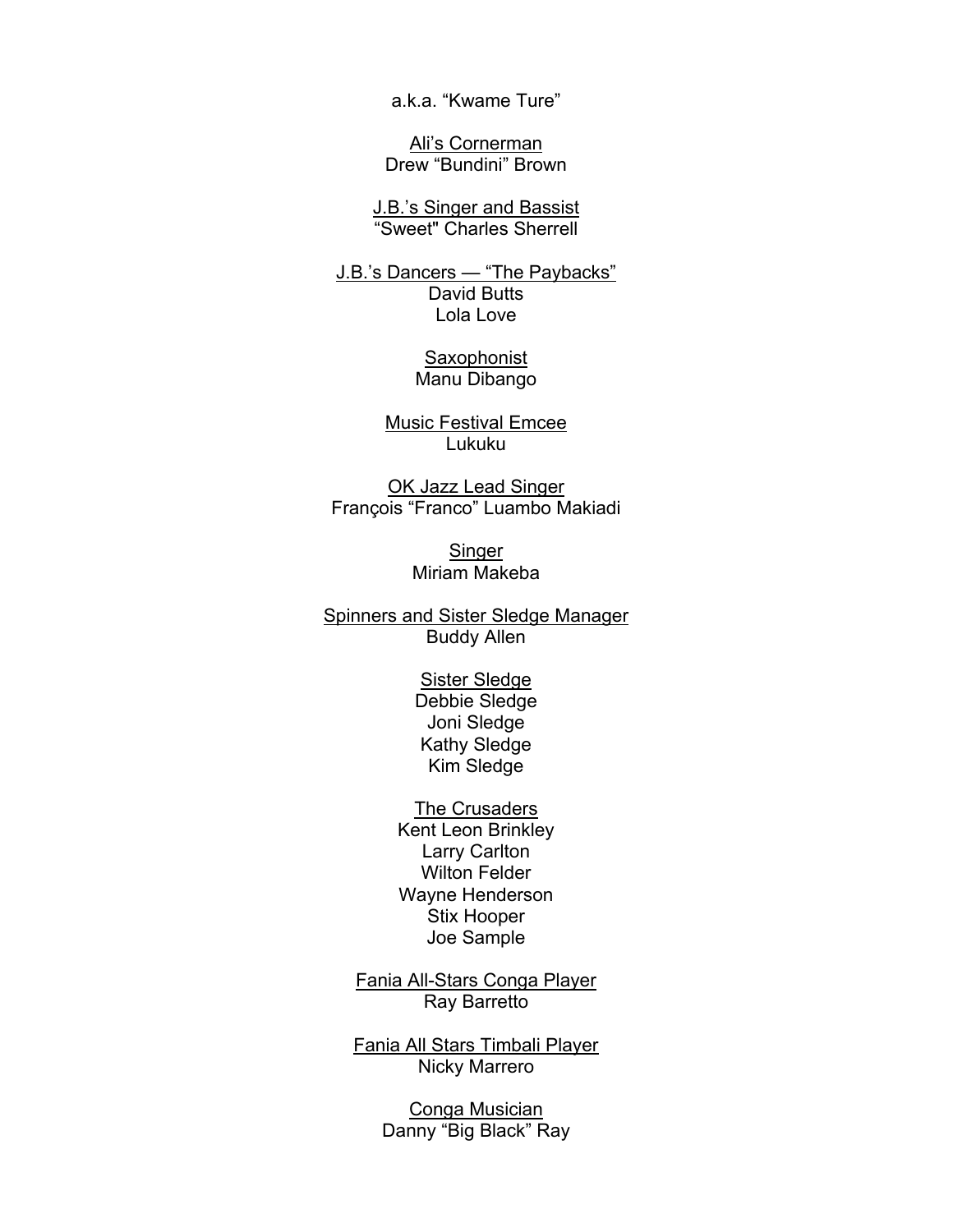a.k.a. "Kwame Ture"

Ali's Cornerman Drew "Bundini" Brown

J.B.'s Singer and Bassist "Sweet" Charles Sherrell

J.B.'s Dancers — "The Paybacks" David Butts Lola Love

> Saxophonist Manu Dibango

Music Festival Emcee Lukuku

OK Jazz Lead Singer François "Franco" Luambo Makiadi

> **Singer** Miriam Makeba

Spinners and Sister Sledge Manager Buddy Allen

- Sister Sledge Debbie Sledge Joni Sledge Kathy Sledge Kim Sledge
- **The Crusaders** Kent Leon Brinkley Larry Carlton Wilton Felder Wayne Henderson Stix Hooper Joe Sample

Fania All-Stars Conga Player Ray Barretto

Fania All Stars Timbali Player Nicky Marrero

> Conga Musician Danny "Big Black" Ray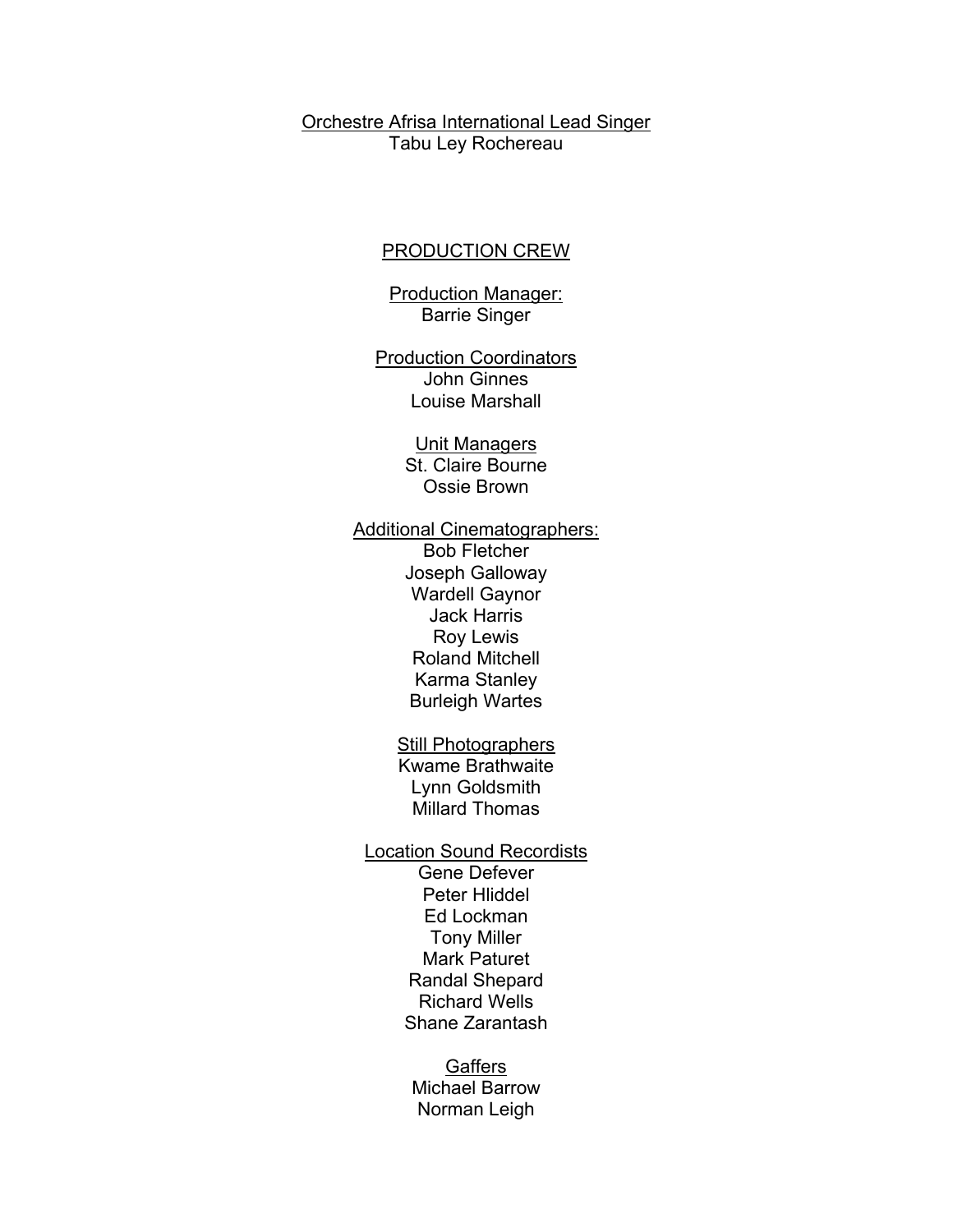## Orchestre Afrisa International Lead Singer Tabu Ley Rochereau

### PRODUCTION CREW

Production Manager: Barrie Singer

Production Coordinators John Ginnes Louise Marshall

> Unit Managers St. Claire Bourne Ossie Brown

## Additional Cinematographers:

Bob Fletcher Joseph Galloway Wardell Gaynor Jack Harris Roy Lewis Roland Mitchell Karma Stanley Burleigh Wartes

Still Photographers Kwame Brathwaite Lynn Goldsmith Millard Thomas

Location Sound Recordists Gene Defever Peter Hliddel Ed Lockman Tony Miller Mark Paturet Randal Shepard Richard Wells

Shane Zarantash

**Gaffers** Michael Barrow Norman Leigh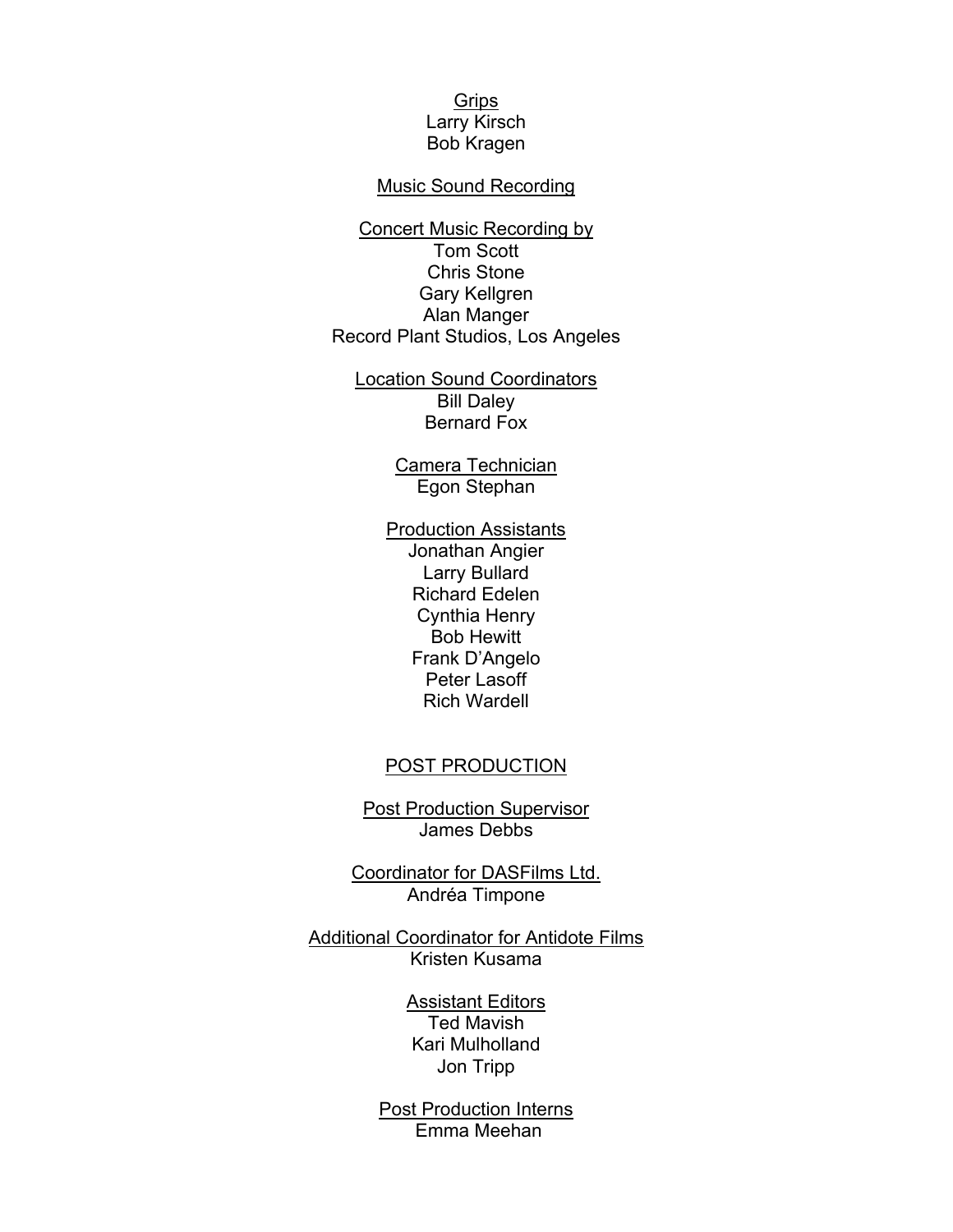## Grips Larry Kirsch Bob Kragen

#### Music Sound Recording

Concert Music Recording by Tom Scott Chris Stone Gary Kellgren Alan Manger Record Plant Studios, Los Angeles

Location Sound Coordinators Bill Daley Bernard Fox

> Camera Technician Egon Stephan

**Production Assistants** Jonathan Angier Larry Bullard Richard Edelen Cynthia Henry Bob Hewitt Frank D'Angelo Peter Lasoff Rich Wardell

#### POST PRODUCTION

**Post Production Supervisor** James Debbs

Coordinator for DASFilms Ltd. Andréa Timpone

Additional Coordinator for Antidote Films Kristen Kusama

> Assistant Editors Ted Mavish Kari Mulholland Jon Tripp

Post Production Interns Emma Meehan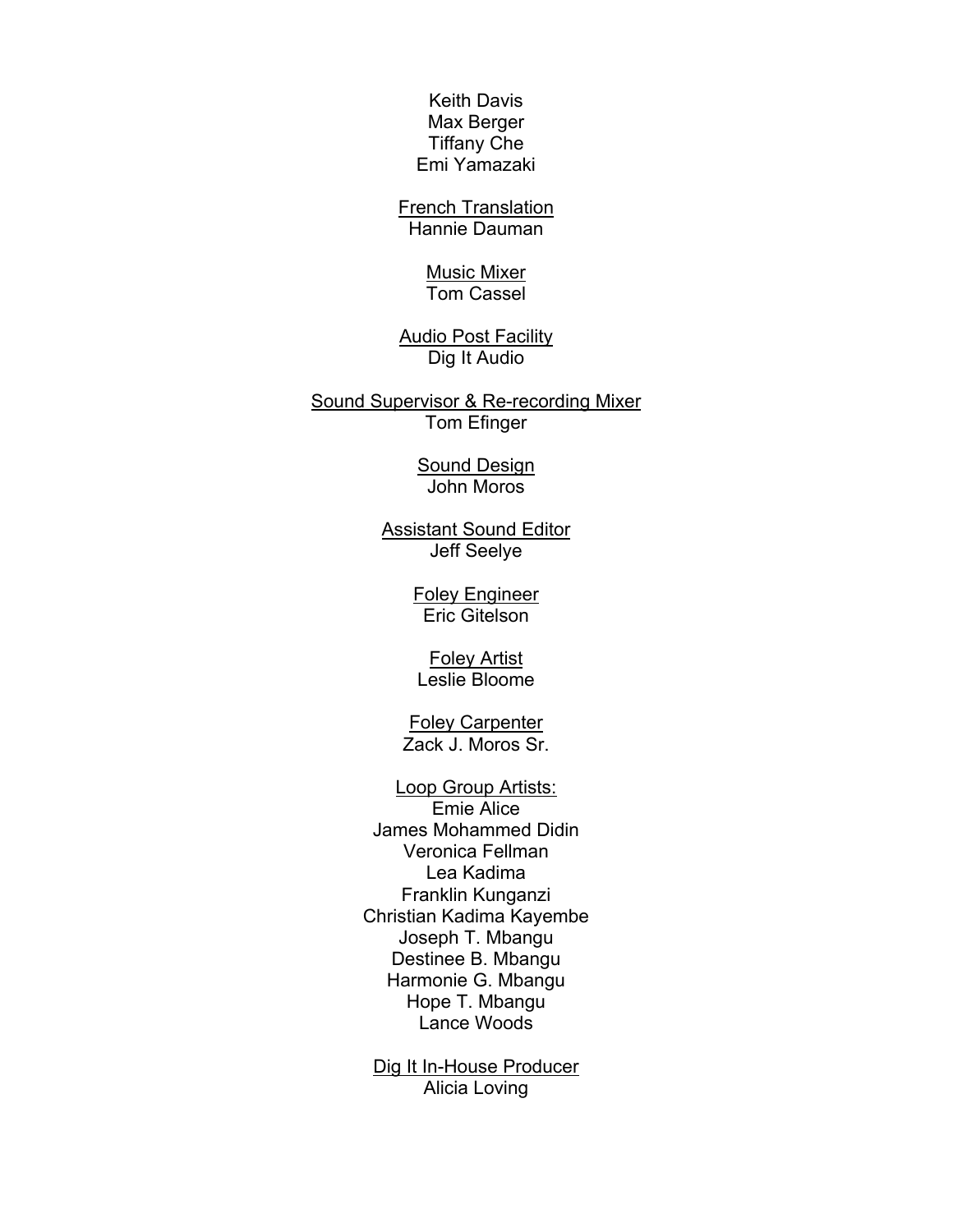Keith Davis Max Berger Tiffany Che Emi Yamazaki

French Translation Hannie Dauman

> Music Mixer Tom Cassel

Audio Post Facility Dig It Audio

Sound Supervisor & Re-recording Mixer Tom Efinger

> Sound Design John Moros

Assistant Sound Editor Jeff Seelye

> Foley Engineer Eric Gitelson

Foley Artist Leslie Bloome

Foley Carpenter Zack J. Moros Sr.

Loop Group Artists: Emie Alice James Mohammed Didin Veronica Fellman Lea Kadima Franklin Kunganzi Christian Kadima Kayembe Joseph T. Mbangu Destinee B. Mbangu Harmonie G. Mbangu Hope T. Mbangu Lance Woods

Dig It In-House Producer Alicia Loving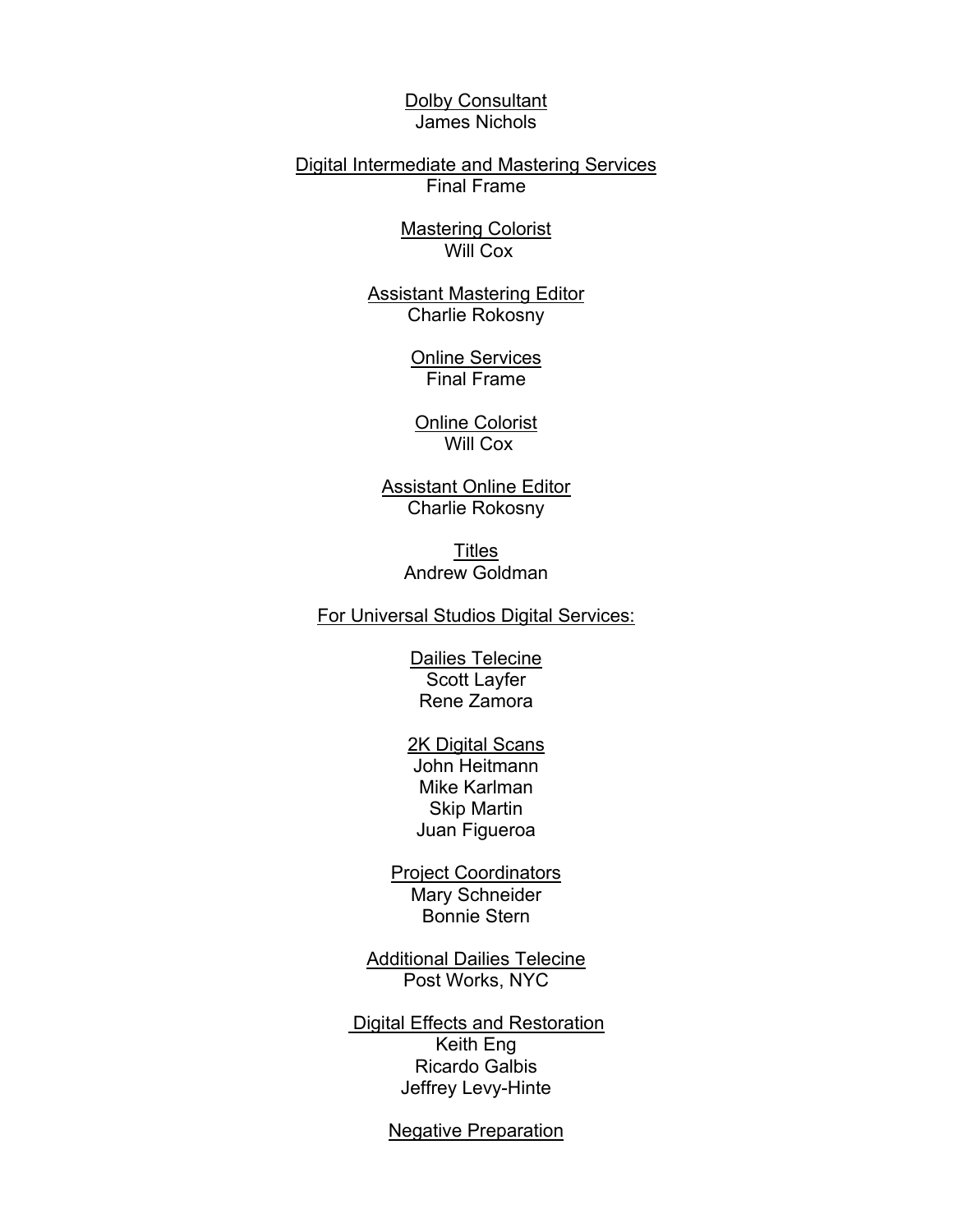**Dolby Consultant** James Nichols

Digital Intermediate and Mastering Services Final Frame

> **Mastering Colorist** Will Cox

**Assistant Mastering Editor** Charlie Rokosny

> Online Services Final Frame

**Online Colorist** Will Cox

Assistant Online Editor Charlie Rokosny

> **Titles** Andrew Goldman

For Universal Studios Digital Services:

Dailies Telecine Scott Layfer Rene Zamora

## 2K Digital Scans John Heitmann Mike Karlman Skip Martin Juan Figueroa

Project Coordinators Mary Schneider Bonnie Stern

Additional Dailies Telecine Post Works, NYC

**Digital Effects and Restoration** Keith Eng Ricardo Galbis Jeffrey Levy-Hinte

Negative Preparation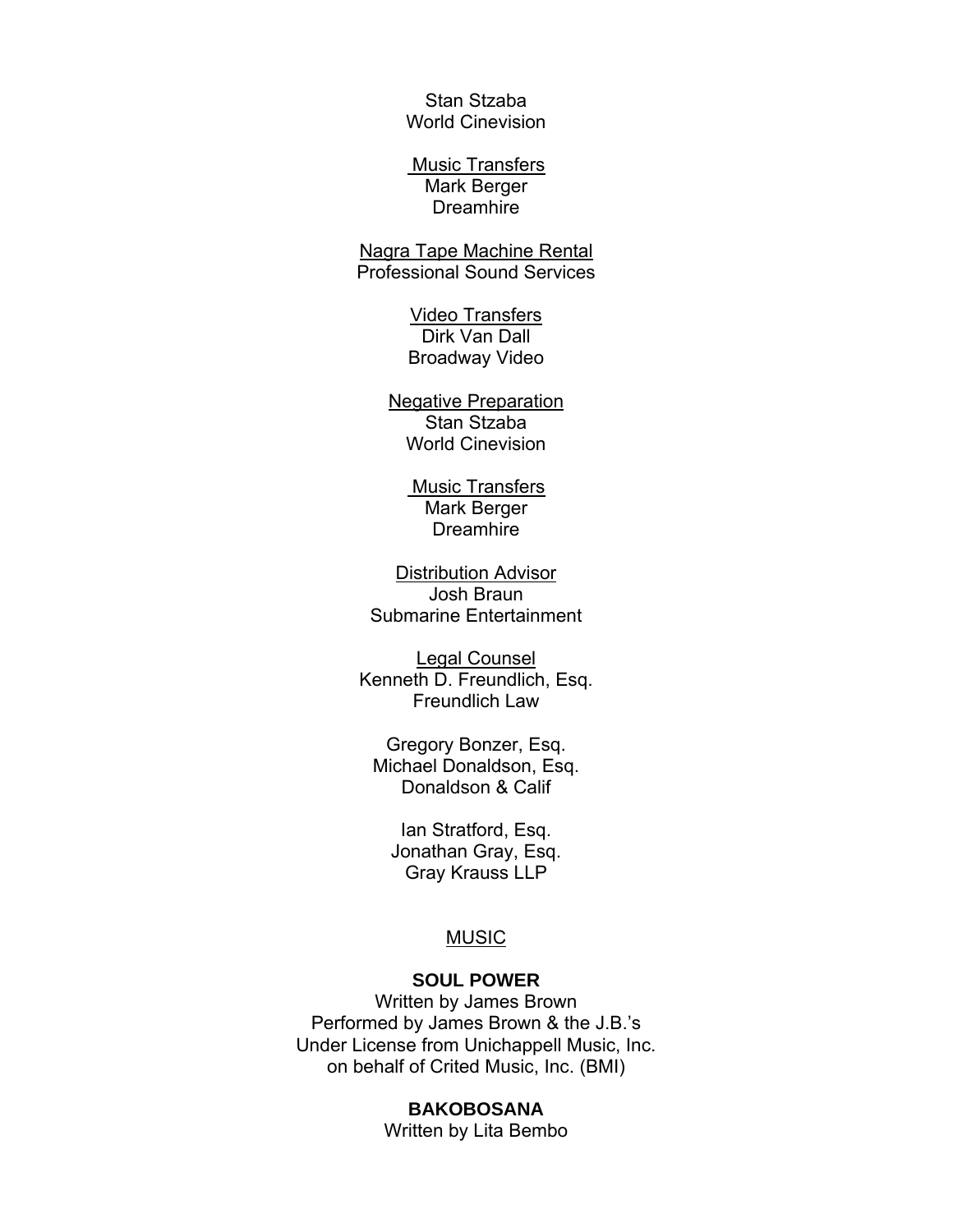Stan Stzaba World Cinevision

**Music Transfers** Mark Berger **Dreamhire** 

Nagra Tape Machine Rental Professional Sound Services

> Video Transfers Dirk Van Dall Broadway Video

Negative Preparation Stan Stzaba World Cinevision

> **Music Transfers** Mark Berger **Dreamhire**

Distribution Advisor Josh Braun Submarine Entertainment

Legal Counsel Kenneth D. Freundlich, Esq. Freundlich Law

Gregory Bonzer, Esq. Michael Donaldson, Esq. Donaldson & Calif

Ian Stratford, Esq. Jonathan Gray, Esq. Gray Krauss LLP

## **MUSIC**

#### **SOUL POWER**

Written by James Brown Performed by James Brown & the J.B.'s Under License from Unichappell Music, Inc. on behalf of Crited Music, Inc. (BMI)

#### **BAKOBOSANA**  Written by Lita Bembo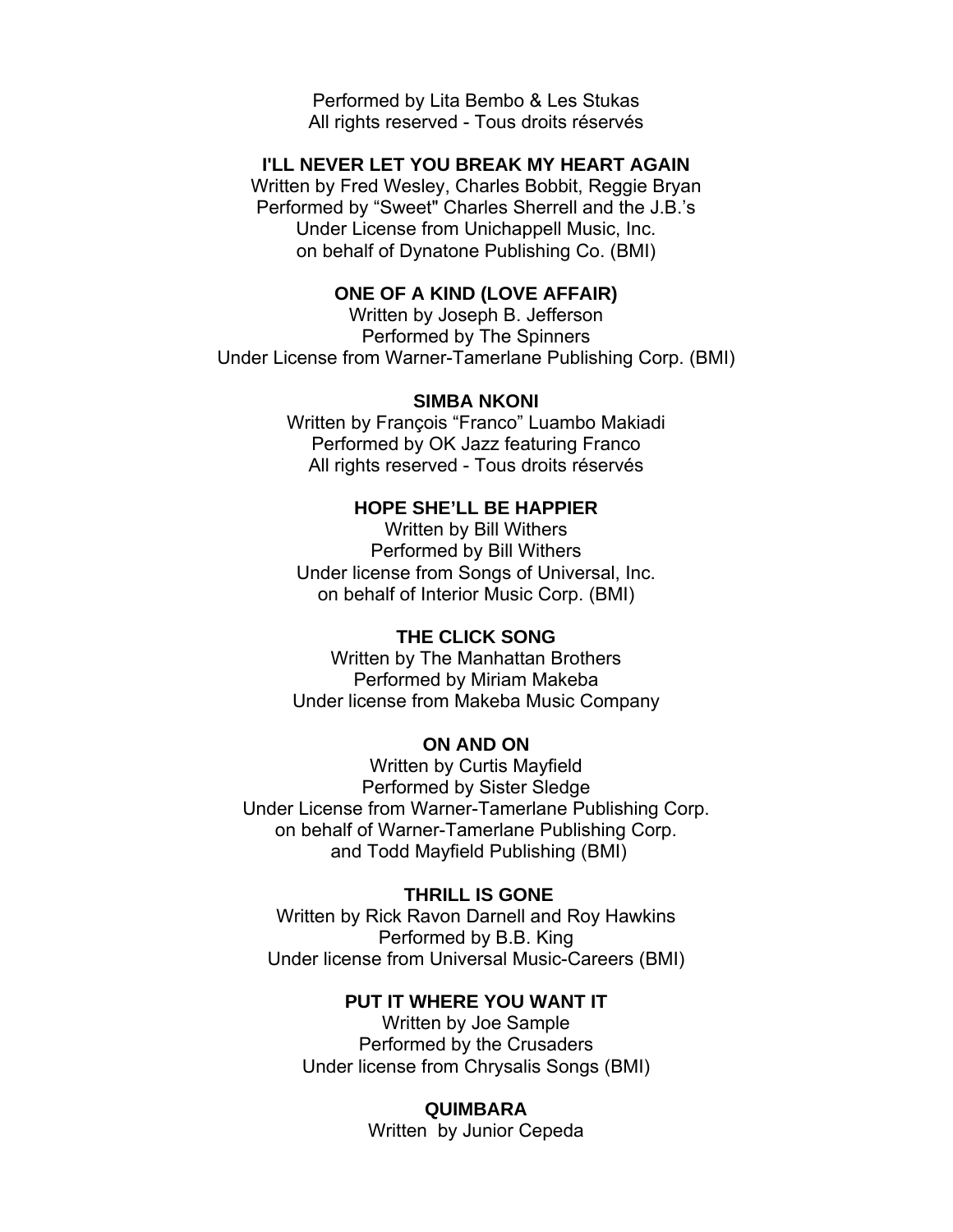Performed by Lita Bembo & Les Stukas All rights reserved - Tous droits réservés

## **I'LL NEVER LET YOU BREAK MY HEART AGAIN**

Written by Fred Wesley, Charles Bobbit, Reggie Bryan Performed by "Sweet" Charles Sherrell and the J.B.'s Under License from Unichappell Music, Inc. on behalf of Dynatone Publishing Co. (BMI)

## **ONE OF A KIND (LOVE AFFAIR)**

Written by Joseph B. Jefferson Performed by The Spinners Under License from Warner-Tamerlane Publishing Corp. (BMI)

#### **SIMBA NKONI**

Written by François "Franco" Luambo Makiadi Performed by OK Jazz featuring Franco All rights reserved - Tous droits réservés

## **HOPE SHE'LL BE HAPPIER**

Written by Bill Withers Performed by Bill Withers Under license from Songs of Universal, Inc. on behalf of Interior Music Corp. (BMI)

#### **THE CLICK SONG**

Written by The Manhattan Brothers Performed by Miriam Makeba Under license from Makeba Music Company

## **ON AND ON**

Written by Curtis Mayfield Performed by Sister Sledge Under License from Warner-Tamerlane Publishing Corp. on behalf of Warner-Tamerlane Publishing Corp. and Todd Mayfield Publishing (BMI)

#### **THRILL IS GONE**

Written by Rick Ravon Darnell and Roy Hawkins Performed by B.B. King Under license from Universal Music-Careers (BMI)

# **PUT IT WHERE YOU WANT IT**

Written by Joe Sample Performed by the Crusaders Under license from Chrysalis Songs (BMI)

#### **QUIMBARA**

Written by Junior Cepeda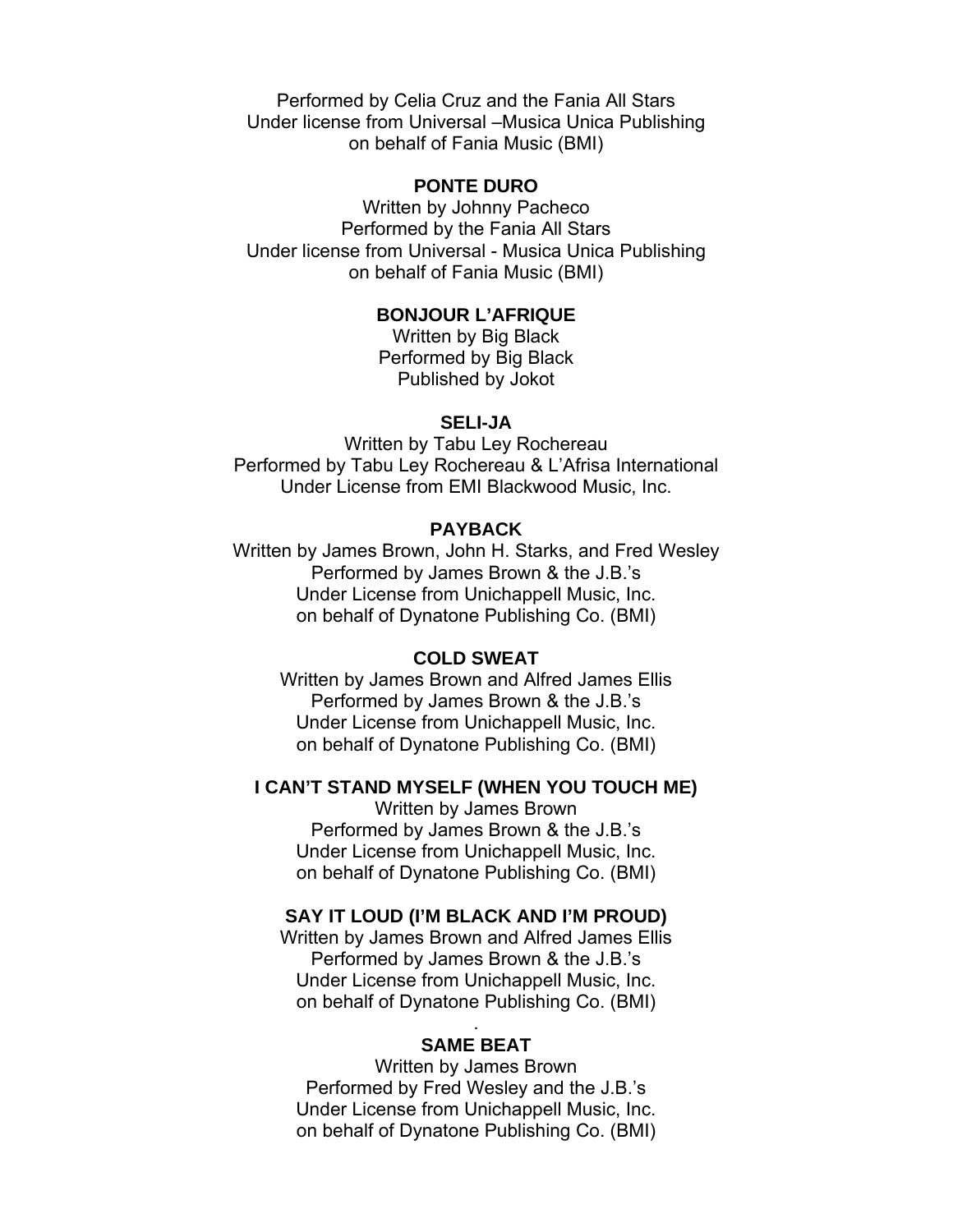Performed by Celia Cruz and the Fania All Stars Under license from Universal –Musica Unica Publishing on behalf of Fania Music (BMI)

#### **PONTE DURO**

Written by Johnny Pacheco Performed by the Fania All Stars Under license from Universal - Musica Unica Publishing on behalf of Fania Music (BMI)

#### **BONJOUR L'AFRIQUE**

Written by Big Black Performed by Big Black Published by Jokot

#### **SELI-JA**

Written by Tabu Ley Rochereau Performed by Tabu Ley Rochereau & L'Afrisa International Under License from EMI Blackwood Music, Inc.

## **PAYBACK**

Written by James Brown, John H. Starks, and Fred Wesley Performed by James Brown & the J.B.'s Under License from Unichappell Music, Inc. on behalf of Dynatone Publishing Co. (BMI)

#### **COLD SWEAT**

Written by James Brown and Alfred James Ellis Performed by James Brown & the J.B.'s Under License from Unichappell Music, Inc. on behalf of Dynatone Publishing Co. (BMI)

## **I CAN'T STAND MYSELF (WHEN YOU TOUCH ME)**

Written by James Brown Performed by James Brown & the J.B.'s Under License from Unichappell Music, Inc. on behalf of Dynatone Publishing Co. (BMI)

#### **SAY IT LOUD (I'M BLACK AND I'M PROUD)**

Written by James Brown and Alfred James Ellis Performed by James Brown & the J.B.'s Under License from Unichappell Music, Inc. on behalf of Dynatone Publishing Co. (BMI)

## . **SAME BEAT**

Written by James Brown Performed by Fred Wesley and the J.B.'s Under License from Unichappell Music, Inc. on behalf of Dynatone Publishing Co. (BMI)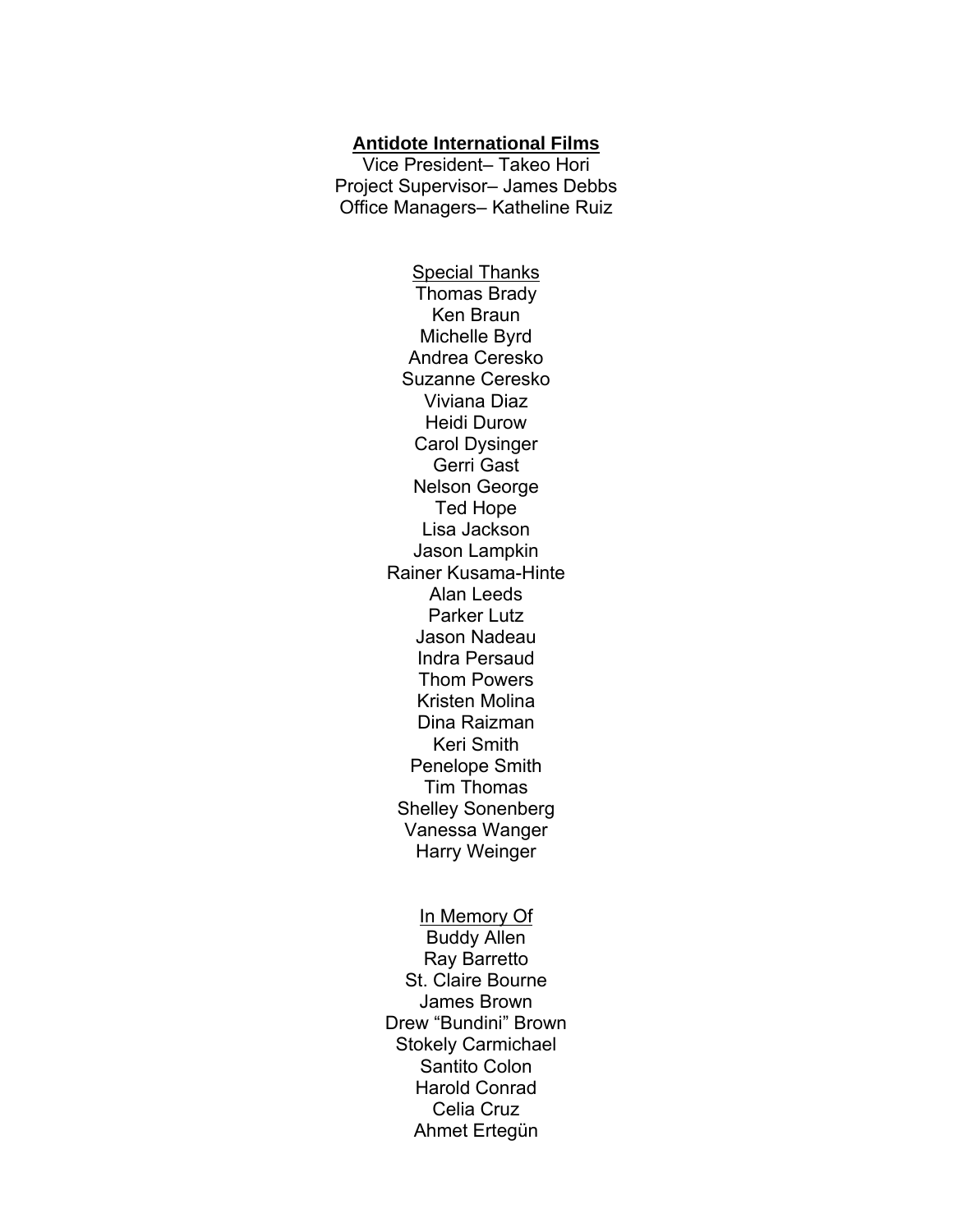## **Antidote International Films**

Vice President– Takeo Hori Project Supervisor– James Debbs Office Managers– Katheline Ruiz

> **Special Thanks** Thomas Brady Ken Braun Michelle Byrd Andrea Ceresko Suzanne Ceresko Viviana Diaz Heidi Durow Carol Dysinger Gerri Gast Nelson George Ted Hope Lisa Jackson Jason Lampkin Rainer Kusama-Hinte Alan Leeds Parker Lutz Jason Nadeau Indra Persaud Thom Powers Kristen Molina Dina Raizman Keri Smith Penelope Smith Tim Thomas Shelley Sonenberg Vanessa Wanger Harry Weinger

In Memory Of Buddy Allen Ray Barretto St. Claire Bourne James Brown Drew "Bundini" Brown Stokely Carmichael Santito Colon Harold Conrad Celia Cruz Ahmet Ertegün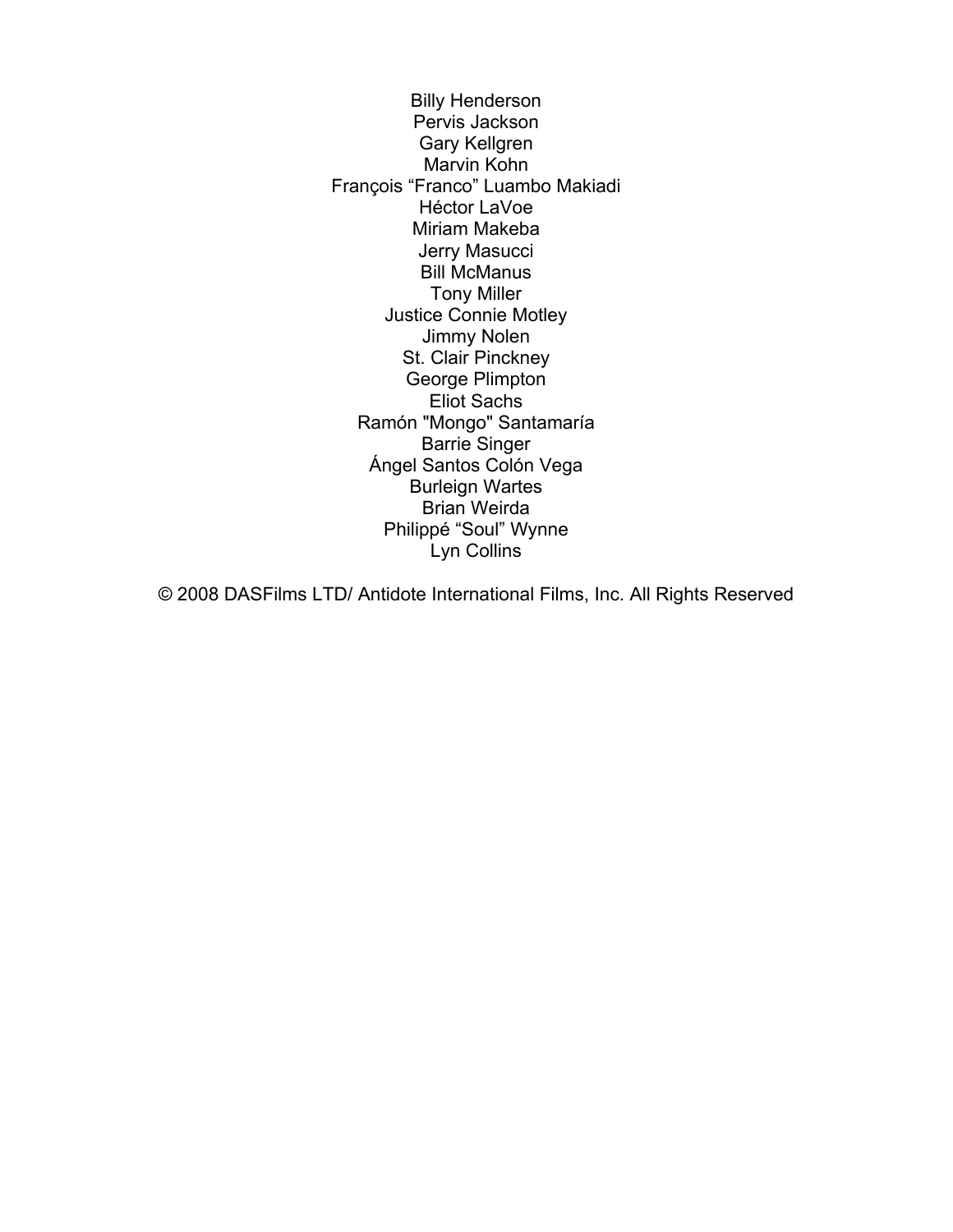Billy Henderson Pervis Jackson Gary Kellgren Marvin Kohn François "Franco" Luambo Makiadi Héctor LaVoe Miriam Makeba Jerry Masucci Bill McManus Tony Miller Justice Connie Motley Jimmy Nolen St. Clair Pinckney George Plimpton Eliot Sachs Ramón "Mongo" Santamaría Barrie Singer Ángel Santos Colón Vega Burleign Wartes Brian Weirda [Philippé "Soul" Wynne](http://en.wikipedia.org/wiki/Philipp%C3%A9_Wynne) Lyn Collins

© 2008 DASFilms LTD/ Antidote International Films, Inc. All Rights Reserved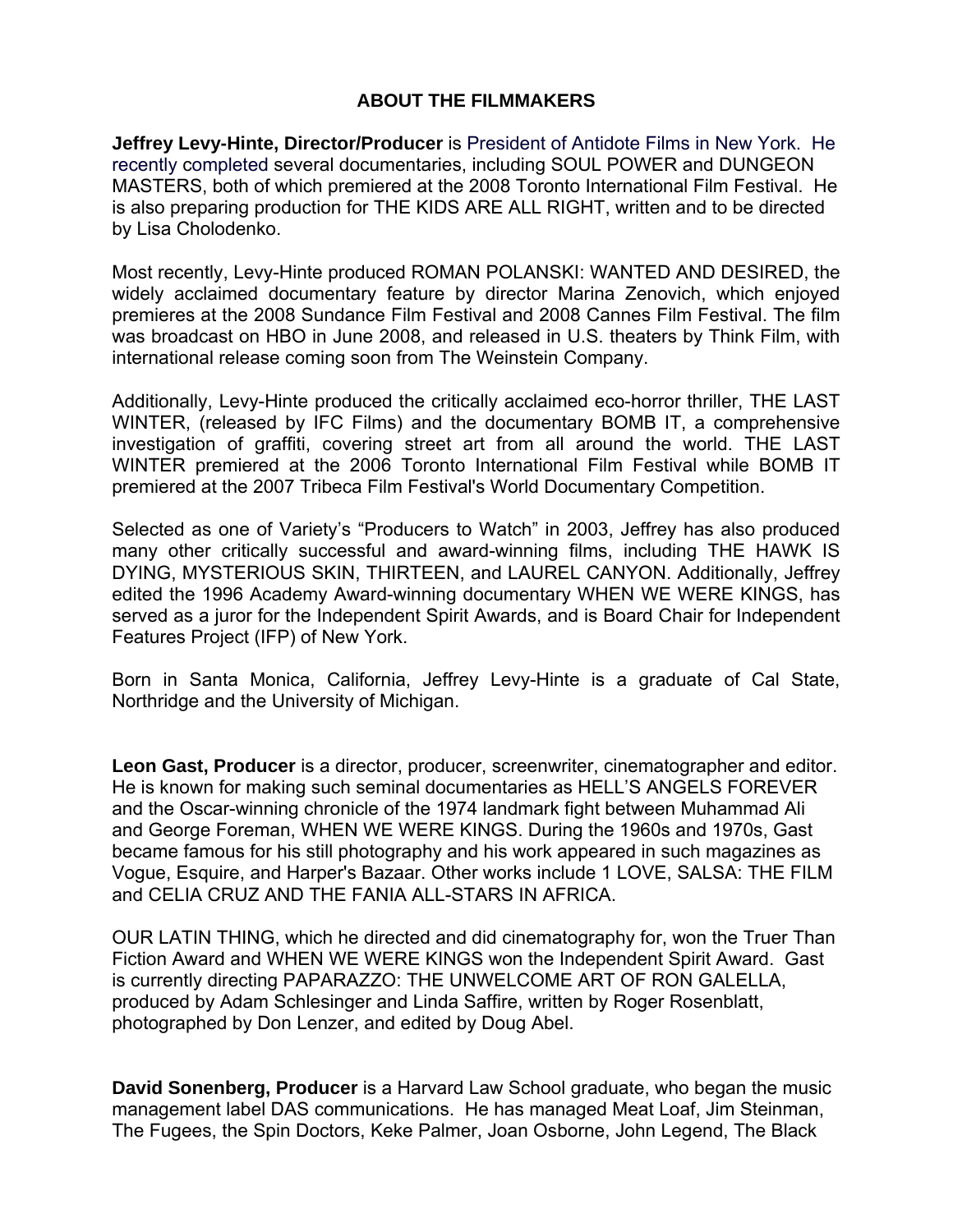# **ABOUT THE FILMMAKERS**

**Jeffrey Levy-Hinte, Director/Producer** is President of Antidote Films in New York. He recently completed several documentaries, including SOUL POWER and DUNGEON MASTERS, both of which premiered at the 2008 Toronto International Film Festival. He is also preparing production for THE KIDS ARE ALL RIGHT, written and to be directed by Lisa Cholodenko.

Most recently, Levy-Hinte produced ROMAN POLANSKI: WANTED AND DESIRED, the widely acclaimed documentary feature by director Marina Zenovich, which enjoyed premieres at the 2008 Sundance Film Festival and 2008 Cannes Film Festival. The film was broadcast on HBO in June 2008, and released in U.S. theaters by Think Film, with international release coming soon from The Weinstein Company.

Additionally, Levy-Hinte produced the critically acclaimed eco-horror thriller, THE LAST WINTER, (released by IFC Films) and the documentary BOMB IT, a comprehensive investigation of graffiti, covering street art from all around the world. THE LAST WINTER premiered at the 2006 Toronto International Film Festival while BOMB IT premiered at the 2007 Tribeca Film Festival's World Documentary Competition.

Selected as one of Variety's "Producers to Watch" in 2003, Jeffrey has also produced many other critically successful and award-winning films, including THE HAWK IS DYING, MYSTERIOUS SKIN, THIRTEEN, and LAUREL CANYON. Additionally, Jeffrey edited the 1996 Academy Award-winning documentary WHEN WE WERE KINGS, has served as a juror for the Independent Spirit Awards, and is Board Chair for Independent Features Project (IFP) of New York.

Born in Santa Monica, California, Jeffrey Levy-Hinte is a graduate of Cal State, Northridge and the University of Michigan.

**Leon Gast, Producer** is a director, producer, screenwriter, cinematographer and editor. He is known for making such seminal documentaries as HELL'S ANGELS FOREVER and the Oscar-winning chronicle of the 1974 landmark fight between Muhammad Ali and George Foreman, WHEN WE WERE KINGS. During the 1960s and 1970s, Gast became famous for his still photography and his work appeared in such magazines as Vogue, Esquire, and Harper's Bazaar. Other works include 1 LOVE, SALSA: THE FILM and CELIA CRUZ AND THE FANIA ALL-STARS IN AFRICA.

OUR LATIN THING, which he directed and did cinematography for, won the Truer Than Fiction Award and WHEN WE WERE KINGS won the Independent Spirit Award. Gast is currently directing PAPARAZZO: THE UNWELCOME ART OF RON GALELLA, produced by Adam Schlesinger and Linda Saffire, written by Roger Rosenblatt, photographed by Don Lenzer, and edited by Doug Abel.

**David Sonenberg, Producer** is a Harvard Law School graduate, who began the music management label DAS communications. He has managed Meat Loaf, Jim Steinman, The Fugees, the Spin Doctors, Keke Palmer, Joan Osborne, John Legend, The Black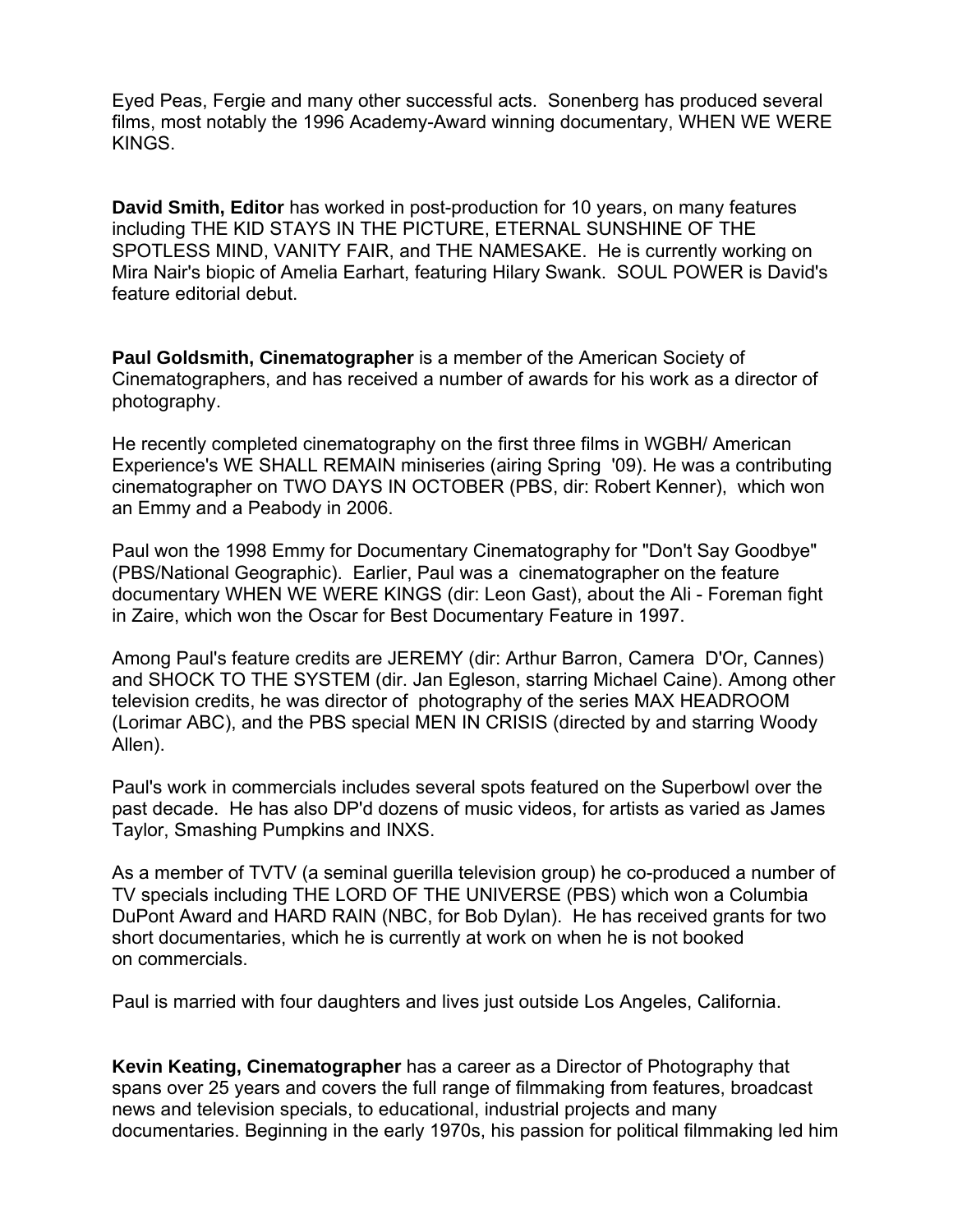Eyed Peas, Fergie and many other successful acts. Sonenberg has produced several films, most notably the 1996 Academy-Award winning documentary, WHEN WE WERE KINGS.

**David Smith, Editor** has worked in post-production for 10 years, on many features including THE KID STAYS IN THE PICTURE, ETERNAL SUNSHINE OF THE SPOTLESS MIND, VANITY FAIR, and THE NAMESAKE. He is currently working on Mira Nair's biopic of Amelia Earhart, featuring Hilary Swank. SOUL POWER is David's feature editorial debut.

**Paul Goldsmith, Cinematographer** is a member of the American Society of Cinematographers, and has received a number of awards for his work as a director of photography.

He recently completed cinematography on the first three films in WGBH/ American Experience's WE SHALL REMAIN miniseries (airing Spring '09). He was a contributing cinematographer on TWO DAYS IN OCTOBER (PBS, dir: Robert Kenner), which won an Emmy and a Peabody in 2006.

Paul won the 1998 Emmy for Documentary Cinematography for "Don't Say Goodbye" (PBS/National Geographic). Earlier, Paul was a cinematographer on the feature documentary WHEN WE WERE KINGS (dir: Leon Gast), about the Ali - Foreman fight in Zaire, which won the Oscar for Best Documentary Feature in 1997.

Among Paul's feature credits are JEREMY (dir: Arthur Barron, Camera D'Or, Cannes) and SHOCK TO THE SYSTEM (dir. Jan Egleson, starring Michael Caine). Among other television credits, he was director of photography of the series MAX HEADROOM (Lorimar ABC), and the PBS special MEN IN CRISIS (directed by and starring Woody Allen).

Paul's work in commercials includes several spots featured on the Superbowl over the past decade. He has also DP'd dozens of music videos, for artists as varied as James Taylor, Smashing Pumpkins and INXS.

As a member of TVTV (a seminal guerilla television group) he co-produced a number of TV specials including THE LORD OF THE UNIVERSE (PBS) which won a Columbia DuPont Award and HARD RAIN (NBC, for Bob Dylan). He has received grants for two short documentaries, which he is currently at work on when he is not booked on commercials.

Paul is married with four daughters and lives just outside Los Angeles, California.

**Kevin Keating, Cinematographer** has a career as a Director of Photography that spans over 25 years and covers the full range of filmmaking from features, broadcast news and television specials, to educational, industrial projects and many documentaries. Beginning in the early 1970s, his passion for political filmmaking led him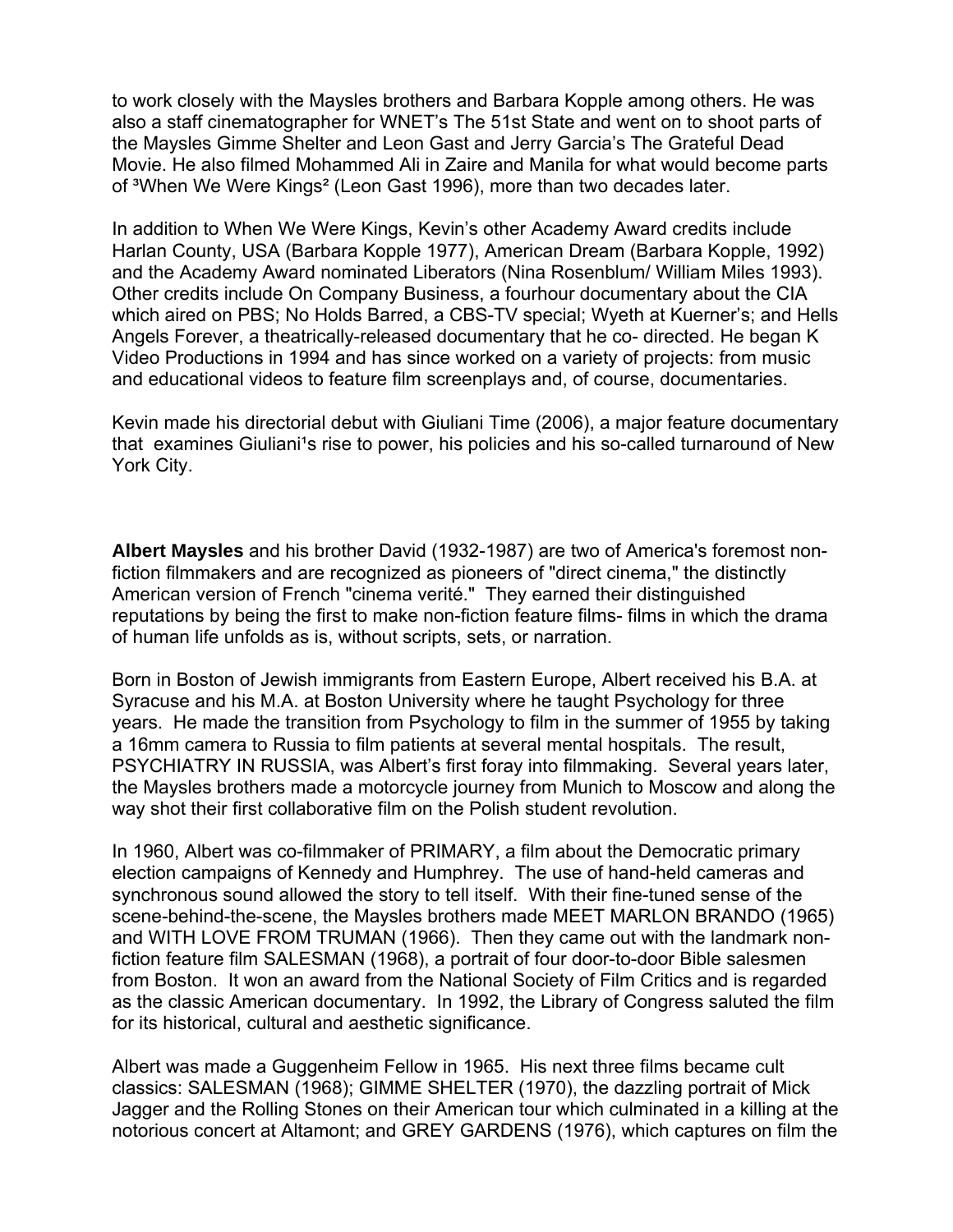to work closely with the Maysles brothers and Barbara Kopple among others. He was also a staff cinematographer for WNET's The 51st State and went on to shoot parts of the Maysles Gimme Shelter and Leon Gast and Jerry Garcia's The Grateful Dead Movie. He also filmed Mohammed Ali in Zaire and Manila for what would become parts of <sup>3</sup>When We Were Kings<sup>2</sup> (Leon Gast 1996), more than two decades later.

In addition to When We Were Kings, Kevin's other Academy Award credits include Harlan County, USA (Barbara Kopple 1977), American Dream (Barbara Kopple, 1992) and the Academy Award nominated Liberators (Nina Rosenblum/ William Miles 1993). Other credits include On Company Business, a fourhour documentary about the CIA which aired on PBS; No Holds Barred, a CBS-TV special; Wyeth at Kuerner's; and Hells Angels Forever, a theatrically-released documentary that he co- directed. He began K Video Productions in 1994 and has since worked on a variety of projects: from music and educational videos to feature film screenplays and, of course, documentaries.

Kevin made his directorial debut with Giuliani Time (2006), a major feature documentary that examines Giuliani<sup>1</sup>s rise to power, his policies and his so-called turnaround of New York City.

**Albert Maysles** and his brother David (1932-1987) are two of America's foremost nonfiction filmmakers and are recognized as pioneers of "direct cinema," the distinctly American version of French "cinema verité." They earned their distinguished reputations by being the first to make non-fiction feature films- films in which the drama of human life unfolds as is, without scripts, sets, or narration.

Born in Boston of Jewish immigrants from Eastern Europe, Albert received his B.A. at Syracuse and his M.A. at Boston University where he taught Psychology for three years. He made the transition from Psychology to film in the summer of 1955 by taking a 16mm camera to Russia to film patients at several mental hospitals. The result, PSYCHIATRY IN RUSSIA, was Albert's first foray into filmmaking. Several years later, the Maysles brothers made a motorcycle journey from Munich to Moscow and along the way shot their first collaborative film on the Polish student revolution.

In 1960, Albert was co-filmmaker of PRIMARY, a film about the Democratic primary election campaigns of Kennedy and Humphrey. The use of hand-held cameras and synchronous sound allowed the story to tell itself. With their fine-tuned sense of the scene-behind-the-scene, the Maysles brothers made MEET MARLON BRANDO (1965) and WITH LOVE FROM TRUMAN (1966). Then they came out with the landmark nonfiction feature film SALESMAN (1968), a portrait of four door-to-door Bible salesmen from Boston. It won an award from the National Society of Film Critics and is regarded as the classic American documentary. In 1992, the Library of Congress saluted the film for its historical, cultural and aesthetic significance.

Albert was made a Guggenheim Fellow in 1965. His next three films became cult classics: SALESMAN (1968); GIMME SHELTER (1970), the dazzling portrait of Mick Jagger and the Rolling Stones on their American tour which culminated in a killing at the notorious concert at Altamont; and GREY GARDENS (1976), which captures on film the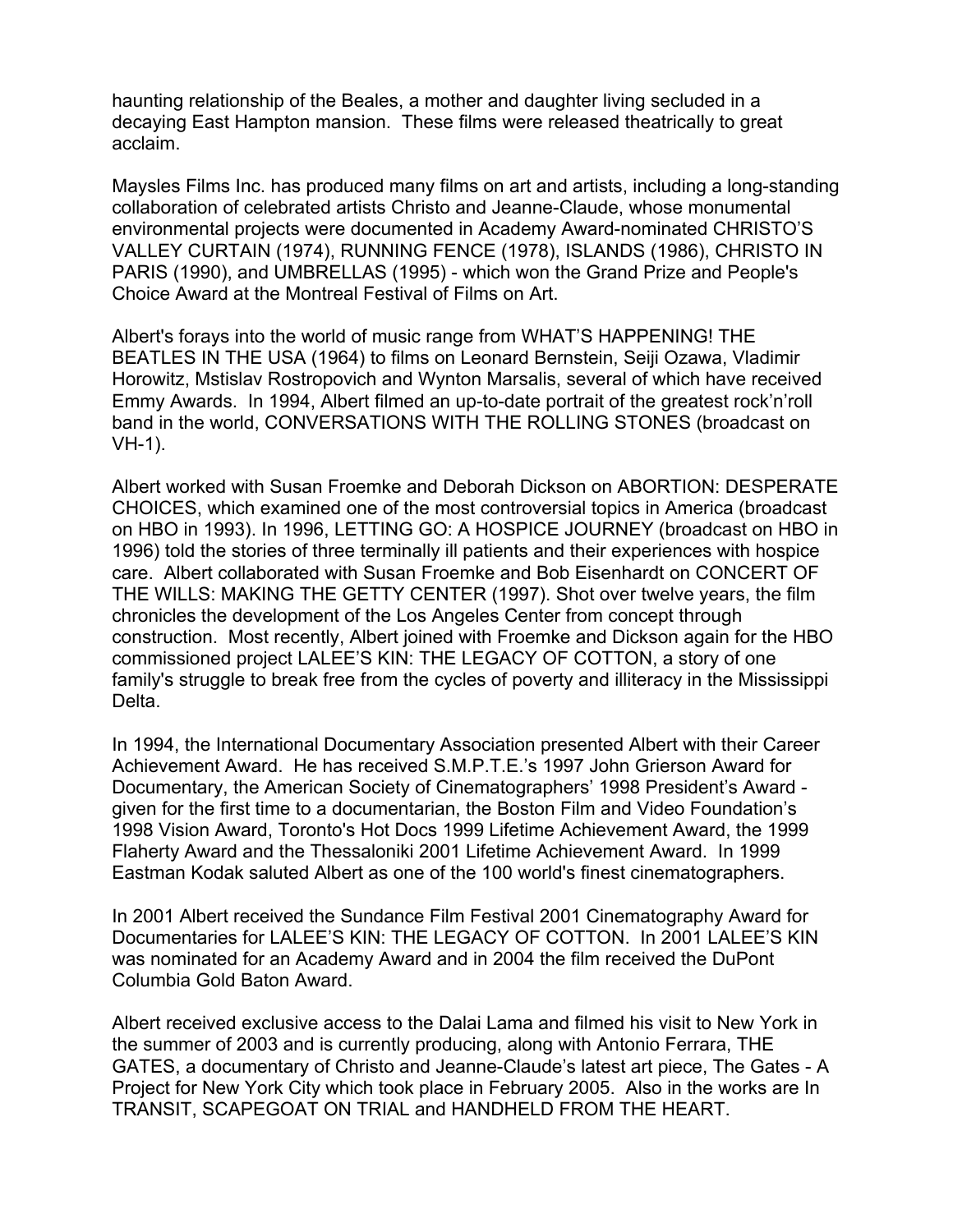haunting relationship of the Beales, a mother and daughter living secluded in a decaying East Hampton mansion. These films were released theatrically to great acclaim.

Maysles Films Inc. has produced many films on art and artists, including a long-standing collaboration of celebrated artists Christo and Jeanne-Claude, whose monumental environmental projects were documented in Academy Award-nominated CHRISTO'S VALLEY CURTAIN (1974), RUNNING FENCE (1978), ISLANDS (1986), CHRISTO IN PARIS (1990), and UMBRELLAS (1995) - which won the Grand Prize and People's Choice Award at the Montreal Festival of Films on Art.

Albert's forays into the world of music range from WHAT'S HAPPENING! THE BEATLES IN THE USA (1964) to films on Leonard Bernstein, Seiji Ozawa, Vladimir Horowitz, Mstislav Rostropovich and Wynton Marsalis, several of which have received Emmy Awards. In 1994, Albert filmed an up-to-date portrait of the greatest rock'n'roll band in the world, CONVERSATIONS WITH THE ROLLING STONES (broadcast on VH-1).

Albert worked with Susan Froemke and Deborah Dickson on ABORTION: DESPERATE CHOICES, which examined one of the most controversial topics in America (broadcast on HBO in 1993). In 1996, LETTING GO: A HOSPICE JOURNEY (broadcast on HBO in 1996) told the stories of three terminally ill patients and their experiences with hospice care. Albert collaborated with Susan Froemke and Bob Eisenhardt on CONCERT OF THE WILLS: MAKING THE GETTY CENTER (1997). Shot over twelve years, the film chronicles the development of the Los Angeles Center from concept through construction. Most recently, Albert joined with Froemke and Dickson again for the HBO commissioned project LALEE'S KIN: THE LEGACY OF COTTON, a story of one family's struggle to break free from the cycles of poverty and illiteracy in the Mississippi Delta.

In 1994, the International Documentary Association presented Albert with their Career Achievement Award. He has received S.M.P.T.E.'s 1997 John Grierson Award for Documentary, the American Society of Cinematographers' 1998 President's Award given for the first time to a documentarian, the Boston Film and Video Foundation's 1998 Vision Award, Toronto's Hot Docs 1999 Lifetime Achievement Award, the 1999 Flaherty Award and the Thessaloniki 2001 Lifetime Achievement Award. In 1999 Eastman Kodak saluted Albert as one of the 100 world's finest cinematographers.

In 2001 Albert received the Sundance Film Festival 2001 Cinematography Award for Documentaries for LALEE'S KIN: THE LEGACY OF COTTON. In 2001 LALEE'S KIN was nominated for an Academy Award and in 2004 the film received the DuPont Columbia Gold Baton Award.

Albert received exclusive access to the Dalai Lama and filmed his visit to New York in the summer of 2003 and is currently producing, along with Antonio Ferrara, THE GATES, a documentary of Christo and Jeanne-Claude's latest art piece, The Gates - A Project for New York City which took place in February 2005. Also in the works are In TRANSIT, SCAPEGOAT ON TRIAL and HANDHELD FROM THE HEART.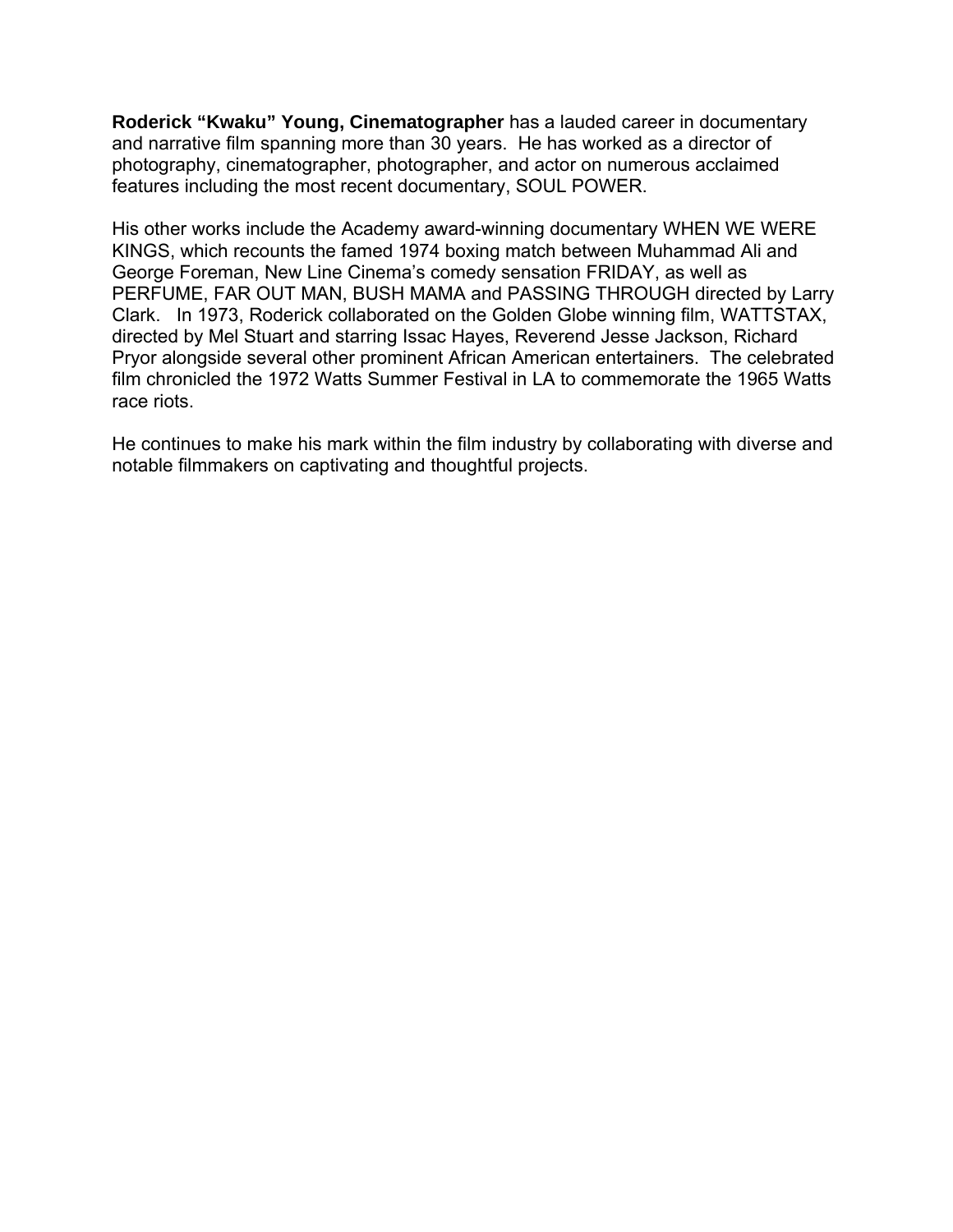**Roderick "Kwaku" Young, Cinematographer** has a lauded career in documentary and narrative film spanning more than 30 years. He has worked as a director of photography, cinematographer, photographer, and actor on numerous acclaimed features including the most recent documentary, SOUL POWER.

His other works include the Academy award-winning documentary WHEN WE WERE KINGS, which recounts the famed 1974 boxing match between Muhammad Ali and George Foreman, New Line Cinema's comedy sensation FRIDAY, as well as PERFUME, FAR OUT MAN, BUSH MAMA and PASSING THROUGH directed by Larry Clark. In 1973, Roderick collaborated on the Golden Globe winning film, WATTSTAX, directed by Mel Stuart and starring Issac Hayes, Reverend Jesse Jackson, Richard Pryor alongside several other prominent African American entertainers. The celebrated film chronicled the 1972 Watts Summer Festival in LA to commemorate the 1965 Watts race riots.

He continues to make his mark within the film industry by collaborating with diverse and notable filmmakers on captivating and thoughtful projects.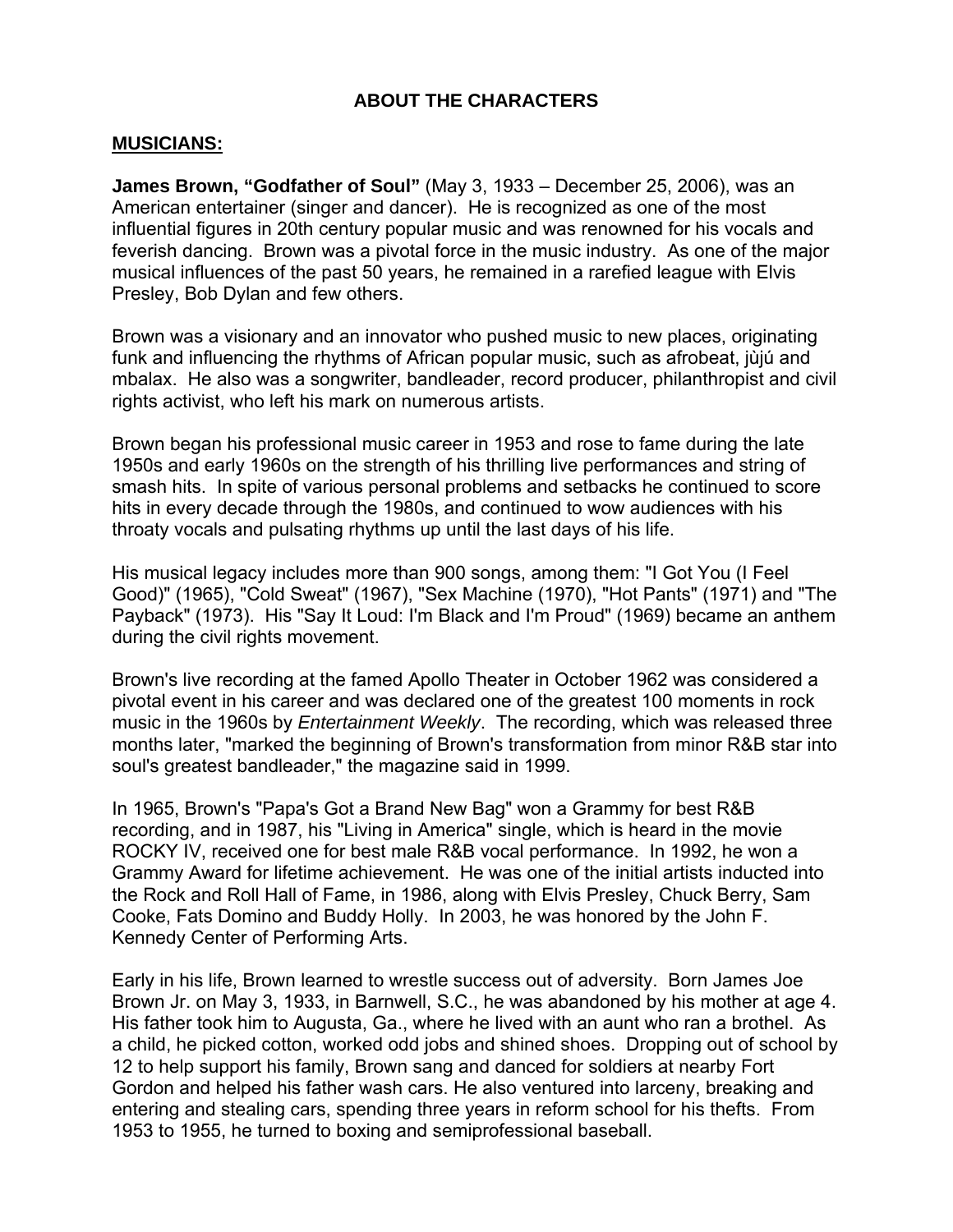# **ABOUT THE CHARACTERS**

## **MUSICIANS:**

**James Brown, "Godfather of Soul"** (May 3, 1933 – December 25, 2006), was an [American](http://en.wikipedia.org/wiki/United_States) [entertainer](http://en.wikipedia.org/wiki/Entertainer) (singer and dancer). He is recognized as one of the most influential figures in 20th century [popular music](http://en.wikipedia.org/wiki/Popular_music) and was renowned for his vocals and feverish dancing. Brown was a pivotal force in the music industry. As one of the major musical influences of the past 50 years, he remained in a rarefied league with Elvis Presley, Bob Dylan and few others.

Brown was a visionary and an innovator who pushed music to new places, originating funk and influencing the rhythms of [African popular music,](http://en.wikipedia.org/wiki/Music_of_Africa) such as [afrobeat](http://en.wikipedia.org/wiki/Afrobeat), [jùjú](http://en.wikipedia.org/wiki/J%C3%B9j%C3%BA_music) and [mbalax.](http://en.wikipedia.org/wiki/Mbalax) He also was a songwriter, bandleader, record producer, philanthropist and civil rights activist, who left his mark on numerous artists.

Brown began his professional music career in 1953 and rose to fame during the late 1950s and early 1960s on the strength of his thrilling live performances and string of smash hits. In spite of various personal problems and setbacks he continued to score hits in every decade through the 1980s, and continued to wow audiences with his throaty vocals and pulsating rhythms up until the last days of his life.

His musical legacy includes more than 900 songs, among them: "I Got You (I Feel Good)" (1965), "Cold Sweat" (1967), "Sex Machine (1970), "Hot Pants" (1971) and "The Payback" (1973). His "Say It Loud: I'm Black and I'm Proud" (1969) became an anthem during the civil rights movement.

Brown's live recording at the famed Apollo Theater in October 1962 was considered a pivotal event in his career and was declared one of the greatest 100 moments in rock music in the 1960s by *Entertainment Weekly*. The recording, which was released three months later, "marked the beginning of Brown's transformation from minor R&B star into soul's greatest bandleader," the magazine said in 1999.

In 1965, Brown's "Papa's Got a Brand New Bag" won a Grammy for best R&B recording, and in 1987, his "Living in America" single, which is heard in the movie ROCKY IV, received one for best male R&B vocal performance. In 1992, he won a Grammy Award for lifetime achievement. He was one of the initial artists inducted into the Rock and Roll Hall of Fame, in 1986, along with Elvis Presley, Chuck Berry, Sam Cooke, Fats Domino and Buddy Holly. In 2003, he was honored by the John F. Kennedy Center of Performing Arts.

Early in his life, Brown learned to wrestle success out of adversity. Born James Joe Brown Jr. on May 3, 1933, in Barnwell, S.C., he was abandoned by his mother at age 4. His father took him to Augusta, Ga., where he lived with an aunt who ran a brothel. As a child, he picked cotton, worked odd jobs and shined shoes. Dropping out of school by 12 to help support his family, Brown sang and danced for soldiers at nearby Fort Gordon and helped his father wash cars. He also ventured into larceny, breaking and entering and stealing cars, spending three years in reform school for his thefts. From 1953 to 1955, he turned to boxing and semiprofessional baseball.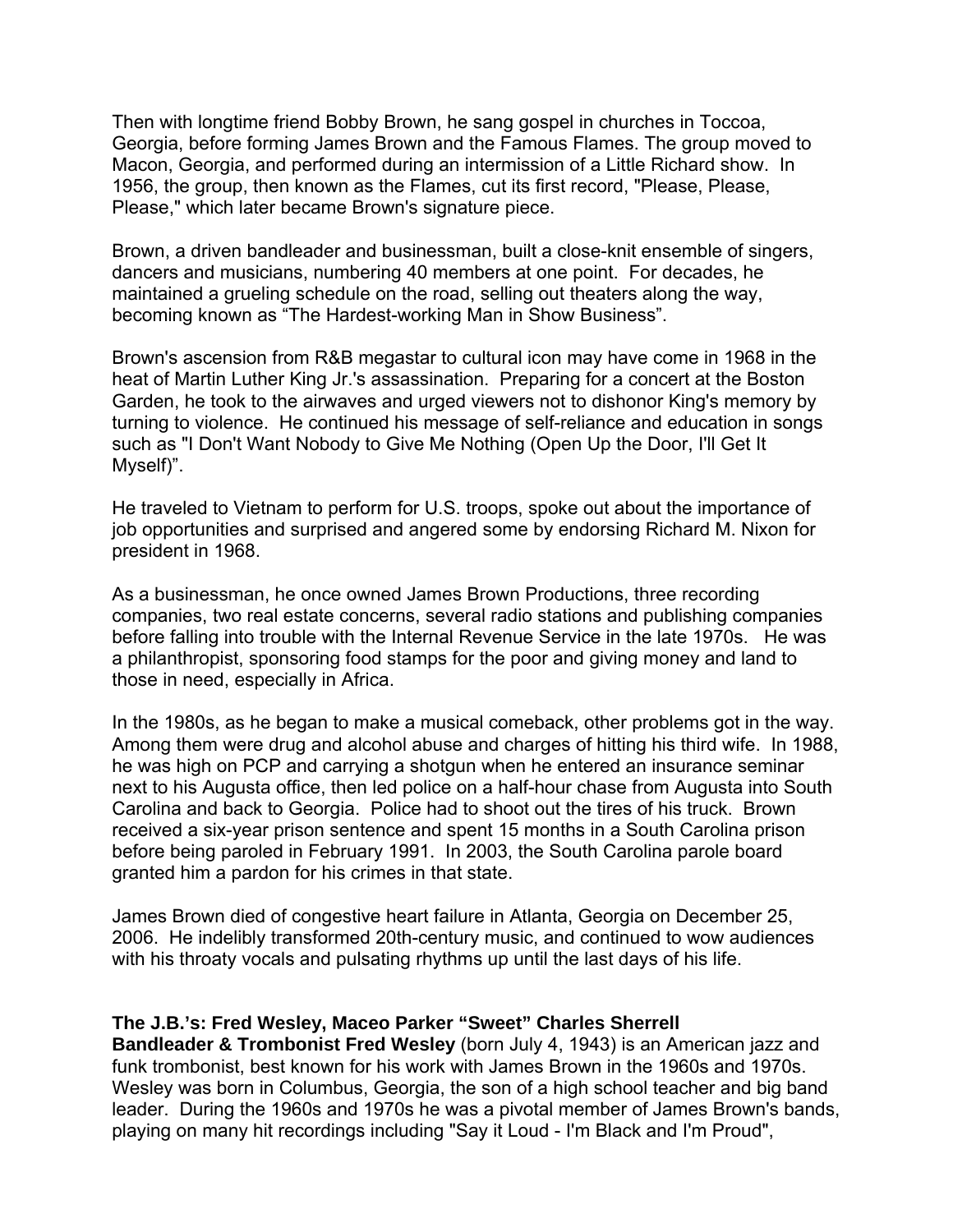Then with longtime friend Bobby Brown, he sang gospel in churches in Toccoa, Georgia, before forming James Brown and the Famous Flames. The group moved to Macon, Georgia, and performed during an intermission of a Little Richard show. In 1956, the group, then known as the Flames, cut its first record, "Please, Please, Please," which later became Brown's signature piece.

Brown, a driven bandleader and businessman, built a close-knit ensemble of singers, dancers and musicians, numbering 40 members at one point. For decades, he maintained a grueling schedule on the road, selling out theaters along the way, becoming known as "The Hardest-working Man in Show Business".

Brown's ascension from R&B megastar to cultural icon may have come in 1968 in the heat of Martin Luther King Jr.'s assassination. Preparing for a concert at the Boston Garden, he took to the airwaves and urged viewers not to dishonor King's memory by turning to violence. He continued his message of self-reliance and education in songs such as "I Don't Want Nobody to Give Me Nothing (Open Up the Door, I'll Get It Myself)".

He traveled to Vietnam to perform for U.S. troops, spoke out about the importance of job opportunities and surprised and angered some by endorsing Richard M. Nixon for president in 1968.

As a businessman, he once owned James Brown Productions, three recording companies, two real estate concerns, several radio stations and publishing companies before falling into trouble with the Internal Revenue Service in the late 1970s. He was a philanthropist, sponsoring food stamps for the poor and giving money and land to those in need, especially in Africa.

In the 1980s, as he began to make a musical comeback, other problems got in the way. Among them were drug and alcohol abuse and charges of hitting his third wife. In 1988, he was high on PCP and carrying a shotgun when he entered an insurance seminar next to his Augusta office, then led police on a half-hour chase from Augusta into South Carolina and back to Georgia. Police had to shoot out the tires of his truck. Brown received a six-year prison sentence and spent 15 months in a South Carolina prison before being paroled in February 1991. In 2003, the South Carolina parole board granted him a pardon for his crimes in that state.

James Brown died of congestive heart failure in Atlanta, Georgia on December 25, 2006. He indelibly transformed 20th-century music, and continued to wow audiences with his throaty vocals and pulsating rhythms up until the last days of his life.

# **The J.B.'s: Fred Wesley, Maceo Parker "Sweet" Charles Sherrell**

**Bandleader & Trombonist Fred Wesley** (born [July 4,](http://en.wikipedia.org/wiki/July_4) [1943](http://en.wikipedia.org/wiki/1943)) is an [American](http://en.wikipedia.org/wiki/United_States) [jazz](http://en.wikipedia.org/wiki/Jazz) and [funk](http://en.wikipedia.org/wiki/Funk) [trombonist](http://en.wikipedia.org/wiki/Trombonist), best known for his work with [James Brown](http://en.wikipedia.org/wiki/James_Brown) in the 1960s and 1970s. Wesley was born in [Columbus, Georgia,](http://en.wikipedia.org/wiki/Columbus,_Georgia) the son of a high school teacher and [big band](http://en.wikipedia.org/wiki/Big_band) leader. During the 1960s and 1970s he was a pivotal member of [James Brown](http://en.wikipedia.org/wiki/James_Brown)'s bands, playing on many hit recordings including ["Say it Loud - I'm Black and I'm Proud"](http://en.wikipedia.org/wiki/Say_it_Loud_-_I%27m_Black_and_I%27m_Proud),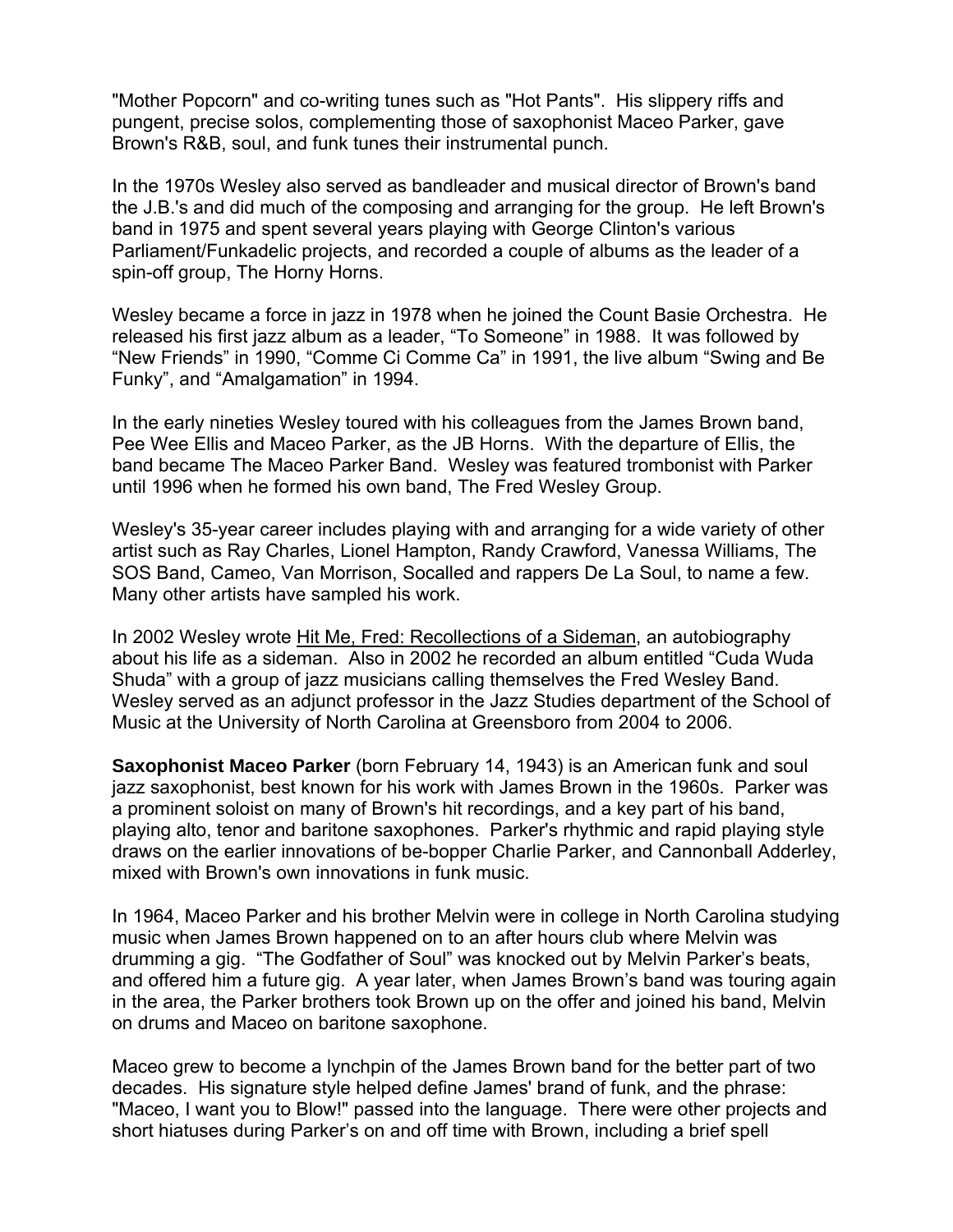["Mother Popcorn"](http://en.wikipedia.org/wiki/Mother_Popcorn) and co-writing tunes such as ["Hot Pants"](http://en.wikipedia.org/wiki/Hot_Pants_(song)). His slippery riffs and pungent, precise solos, complementing those of saxophonist [Maceo Parker](http://en.wikipedia.org/wiki/Maceo_Parker), gave Brown's [R&B](http://en.wikipedia.org/wiki/R%26B), [soul,](http://en.wikipedia.org/wiki/Soul_music) and [funk](http://en.wikipedia.org/wiki/Funk) tunes their instrumental punch.

In the 1970s Wesley also served as [bandleader](http://en.wikipedia.org/wiki/Band_leader) and [musical director](http://en.wikipedia.org/wiki/Musical_director) of Brown's band [the J.B.'s](http://en.wikipedia.org/wiki/The_J.B.%27s) and did much of the [composing](http://en.wikipedia.org/wiki/Composer) and [arranging](http://en.wikipedia.org/wiki/Arrangement) for the group. He left Brown's band in 1975 and spent several years playing with [George Clinton](http://en.wikipedia.org/wiki/George_Clinton_(funk_musician))'s various [Parliament](http://en.wikipedia.org/wiki/Parliament_(band))/[Funkadelic](http://en.wikipedia.org/wiki/Funkadelic) projects, and recorded a couple of albums as the leader of a spin-off group, [The Horny Horns](http://en.wikipedia.org/wiki/The_Horny_Horns).

Wesley became a force in jazz in 1978 when he joined the [Count Basie](http://en.wikipedia.org/wiki/Count_Basie) Orchestra. He released his first jazz [album](http://en.wikipedia.org/wiki/Album) as a leader, "To Someone" in 1988. It was followed by "New Friends" in 1990, "Comme Ci Comme Ca" in 1991, the [live album](http://en.wikipedia.org/wiki/Live_album) "Swing and Be Funky", and "Amalgamation" in 1994.

In the early nineties Wesley toured with his colleagues from the James Brown band, [Pee Wee Ellis](http://en.wikipedia.org/wiki/Pee_Wee_Ellis) and Maceo Parker, as the [JB Horns](http://en.wikipedia.org/wiki/JB_Horns). With the departure of Ellis, the band became The Maceo Parker Band. Wesley was featured trombonist with Parker until 1996 when he formed his own band, The Fred Wesley Group.

Wesley's 35-year career includes playing with and arranging for a wide variety of other artist such as [Ray Charles](http://en.wikipedia.org/wiki/Ray_Charles), [Lionel Hampton,](http://en.wikipedia.org/wiki/Lionel_Hampton) [Randy Crawford](http://en.wikipedia.org/wiki/Randy_Crawford), [Vanessa Williams,](http://en.wikipedia.org/wiki/Vanessa_L._Williams) [The](http://en.wikipedia.org/wiki/The_SOS_Band)  [SOS Band,](http://en.wikipedia.org/wiki/The_SOS_Band) [Cameo](http://en.wikipedia.org/wiki/Cameo_(disambiguation)), [Van Morrison](http://en.wikipedia.org/wiki/Van_Morrison), [Socalled](http://en.wikipedia.org/wiki/Socalled) and rappers [De La Soul,](http://en.wikipedia.org/wiki/De_La_Soul) to name a few. Many other artists have [sampled](http://en.wikipedia.org/wiki/Sampling_(music)) his work.

In [2002](http://en.wikipedia.org/wiki/2002_in_literature) Wesley wrote Hit Me, Fred: Recollections of a Sideman, an [autobiography](http://en.wikipedia.org/wiki/Autobiography) about his life as a [sideman](http://en.wikipedia.org/wiki/Sideman). Also in 2002 he recorded an album entitled "Cuda Wuda Shuda" with a group of jazz musicians calling themselves the Fred Wesley Band. Wesley served as an adjunct professor in the Jazz Studies department of the School of Music at the [University of North Carolina at Greensboro](http://en.wikipedia.org/wiki/University_of_North_Carolina_at_Greensboro) from 2004 to 2006.

**Saxophonist Maceo Parker** (born February 14, 1943) is an American [funk](http://en.wikipedia.org/wiki/Funk) and [soul](http://en.wikipedia.org/wiki/Soul_jazz)  [jazz](http://en.wikipedia.org/wiki/Soul_jazz) [saxophonist,](http://en.wikipedia.org/wiki/Saxophonist) best known for his work with [James Brown](http://en.wikipedia.org/wiki/James_Brown) in the 1960s. Parker was a prominent soloist on many of Brown's hit recordings, and a key part of his band, playing [alto,](http://en.wikipedia.org/wiki/Alto_saxophone) [tenor](http://en.wikipedia.org/wiki/Tenor_saxophone) and [baritone saxophones.](http://en.wikipedia.org/wiki/Baritone_saxophone) Parker's rhythmic and rapid playing style draws on the earlier innovations of [be-bopper](http://en.wikipedia.org/wiki/Be-bop) [Charlie Parker,](http://en.wikipedia.org/wiki/Charlie_Parker) and [Cannonball Adderley](http://en.wikipedia.org/wiki/Cannonball_Adderley), mixed with Brown's own innovations in [funk](http://en.wikipedia.org/wiki/Funk) music.

In 1964, Maceo Parker and his brother Melvin were in college in North Carolina studying music when James Brown happened on to an after hours club where Melvin was drumming a gig. "The Godfather of Soul" was knocked out by Melvin Parker's beats, and offered him a future gig. A year later, when James Brown's band was touring again in the area, the Parker brothers took Brown up on the offer and joined his band, Melvin on drums and Maceo on baritone saxophone.

Maceo grew to become a lynchpin of the James Brown band for the better part of two decades. His signature style helped define James' brand of funk, and the phrase: "Maceo, I want you to Blow!" passed into the language. There were other projects and short hiatuses during Parker's on and off time with Brown, including a brief spell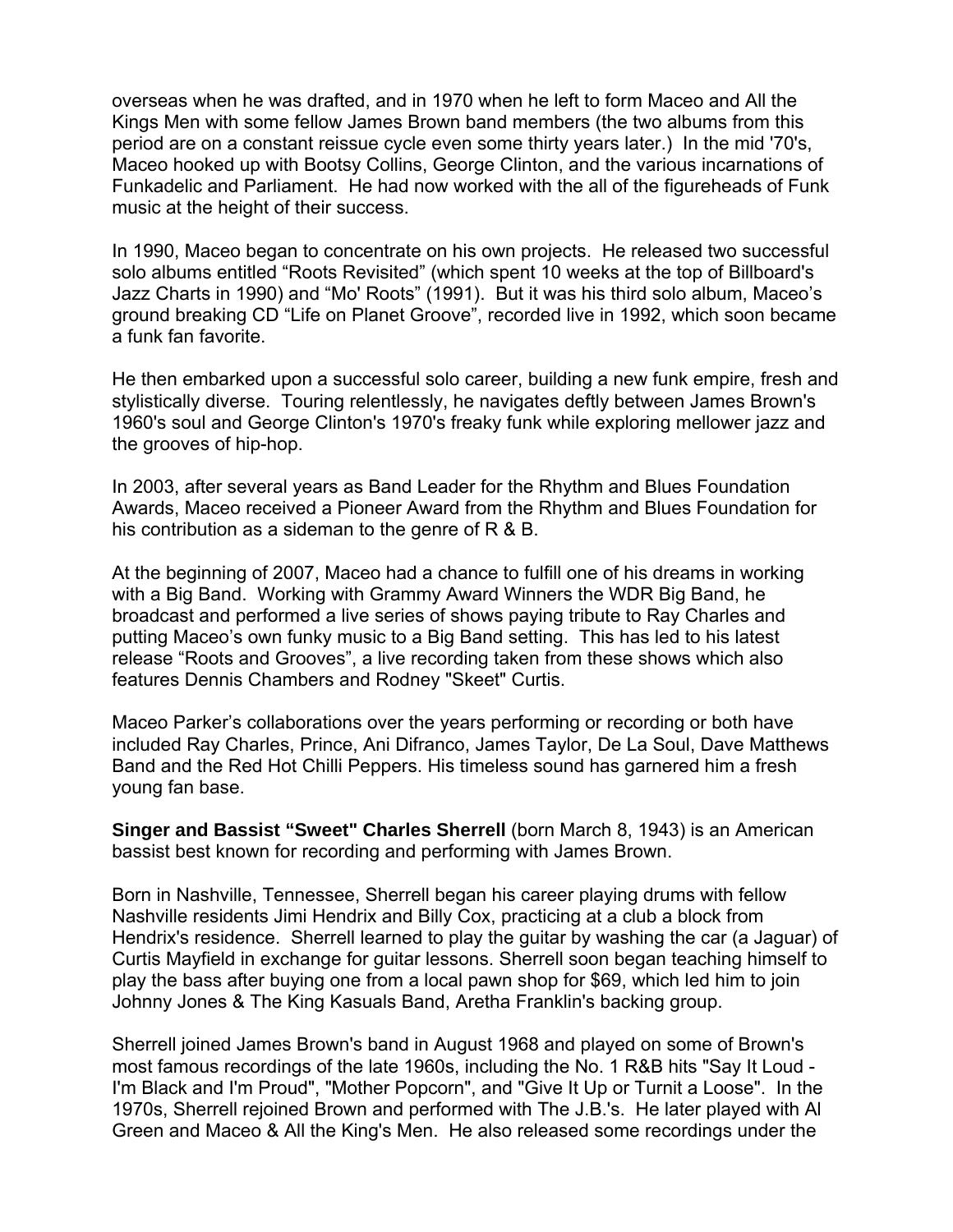overseas when he was drafted, and in 1970 when he left to form Maceo and All the Kings Men with some fellow James Brown band members (the two albums from this period are on a constant reissue cycle even some thirty years later.) In the mid '70's, Maceo hooked up with Bootsy Collins, George Clinton, and the various incarnations of Funkadelic and Parliament. He had now worked with the all of the figureheads of Funk music at the height of their success.

In 1990, Maceo began to concentrate on his own projects. He released two successful solo albums entitled "Roots Revisited" (which spent 10 weeks at the top of Billboard's Jazz Charts in 1990) and "Mo' Roots" (1991). But it was his third solo album, Maceo's ground breaking CD "Life on Planet Groove", recorded live in 1992, which soon became a funk fan favorite.

He then embarked upon a successful solo career, building a new funk empire, fresh and stylistically diverse. Touring relentlessly, he navigates deftly between James Brown's 1960's soul and George Clinton's 1970's freaky funk while exploring mellower jazz and the grooves of hip-hop.

In 2003, after several years as Band Leader for the Rhythm and Blues Foundation Awards, Maceo received a Pioneer Award from the Rhythm and Blues Foundation for his contribution as a sideman to the genre of R & B.

At the beginning of 2007, Maceo had a chance to fulfill one of his dreams in working with a Big Band. Working with Grammy Award Winners the WDR Big Band, he broadcast and performed a live series of shows paying tribute to Ray Charles and putting Maceo's own funky music to a Big Band setting. This has led to his latest release "Roots and Grooves", a live recording taken from these shows which also features Dennis Chambers and Rodney "Skeet" Curtis.

Maceo Parker's collaborations over the years performing or recording or both have included Ray Charles, Prince, Ani Difranco, James Taylor, De La Soul, Dave Matthews Band and the Red Hot Chilli Peppers. His timeless sound has garnered him a fresh young fan base.

**Singer and Bassist "Sweet" Charles Sherrell** (born [March 8](http://en.wikipedia.org/wiki/March_8), [1943\)](http://en.wikipedia.org/wiki/1943) is an [American](http://en.wikipedia.org/wiki/United_States) [bassist](http://en.wikipedia.org/wiki/Bassist) best known for recording and performing with [James Brown.](http://en.wikipedia.org/wiki/James_Brown)

Born in [Nashville, Tennessee](http://en.wikipedia.org/wiki/Nashville,_Tennessee), Sherrell began his career playing [drums](http://en.wikipedia.org/wiki/Drum_kit) with fellow Nashville residents [Jimi Hendrix](http://en.wikipedia.org/wiki/Jimi_Hendrix) and [Billy Cox](http://en.wikipedia.org/wiki/Billy_Cox), practicing at a club a block from Hendrix's residence. Sherrell learned to play the [guitar](http://en.wikipedia.org/wiki/Guitar) by washing the car (a [Jaguar](http://en.wikipedia.org/wiki/Jaguar_Cars)) of [Curtis Mayfield](http://en.wikipedia.org/wiki/Curtis_Mayfield) in exchange for guitar lessons. Sherrell soon began teaching himself to play the [bass](http://en.wikipedia.org/wiki/Bass_guitar) after buying one from a local pawn shop for \$69, which led him to join Johnny Jones & The King Kasuals Band, [Aretha Franklin's](http://en.wikipedia.org/wiki/Aretha_Franklin) backing group.

Sherrell joined [James Brown's](http://en.wikipedia.org/wiki/James_Brown) band in August 1968 and played on some of Brown's most famous recordings of the late 1960s, including the No. 1 R&B hits "[Say It Loud -](http://en.wikipedia.org/wiki/Say_It_Loud_-_I%27m_Black_and_I%27m_Proud)  [I'm Black and I'm Proud](http://en.wikipedia.org/wiki/Say_It_Loud_-_I%27m_Black_and_I%27m_Proud)", ["Mother Popcorn"](http://en.wikipedia.org/wiki/Mother_Popcorn), and ["Give It Up or Turnit a Loose"](http://en.wikipedia.org/wiki/Give_It_Up_or_Turnit_a_Loose). In the 1970s, Sherrell rejoined Brown and performed with [The J.B.'s](http://en.wikipedia.org/wiki/The_J.B.%27s). He later played with [Al](http://en.wikipedia.org/wiki/Al_Green)  [Green](http://en.wikipedia.org/wiki/Al_Green) and [Maceo & All the King's Men](http://en.wikipedia.org/wiki/Maceo_%26_All_the_King%27s_Men). He also released some recordings under the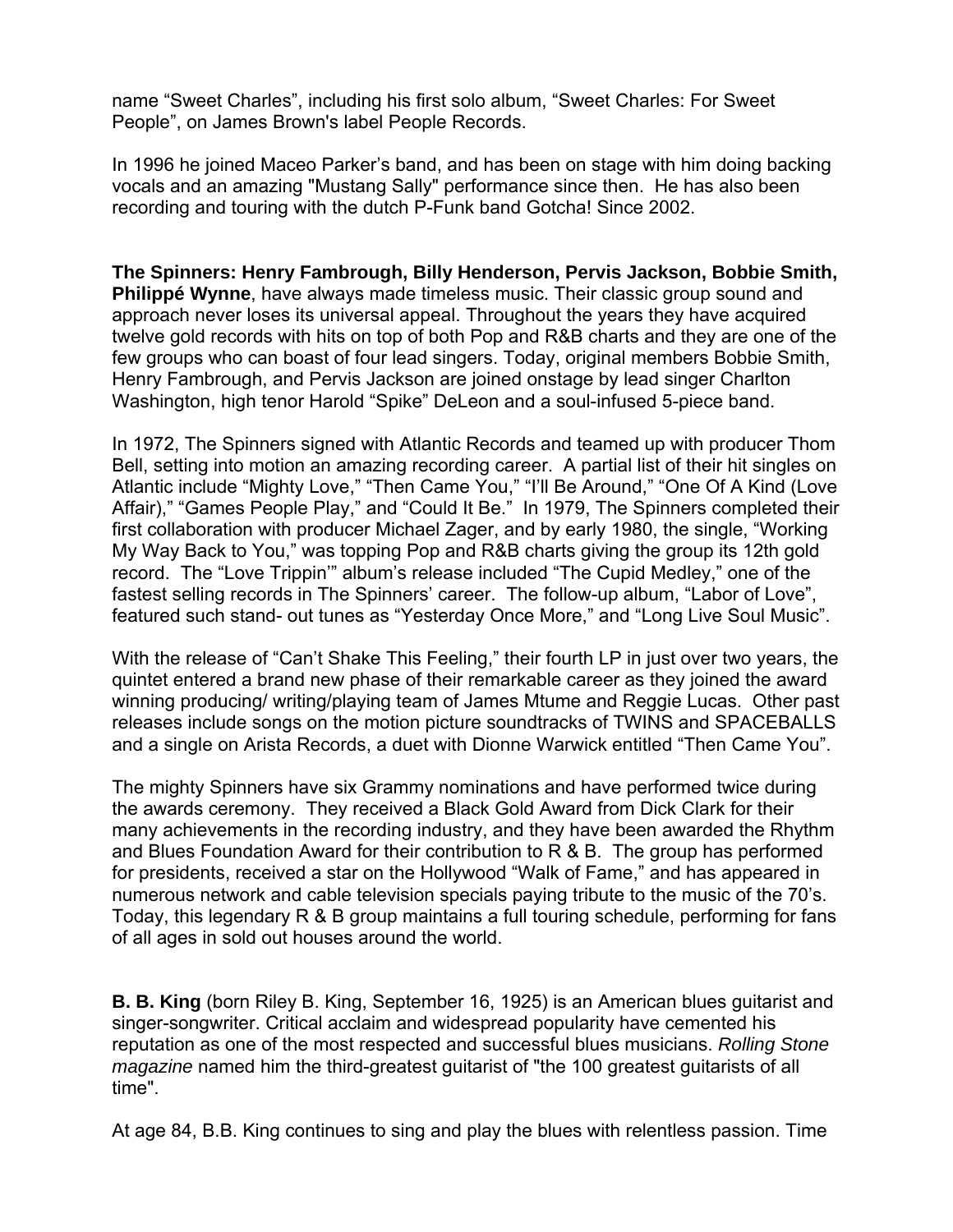name "Sweet Charles", including his first solo album, "Sweet Charles: For Sweet People", on James Brown's label [People Records](http://en.wikipedia.org/wiki/Record_labels_owned_by_James_Brown#People).

In 1996 he joined Maceo Parker's band, and has been on stage with him doing backing vocals and an amazing "Mustang Sally" performance since then. He has also been recording and touring with the dutch P-Funk band Gotcha! Since 2002.

**The Spinners: Henry Fambrough, Billy Henderson, Pervis Jackson, Bobbie Smith, Philippé Wynne**, have always made timeless music. Their classic group sound and approach never loses its universal appeal. Throughout the years they have acquired twelve gold records with hits on top of both Pop and R&B charts and they are one of the few groups who can boast of four lead singers. Today, original members Bobbie Smith, Henry Fambrough, and Pervis Jackson are joined onstage by lead singer Charlton Washington, high tenor Harold "Spike" DeLeon and a soul-infused 5-piece band.

In 1972, The Spinners signed with Atlantic Records and teamed up with producer Thom Bell, setting into motion an amazing recording career. A partial list of their hit singles on Atlantic include "Mighty Love," "Then Came You," "I'll Be Around," "One Of A Kind (Love Affair)," "Games People Play," and "Could It Be." In 1979, The Spinners completed their first collaboration with producer Michael Zager, and by early 1980, the single, "Working My Way Back to You," was topping Pop and R&B charts giving the group its 12th gold record. The "Love Trippin'" album's release included "The Cupid Medley," one of the fastest selling records in The Spinners' career. The follow-up album, "Labor of Love", featured such stand- out tunes as "Yesterday Once More," and "Long Live Soul Music".

With the release of "Can't Shake This Feeling," their fourth LP in just over two years, the quintet entered a brand new phase of their remarkable career as they joined the award winning producing/ writing/playing team of James Mtume and Reggie Lucas. Other past releases include songs on the motion picture soundtracks of TWINS and SPACEBALLS and a single on Arista Records, a duet with Dionne Warwick entitled "Then Came You".

The mighty Spinners have six Grammy nominations and have performed twice during the awards ceremony. They received a Black Gold Award from Dick Clark for their many achievements in the recording industry, and they have been awarded the Rhythm and Blues Foundation Award for their contribution to R & B. The group has performed for presidents, received a star on the Hollywood "Walk of Fame," and has appeared in numerous network and cable television specials paying tribute to the music of the 70's. Today, this legendary R & B group maintains a full touring schedule, performing for fans of all ages in sold out houses around the world.

**B. B. King** (born Riley B. King, September 16, 1925) is an American blues guitarist and singer-songwriter. Critical acclaim and widespread popularity have cemented his reputation as one of the most respected and successful blues musicians. *Rolling Stone magazine* named him the third-greatest guitarist of "the 100 greatest guitarists of all time".

At age 84, B.B. King continues to sing and play the blues with relentless passion. Time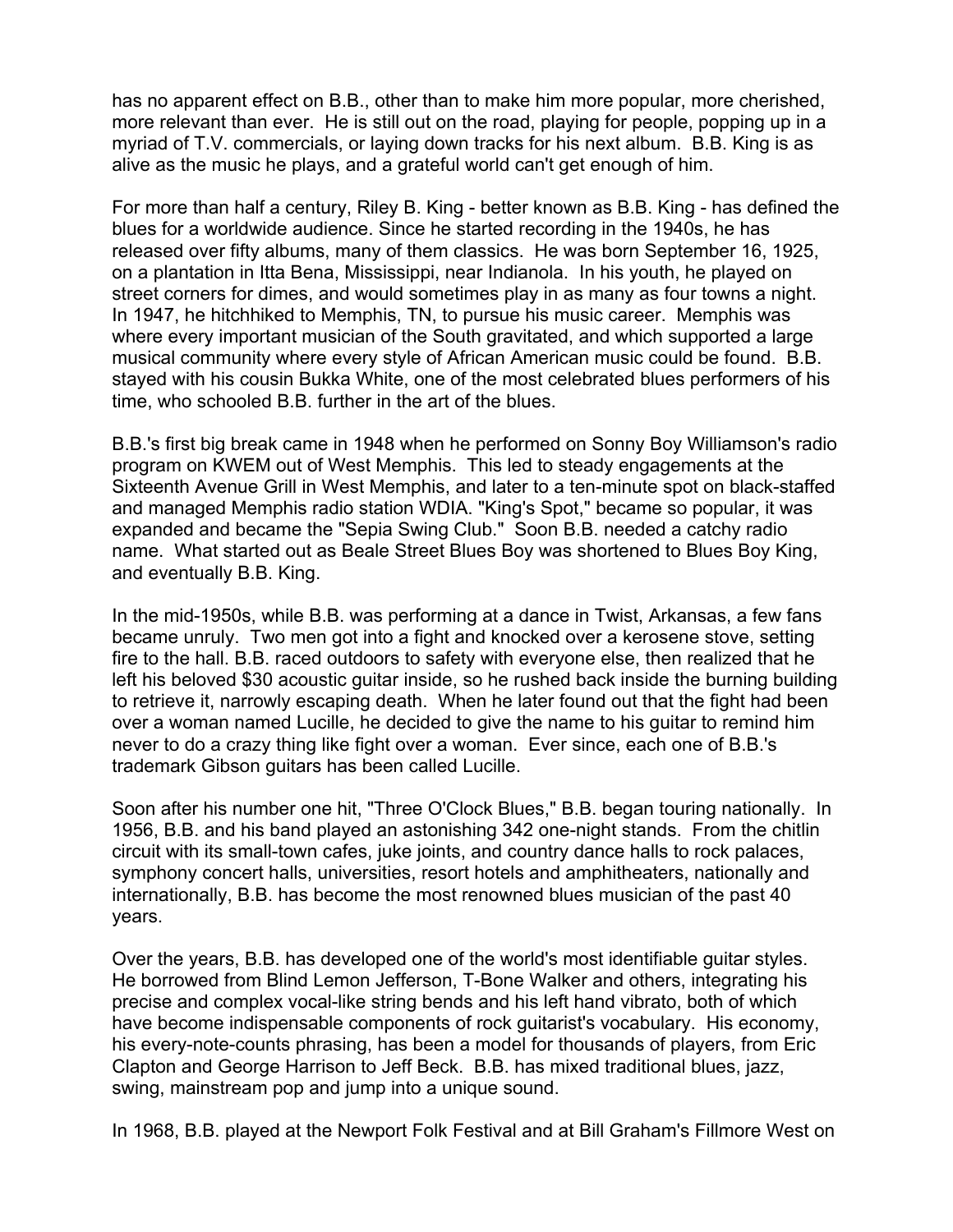has no apparent effect on B.B., other than to make him more popular, more cherished, more relevant than ever. He is still out on the road, playing for people, popping up in a myriad of T.V. commercials, or laying down tracks for his next album. B.B. King is as alive as the music he plays, and a grateful world can't get enough of him.

For more than half a century, Riley B. King - better known as B.B. King - has defined the blues for a worldwide audience. Since he started recording in the 1940s, he has released over fifty albums, many of them classics. He was born September 16, 1925, on a plantation in Itta Bena, Mississippi, near Indianola. In his youth, he played on street corners for dimes, and would sometimes play in as many as four towns a night. In 1947, he hitchhiked to Memphis, TN, to pursue his music career. Memphis was where every important musician of the South gravitated, and which supported a large musical community where every style of African American music could be found. B.B. stayed with his cousin Bukka White, one of the most celebrated blues performers of his time, who schooled B.B. further in the art of the blues.

B.B.'s first big break came in 1948 when he performed on Sonny Boy Williamson's radio program on KWEM out of West Memphis. This led to steady engagements at the Sixteenth Avenue Grill in West Memphis, and later to a ten-minute spot on black-staffed and managed Memphis radio station WDIA. "King's Spot," became so popular, it was expanded and became the "Sepia Swing Club." Soon B.B. needed a catchy radio name. What started out as Beale Street Blues Boy was shortened to Blues Boy King, and eventually B.B. King.

In the mid-1950s, while B.B. was performing at a dance in Twist, Arkansas, a few fans became unruly. Two men got into a fight and knocked over a kerosene stove, setting fire to the hall. B.B. raced outdoors to safety with everyone else, then realized that he left his beloved \$30 acoustic guitar inside, so he rushed back inside the burning building to retrieve it, narrowly escaping death. When he later found out that the fight had been over a woman named Lucille, he decided to give the name to his guitar to remind him never to do a crazy thing like fight over a woman. Ever since, each one of B.B.'s trademark Gibson guitars has been called Lucille.

Soon after his number one hit, "Three O'Clock Blues," B.B. began touring nationally. In 1956, B.B. and his band played an astonishing 342 one-night stands. From the chitlin circuit with its small-town cafes, juke joints, and country dance halls to rock palaces, symphony concert halls, universities, resort hotels and amphitheaters, nationally and internationally, B.B. has become the most renowned blues musician of the past 40 years.

Over the years, B.B. has developed one of the world's most identifiable guitar styles. He borrowed from Blind Lemon Jefferson, T-Bone Walker and others, integrating his precise and complex vocal-like string bends and his left hand vibrato, both of which have become indispensable components of rock guitarist's vocabulary. His economy, his every-note-counts phrasing, has been a model for thousands of players, from Eric Clapton and George Harrison to Jeff Beck. B.B. has mixed traditional blues, jazz, swing, mainstream pop and jump into a unique sound.

In 1968, B.B. played at the Newport Folk Festival and at Bill Graham's Fillmore West on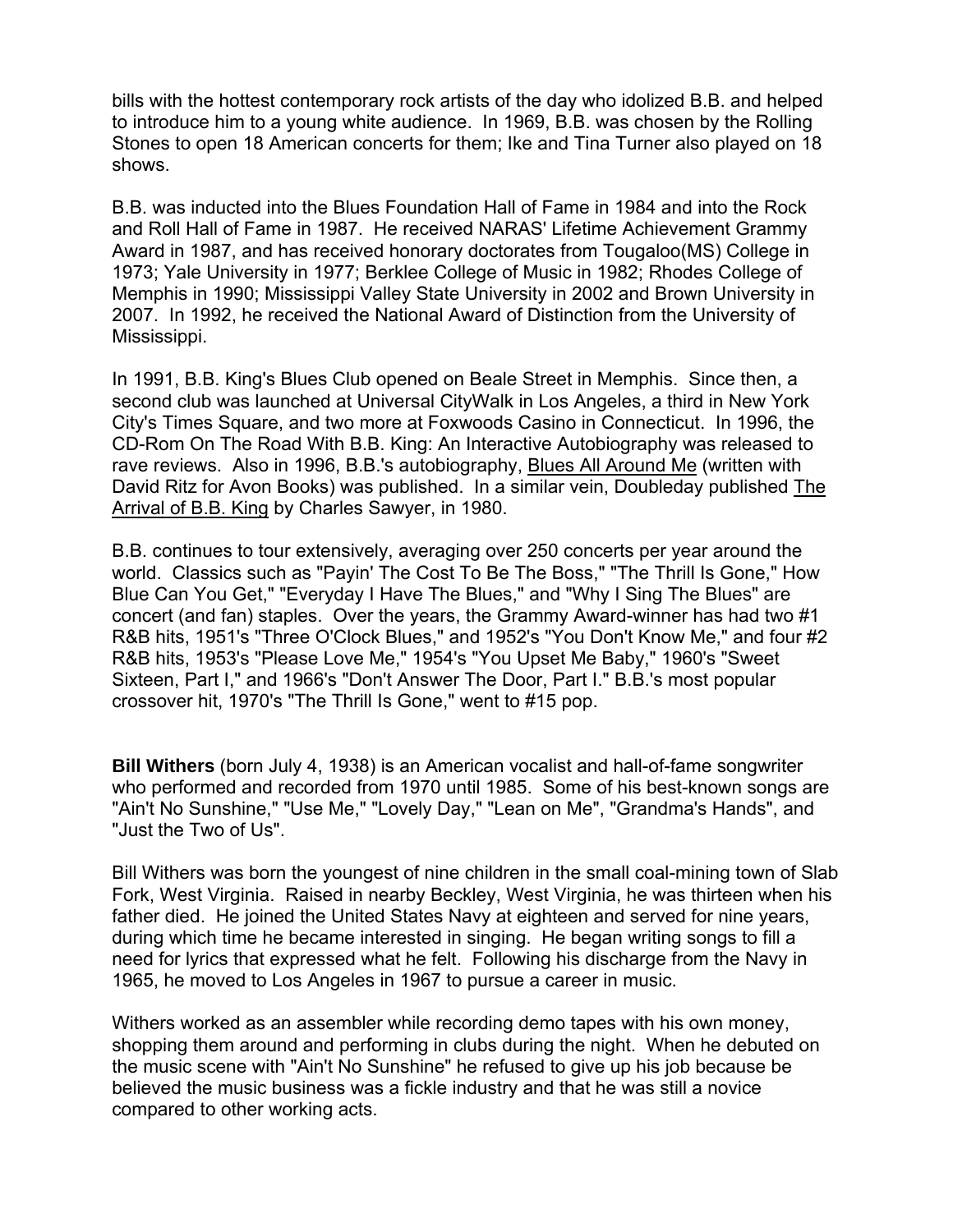bills with the hottest contemporary rock artists of the day who idolized B.B. and helped to introduce him to a young white audience. In 1969, B.B. was chosen by the Rolling Stones to open 18 American concerts for them; Ike and Tina Turner also played on 18 shows.

B.B. was inducted into the Blues Foundation Hall of Fame in 1984 and into the Rock and Roll Hall of Fame in 1987. He received NARAS' Lifetime Achievement Grammy Award in 1987, and has received honorary doctorates from Tougaloo(MS) College in 1973; Yale University in 1977; Berklee College of Music in 1982; Rhodes College of Memphis in 1990; Mississippi Valley State University in 2002 and Brown University in 2007. In 1992, he received the National Award of Distinction from the University of Mississippi.

In 1991, B.B. King's Blues Club opened on Beale Street in Memphis. Since then, a second club was launched at Universal CityWalk in Los Angeles, a third in New York City's Times Square, and two more at Foxwoods Casino in Connecticut. In 1996, the CD-Rom On The Road With B.B. King: An Interactive Autobiography was released to rave reviews. Also in 1996, B.B.'s autobiography, Blues All Around Me (written with David Ritz for Avon Books) was published. In a similar vein, Doubleday published The Arrival of B.B. King by Charles Sawyer, in 1980.

B.B. continues to tour extensively, averaging over 250 concerts per year around the world. Classics such as "Payin' The Cost To Be The Boss," "The Thrill Is Gone," How Blue Can You Get," "Everyday I Have The Blues," and "Why I Sing The Blues" are concert (and fan) staples. Over the years, the Grammy Award-winner has had two #1 R&B hits, 1951's "Three O'Clock Blues," and 1952's "You Don't Know Me," and four #2 R&B hits, 1953's "Please Love Me," 1954's "You Upset Me Baby," 1960's "Sweet Sixteen, Part I," and 1966's "Don't Answer The Door, Part I." B.B.'s most popular crossover hit, 1970's "The Thrill Is Gone," went to #15 pop.

**Bill Withers** (born July 4, 1938) is an [American](http://en.wikipedia.org/wiki/United_States) [vocalist](http://en.wikipedia.org/wiki/Singer-songwriter) and hall-of-fame songwriter who performed and recorded from 1970 until 1985. Some of his best-known songs are ["Ain't No Sunshine](http://en.wikipedia.org/wiki/Ain%27t_No_Sunshine)," ["Use Me,](http://en.wikipedia.org/wiki/Use_Me_(Bill_Withers_song))" ["Lovely Day](http://en.wikipedia.org/wiki/Lovely_Day_(song))," "[Lean on Me"](http://en.wikipedia.org/wiki/Lean_on_Me_(song)), ["Grandma's Hands](http://en.wikipedia.org/w/index.php?title=Grandma%27s_Hands&action=edit&redlink=1)", and ["Just the Two of Us"](http://en.wikipedia.org/wiki/Just_the_Two_of_Us_(song)).

Bill Withers was born the youngest of nine children in the small coal-mining town of [Slab](http://en.wikipedia.org/wiki/Slab_Fork,_West_Virginia)  [Fork, West Virginia](http://en.wikipedia.org/wiki/Slab_Fork,_West_Virginia). Raised in nearby [Beckley, West Virginia](http://en.wikipedia.org/wiki/Beckley,_West_Virginia), he was thirteen when his father died. He joined the United States Navy at eighteen and served for nine years, during which time he became interested in singing. He began writing songs to fill a need for [lyrics](http://en.wikipedia.org/wiki/Lyrics) that expressed what he felt. Following his discharge from the Navy in 1965, he moved to Los Angeles in 1967 to pursue a career in music.

Withers worked as an assembler while recording [demo tapes](http://en.wikipedia.org/wiki/Demo_(music)) with his own money, shopping them around and performing in [clubs](http://en.wikipedia.org/wiki/Nightclub) during the night. When he [debuted](http://en.wikipedia.org/wiki/Debut) on the music scene with "Ain't No Sunshine" he refused to give up his job because be believed the music business was a fickle industry and that he was still a [novice](http://en.wikipedia.org/wiki/Novice#Other_meanings) compared to other working acts.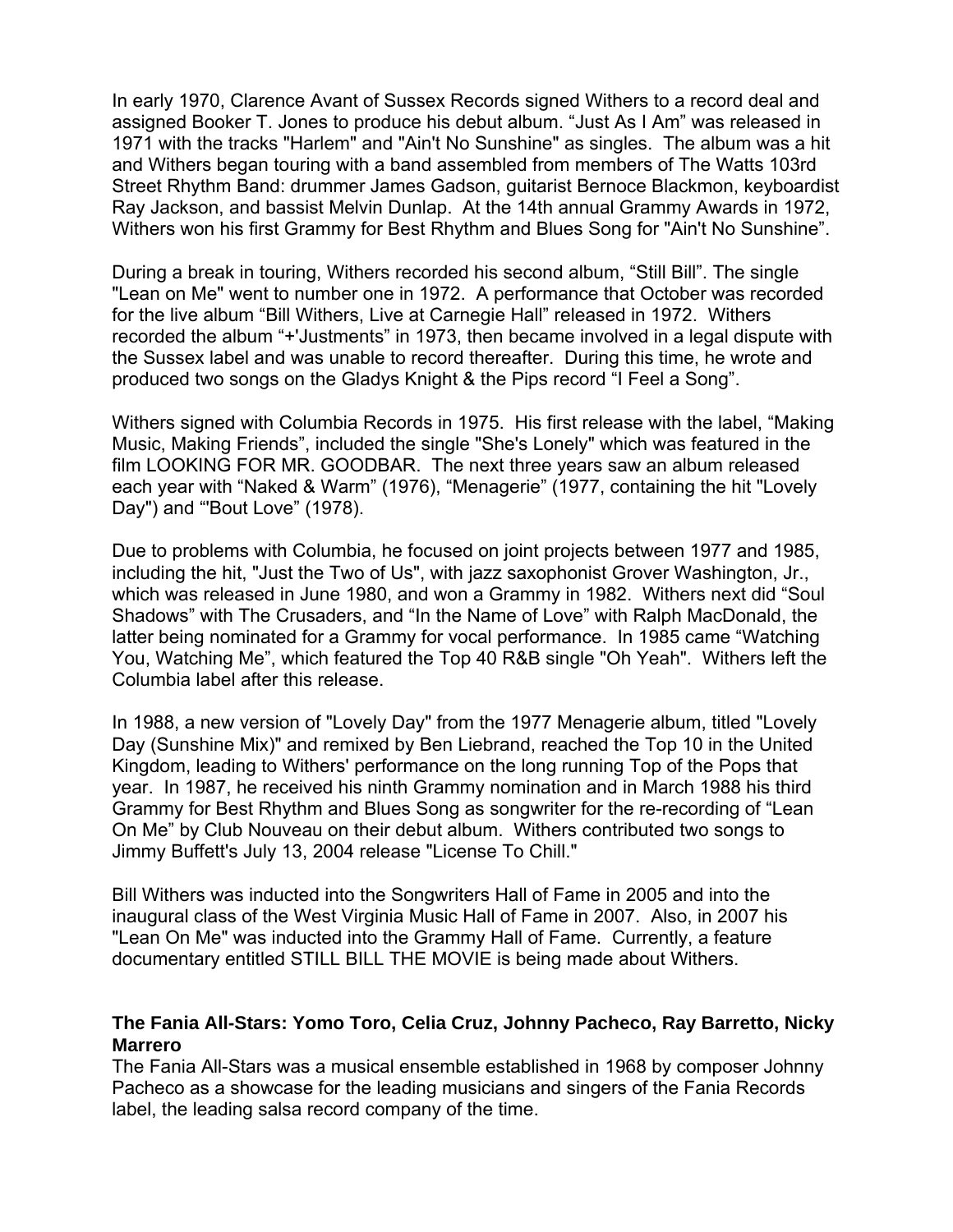In early 1970, Clarence Avant of Sussex Records signed Withers to a record deal and assigned [Booker T. Jones](http://en.wikipedia.org/wiki/Booker_T._Jones) to produce his debut album. "Just As I Am" was released in 1971 with the tracks "Harlem" and "Ain't No Sunshine" as singles. The album was a hit and Withers began touring with a band assembled from members of The [Watts 103rd](http://en.wikipedia.org/wiki/Charles_Wright_%26_the_Watts_103rd_Street_Rhythm_Band)  [Street Rhythm Band](http://en.wikipedia.org/wiki/Charles_Wright_%26_the_Watts_103rd_Street_Rhythm_Band): drummer [James Gadson,](http://en.wikipedia.org/wiki/James_Gadson) guitarist Bernoce Blackmon, [keyboardist](http://en.wikipedia.org/wiki/Keyboardist)  Ray Jackson, and [bassist](http://en.wikipedia.org/wiki/Bass_guitar) Melvin Dunlap. At the 14th annual [Grammy Awards](http://en.wikipedia.org/wiki/Grammy_Awards) in 1972, Withers won his first Grammy for Best [Rhythm and Blues](http://en.wikipedia.org/wiki/Rhythm_and_Blues) Song for "Ain't No Sunshine".

During a break in touring, Withers recorded his second album, "Still Bill". The single "Lean on Me" went to number one in 1972. A performance that October was recorded for the live album "Bill Withers, Live at Carnegie Hall" released in 1972. Withers recorded the album "+'Justments" in 1973, then became involved in a legal dispute with the Sussex label and was unable to record thereafter. During this time, he wrote and produced two songs on the [Gladys Knight & the Pips](http://en.wikipedia.org/wiki/Gladys_Knight_%26_the_Pips) record "[I Feel a Song](http://en.wikipedia.org/wiki/I_Feel_a_Song)".

Withers signed with [Columbia Records](http://en.wikipedia.org/wiki/Columbia_Records) in 1975. His first release with the label, "Making Music, Making Friends", included the single "She's Lonely" which was featured in the film [LOOKING FOR MR. GOODBAR](http://en.wikipedia.org/wiki/Looking_for_Mr._Goodbar). The next three years saw an album released each year with "Naked & Warm" (1976), "Menagerie" (1977, containing the hit ["Lovely](http://en.wikipedia.org/wiki/Lovely_Day_(song))  [Day](http://en.wikipedia.org/wiki/Lovely_Day_(song))") and "Bout Love" (1978).

Due to problems with Columbia, he focused on joint projects between 1977 and 1985, including the hit, ["Just the Two of Us"](http://en.wikipedia.org/wiki/Just_the_Two_of_Us_(song)), with [jazz](http://en.wikipedia.org/wiki/Jazz) [saxophonist](http://en.wikipedia.org/wiki/Saxophone) [Grover Washington, Jr.,](http://en.wikipedia.org/wiki/Grover_Washington,_Jr.) which was released in June 1980, and won a Grammy in 1982. Withers next did "Soul Shadows" with [The Crusaders,](http://en.wikipedia.org/wiki/The_Crusaders) and "In the Name of Love" with [Ralph MacDonald](http://en.wikipedia.org/wiki/Ralph_MacDonald), the latter being nominated for a Grammy for vocal performance. In 1985 came "Watching You, Watching Me", which featured the [Top 40](http://en.wikipedia.org/wiki/Top_40) R&B single "Oh Yeah". Withers left the Columbia label after this release.

In 1988, a new version of "Lovely Day" from the 1977 Menagerie album, titled "Lovely Day (Sunshine Mix)" and [remixed](http://en.wikipedia.org/wiki/Remix) by [Ben Liebrand](http://en.wikipedia.org/wiki/Ben_Liebrand), reached the [Top 10](http://en.wikipedia.org/wiki/Top_10) in the [United](http://en.wikipedia.org/wiki/United_Kingdom)  [Kingdom](http://en.wikipedia.org/wiki/United_Kingdom), leading to Withers' performance on the long running [Top of the Pops](http://en.wikipedia.org/wiki/Top_of_the_Pops) that year. In 1987, he received his ninth Grammy nomination and in March 1988 his third Grammy for Best Rhythm and Blues Song as songwriter for the re-recording of "Lean On Me" by [Club Nouveau](http://en.wikipedia.org/wiki/Club_Nouveau) on their debut album. Withers contributed two songs to Jimmy Buffett's July 13, 2004 release "License To Chill."

Bill Withers was inducted into the [Songwriters Hall of Fame](http://en.wikipedia.org/wiki/Songwriters_Hall_of_Fame) in 2005 and into the inaugural class of the West Virginia Music Hall of Fame in 2007. Also, in 2007 his "Lean On Me" was inducted into the [Grammy Hall of Fame](http://en.wikipedia.org/wiki/Grammy_Hall_of_Fame). Currently, a feature documentary entitled STILL BILL THE MOVIE is being made about Withers.

# **The Fania All-Stars: Yomo Toro, Celia Cruz, Johnny Pacheco, Ray Barretto, Nicky Marrero**

The Fania All-Stars was a musical ensemble established in 1968 by composer [Johnny](http://en.wikipedia.org/wiki/Johnny_Pacheco)  [Pacheco](http://en.wikipedia.org/wiki/Johnny_Pacheco) as a showcase for the leading musicians and singers of the [Fania Records](http://en.wikipedia.org/wiki/Fania_Records) label, the leading [salsa](http://en.wikipedia.org/wiki/Salsa_(music)) record company of the time.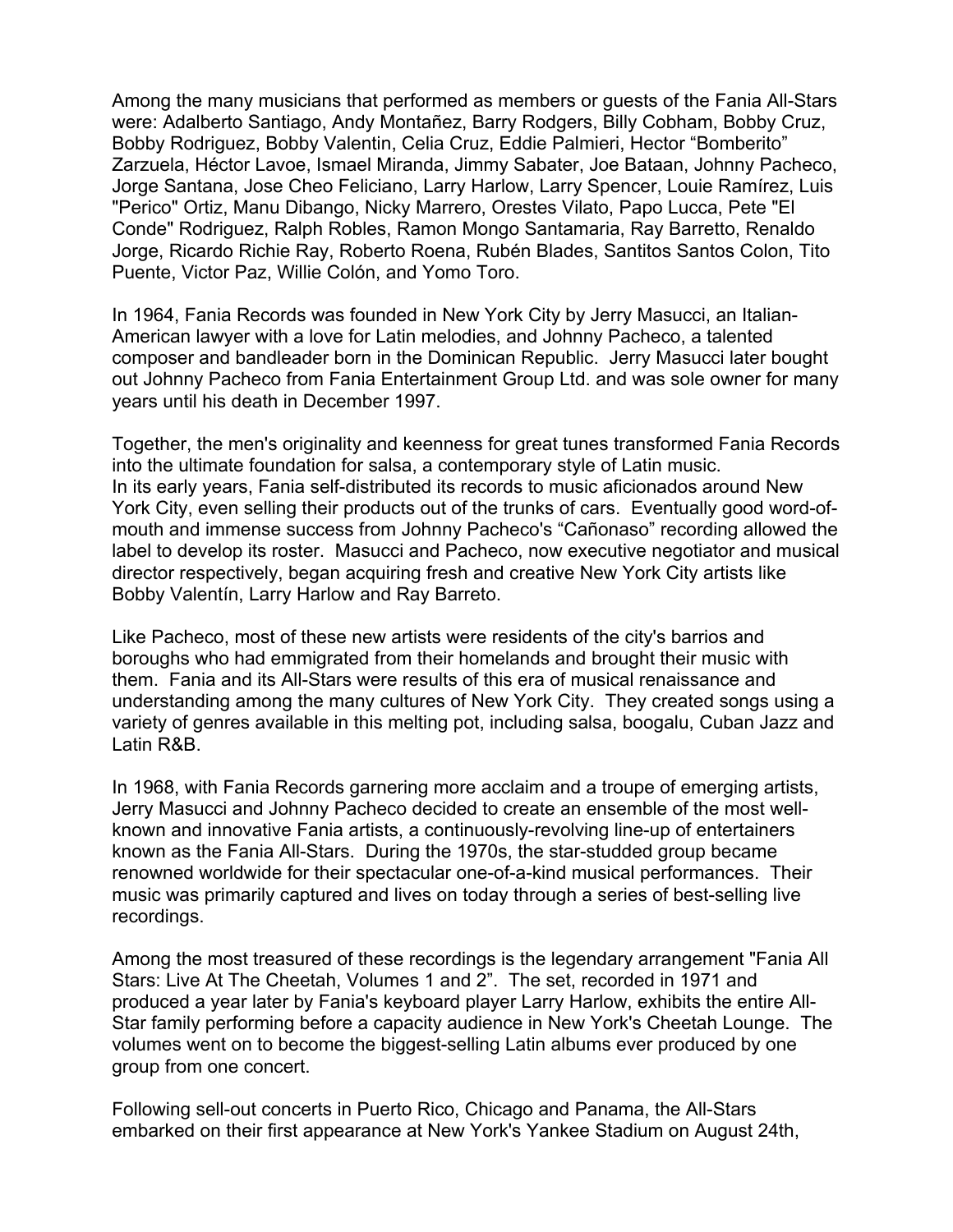Among the many musicians that performed as members or guests of the Fania All-Stars were: [Adalberto Santiago,](http://en.wikipedia.org/wiki/Adalberto_Santiago) [Andy Montañez,](http://en.wikipedia.org/wiki/Andy_Monta%C3%B1ez) Barry Rodgers, [Billy Cobham](http://en.wikipedia.org/wiki/Billy_Cobham), [Bobby Cruz,](http://en.wikipedia.org/wiki/Bobby_Cruz) Bobby Rodriguez, [Bobby Valentin,](http://en.wikipedia.org/wiki/Bobby_Valentin) [Celia Cruz](http://en.wikipedia.org/wiki/Celia_Cruz), [Eddie Palmieri](http://en.wikipedia.org/wiki/Eddie_Palmieri), Hector "Bomberito" Zarzuela, [Héctor Lavoe,](http://en.wikipedia.org/wiki/H%C3%A9ctor_Lavoe) [Ismael Miranda](http://en.wikipedia.org/wiki/Ismael_Miranda), Jimmy Sabater, [Joe Bataan](http://en.wikipedia.org/wiki/Joe_Bataan), [Johnny Pacheco,](http://en.wikipedia.org/wiki/Johnny_Pacheco) [Jorge Santana](http://en.wikipedia.org/wiki/Jorge_Santana), Jose [Cheo Feliciano](http://en.wikipedia.org/wiki/Cheo_Feliciano), [Larry Harlow](http://en.wikipedia.org/wiki/Larry_Harlow), Larry Spencer, Louie Ramírez, [Luis](http://en.wikipedia.org/wiki/Luis_%22Perico%22_Ortiz)  ["Perico" Ortiz](http://en.wikipedia.org/wiki/Luis_%22Perico%22_Ortiz), [Manu Dibango,](http://en.wikipedia.org/wiki/Manu_Dibango) Nicky Marrero, Orestes Vilato, [Papo Lucca](http://en.wikipedia.org/wiki/Papo_Lucca), [Pete "El](http://en.wikipedia.org/wiki/Pete_%22El_Conde%22_Rodriguez)  [Conde" Rodriguez,](http://en.wikipedia.org/wiki/Pete_%22El_Conde%22_Rodriguez) Ralph Robles, Ramon [Mongo Santamaria](http://en.wikipedia.org/wiki/Mongo_Santamaria), [Ray Barretto,](http://en.wikipedia.org/wiki/Ray_Barretto) Renaldo Jorge, Ricardo [Richie Ray](http://en.wikipedia.org/wiki/Richie_Ray), [Roberto Roena](http://en.wikipedia.org/wiki/Roberto_Roena), [Rubén Blades](http://en.wikipedia.org/wiki/Rub%C3%A9n_Blades), Santitos [Santos Colon,](http://en.wikipedia.org/wiki/Santos_Colon) [Tito](http://en.wikipedia.org/wiki/Tito_Puente)  [Puente](http://en.wikipedia.org/wiki/Tito_Puente), Victor Paz, [Willie Colón](http://en.wikipedia.org/wiki/Willie_Col%C3%B3n), and [Yomo Toro.](http://en.wikipedia.org/wiki/Yomo_Toro)

In 1964, Fania Records was founded in New York City by Jerry Masucci, an Italian-American lawyer with a love for Latin melodies, and Johnny Pacheco, a talented composer and bandleader born in the Dominican Republic. Jerry Masucci later bought out Johnny Pacheco from Fania Entertainment Group Ltd. and was sole owner for many years until his death in December 1997.

Together, the men's originality and keenness for great tunes transformed Fania Records into the ultimate foundation for salsa, a contemporary style of Latin music. In its early years, Fania self-distributed its records to music aficionados around New York City, even selling their products out of the trunks of cars. Eventually good word-ofmouth and immense success from Johnny Pacheco's "Cañonaso" recording allowed the label to develop its roster. Masucci and Pacheco, now executive negotiator and musical director respectively, began acquiring fresh and creative New York City artists like Bobby Valentín, Larry Harlow and Ray Barreto.

Like Pacheco, most of these new artists were residents of the city's barrios and boroughs who had emmigrated from their homelands and brought their music with them. Fania and its All-Stars were results of this era of musical renaissance and understanding among the many cultures of New York City. They created songs using a variety of genres available in this melting pot, including [salsa](http://en.wikipedia.org/wiki/Salsa_music), [boogalu,](http://en.wikipedia.org/wiki/Boogalu) [Cuban Jazz](http://en.wikipedia.org/w/index.php?title=Cuban_Jazz&action=edit&redlink=1) and [Latin R&B.](http://en.wikipedia.org/wiki/Latin_R%26B)

In 1968, with [Fania Records](http://en.wikipedia.org/wiki/Fania_Records) garnering more acclaim and a troupe of emerging artists, Jerry Masucci and Johnny Pacheco decided to create an ensemble of the most wellknown and innovative Fania artists, a continuously-revolving line-up of entertainers known as the Fania All-Stars. During the 1970s, the star-studded group became renowned worldwide for their spectacular one-of-a-kind musical performances. Their music was primarily captured and lives on today through a series of best-selling live recordings.

Among the most treasured of these recordings is the legendary arrangement "Fania All Stars: Live At The Cheetah, Volumes 1 and 2". The set, recorded in 1971 and produced a year later by Fania's keyboard player Larry Harlow, exhibits the entire All-Star family performing before a capacity audience in New York's Cheetah Lounge. The volumes went on to become the biggest-selling Latin albums ever produced by one group from one concert.

Following sell-out concerts in Puerto Rico, Chicago and Panama, the All-Stars embarked on their first appearance at New York's Yankee Stadium on August 24th,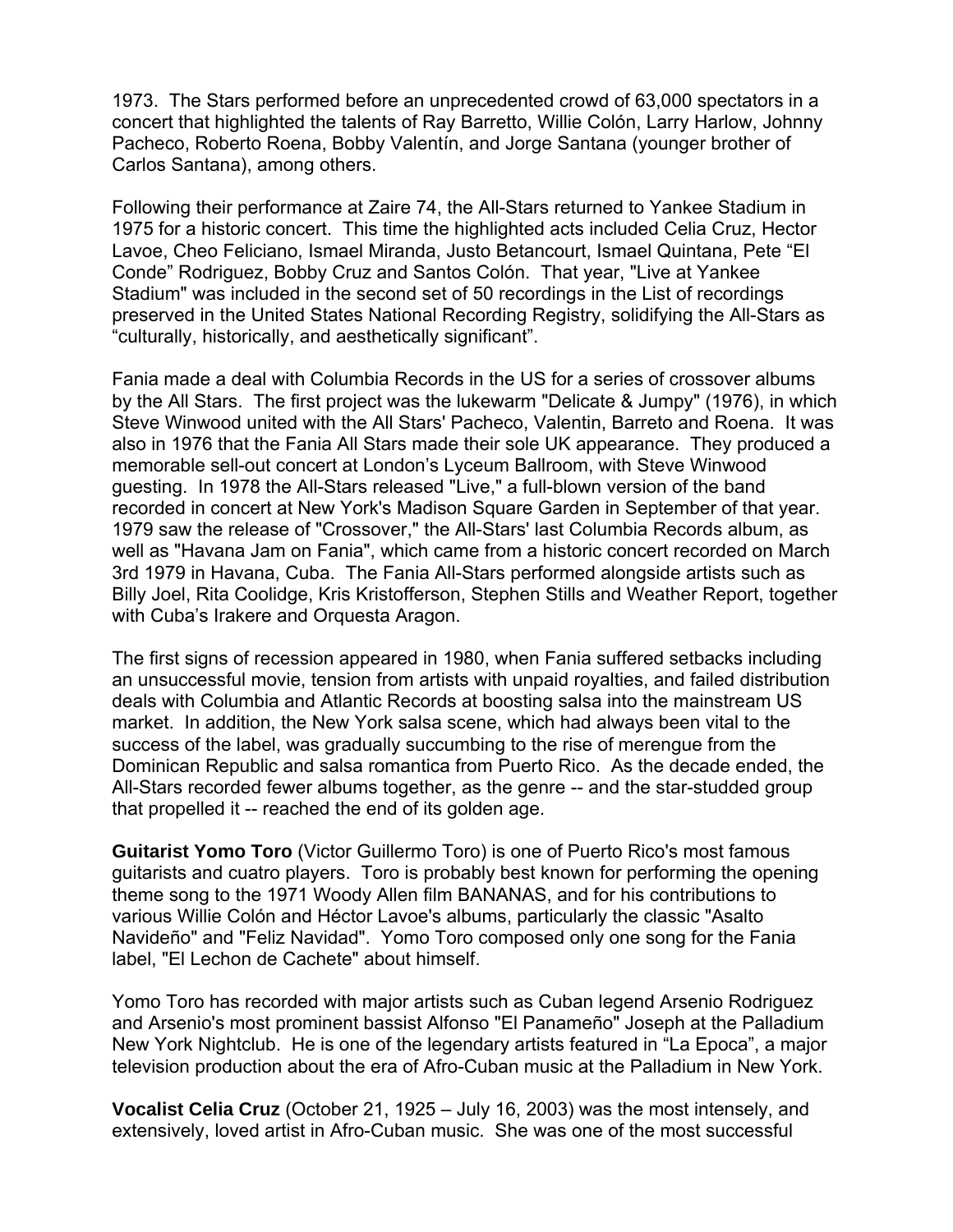1973. The Stars performed before an unprecedented crowd of 63,000 spectators in a concert that highlighted the talents of Ray Barretto, Willie Colón, Larry Harlow, Johnny Pacheco, Roberto Roena, Bobby Valentín, and Jorge Santana (younger brother of Carlos Santana), among others.

Following their performance at Zaire 74, the All-Stars returned to Yankee Stadium in 1975 for a historic concert. This time the highlighted acts included Celia Cruz, Hector Lavoe, Cheo Feliciano, Ismael Miranda, Justo Betancourt, Ismael Quintana, Pete "El Conde" Rodriguez, Bobby Cruz and Santos Colón. That year, "Live at Yankee Stadium" was included in the second set of 50 recordings in the [List of recordings](http://en.wikipedia.org/wiki/List_of_recordings_preserved_in_the_United_States_National_Recording_Registry)  [preserved in the United States National Recording Registry](http://en.wikipedia.org/wiki/List_of_recordings_preserved_in_the_United_States_National_Recording_Registry), solidifying the All-Stars as "culturally, historically, and aesthetically significant".

Fania made a deal with [Columbia Records](http://en.wikipedia.org/wiki/Columbia_Records) in the US for a series of crossover albums by the All Stars. The first project was the lukewarm "Delicate & Jumpy" (1976), in which Steve Winwood united with the All Stars' Pacheco, Valentin, Barreto and Roena. It was also in 1976 that the Fania All Stars made their sole UK appearance. They produced a memorable sell-out concert at London's Lyceum Ballroom, with Steve Winwood guesting. In 1978 the All-Stars released "Live," a full-blown version of the band recorded in concert at New York's Madison Square Garden in September of that year. 1979 saw the release of "Crossover," the All-Stars' last Columbia Records album, as well as "Havana Jam on Fania", which came from a historic concert recorded on March 3rd 1979 in Havana, Cuba. The Fania All-Stars performed alongside artists such as [Billy Joel](http://en.wikipedia.org/wiki/Billy_Joel), [Rita Coolidge](http://en.wikipedia.org/wiki/Rita_Coolidge), [Kris Kristofferson](http://en.wikipedia.org/wiki/Kris_Kristofferson), [Stephen Stills](http://en.wikipedia.org/wiki/Stephen_Stills) and [Weather Report,](http://en.wikipedia.org/wiki/Weather_Report) together with Cuba's Irakere and Orquesta Aragon.

The first signs of recession appeared in 1980, when Fania suffered setbacks including an unsuccessful movie, tension from artists with unpaid royalties, and failed distribution deals with Columbia and Atlantic Records at boosting salsa into the mainstream US market. In addition, the New York salsa scene, which had always been vital to the success of the label, was gradually succumbing to the rise of [merengue](http://en.wikipedia.org/wiki/Merengue) from the Dominican Republic and salsa romantica from Puerto Rico. As the decade ended, the All-Stars recorded fewer albums together, as the genre -- and the star-studded group that propelled it -- reached the end of its golden age.

**Guitarist Yomo Toro** (Victor Guillermo Toro) is one of [Puerto Rico](http://en.wikipedia.org/wiki/Puerto_Rico)'s most famous guitarists and [cuatro](http://en.wikipedia.org/wiki/Cuatro_(instrument)) players. Toro is probably best known for performing the opening theme song to the 1971 [Woody Allen](http://en.wikipedia.org/wiki/Woody_Allen) film BANANAS, and for his contributions to various [Willie Colón](http://en.wikipedia.org/wiki/Willie_Col%C3%B3n) and [Héctor Lavoe](http://en.wikipedia.org/wiki/H%C3%A9ctor_Lavoe)'s albums, particularly the classic "Asalto Navideño" and "Feliz Navidad". Yomo Toro composed only one song for the Fania label, "El Lechon de Cachete" about himself.

Yomo Toro has recorded with major artists such as Cuban legend [Arsenio Rodriguez](http://en.wikipedia.org/wiki/Arsenio_Rodriguez)  and Arsenio's most prominent bassist [Alfonso "El Panameño" Joseph](http://en.wikipedia.org/wiki/Alfonso_%22El_Paname%C3%B1o%22_Joseph) at the [Palladium](http://en.wikipedia.org/wiki/Palladium_(club))  [New York Nightclub.](http://en.wikipedia.org/wiki/Palladium_(club)) He is one of the legendary artists featured in "La Epoca", a major television production about the era of Afro-Cuban music at the Palladium in New York.

**Vocalist Celia Cruz** (October 21, 1925 – July 16, 2003) was the most intensely, and extensively, loved artist in Afro-Cuban music. She was one of the most successful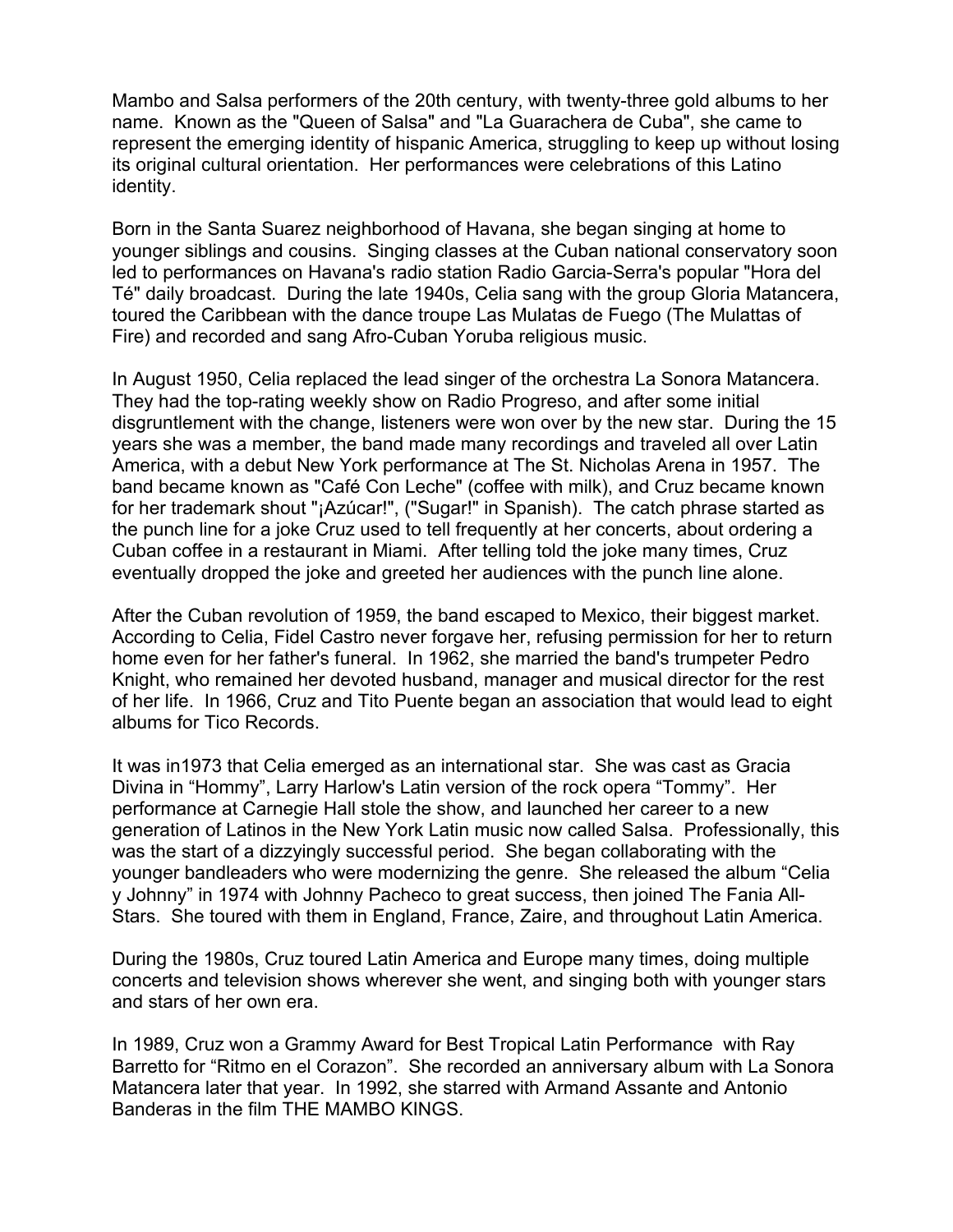Mambo and Salsa performers of the 20th century, with twenty-three gold albums to her name. Known as the "Queen of Salsa" and "La Guarachera de Cuba", she came to represent the emerging identity of hispanic America, struggling to keep up without losing its original cultural orientation. Her performances were celebrations of this Latino identity.

Born in the Santa Suarez neighborhood of Havana, she began singing at home to younger siblings and cousins. Singing classes at the Cuban national conservatory soon led to performances on Havana's radio station Radio Garcia-Serra's popular "Hora del Té" daily broadcast. During the late 1940s, Celia sang with the group Gloria Matancera, toured the Caribbean with the dance troupe Las Mulatas de Fuego (The Mulattas of Fire) and recorded and sang Afro-Cuban Yoruba religious music.

In August 1950, Celia replaced the lead singer of the orchestra La Sonora Matancera. They had the top-rating weekly show on Radio Progreso, and after some initial disgruntlement with the change, listeners were won over by the new star. During the 15 years she was a member, the band made many recordings and traveled all over Latin America, with a debut New York performance at The St. Nicholas Arena in 1957. The band became known as "Café Con Leche" (coffee with milk), and Cruz became known for her trademark shout "¡Azúcar!", ("Sugar!" in Spanish). The catch phrase started as the punch line for a joke Cruz used to tell frequently at her concerts, about ordering a Cuban coffee in a restaurant in Miami. After telling told the joke many times, Cruz eventually dropped the joke and greeted her audiences with the punch line alone.

After the Cuban revolution of 1959, the band escaped to Mexico, their biggest market. According to Celia, Fidel Castro never forgave her, refusing permission for her to return home even for her father's funeral. In 1962, she married the band's trumpeter Pedro Knight, who remained her devoted husband, manager and musical director for the rest of her life. In 1966, Cruz and Tito Puente began an association that would lead to eight albums for Tico Records.

It was in1973 that Celia emerged as an international star. She was cast as Gracia Divina in "Hommy", Larry Harlow's Latin version of the rock opera "Tommy". Her performance at Carnegie Hall stole the show, and launched her career to a new generation of Latinos in the New York Latin music now called Salsa. Professionally, this was the start of a dizzyingly successful period. She began collaborating with the younger bandleaders who were modernizing the genre. She released the album "Celia y Johnny" in 1974 with Johnny Pacheco to great success, then joined The Fania All-Stars. She toured with them in England, France, Zaire, and throughout Latin America.

During the 1980s, Cruz toured Latin America and Europe many times, doing multiple concerts and television shows wherever she went, and singing both with younger stars and stars of her own era.

In 1989, Cruz won a Grammy Award for Best Tropical Latin Performance with Ray Barretto for "Ritmo en el Corazon". She recorded an anniversary album with La Sonora Matancera later that year. In 1992, she starred with Armand Assante and Antonio Banderas in the film THE MAMBO KINGS.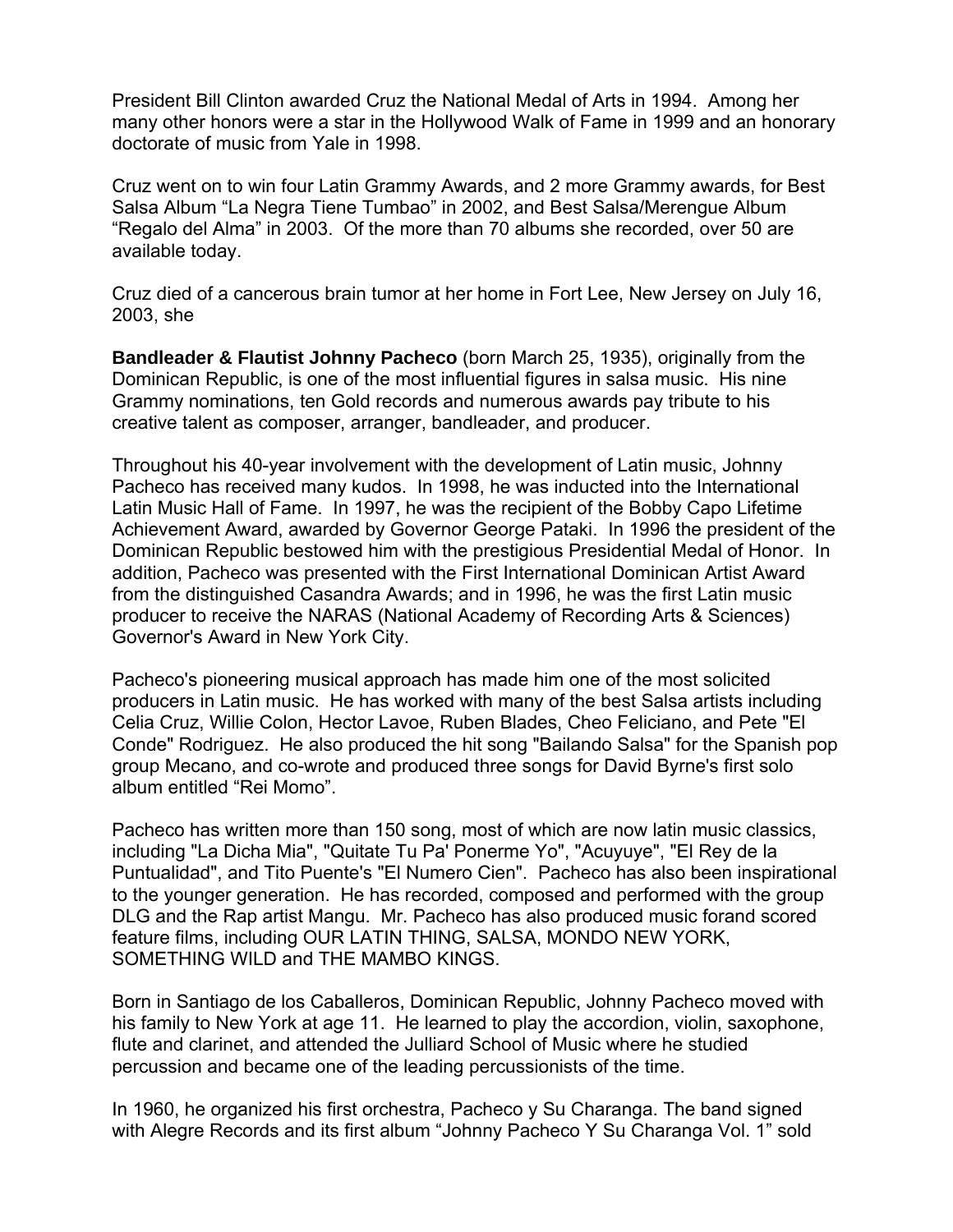President Bill Clinton awarded Cruz the National Medal of Arts in 1994. Among her many other honors were a star in the Hollywood Walk of Fame in 1999 and an honorary doctorate of music from Yale in 1998.

Cruz went on to win four Latin Grammy Awards, and 2 more Grammy awards, for Best Salsa Album "La Negra Tiene Tumbao" in 2002, and Best Salsa/Merengue Album "Regalo del Alma" in 2003. Of the more than 70 albums she recorded, over 50 are available today.

Cruz died of a cancerous brain tumor at her home in Fort Lee, New Jersey on July 16, 2003, she

**Bandleader & Flautist Johnny Pacheco** (born [March 25,](http://en.wikipedia.org/wiki/March_25) [1935](http://en.wikipedia.org/wiki/1935)), originally from the Dominican Republic, is one of the most influential figures in [salsa music](http://en.wikipedia.org/wiki/Salsa_music). His nine Grammy nominations, ten Gold records and numerous awards pay tribute to his creative talent as composer, arranger, bandleader, and producer.

Throughout his 40-year involvement with the development of Latin music, Johnny Pacheco has received many kudos. In 1998, he was inducted into the International Latin Music Hall of Fame. In 1997, he was the recipient of the Bobby Capo Lifetime Achievement Award, awarded by Governor George Pataki. In 1996 the president of the Dominican Republic bestowed him with the prestigious Presidential Medal of Honor. In addition, Pacheco was presented with the First International Dominican Artist Award from the distinguished Casandra Awards; and in 1996, he was the first Latin music producer to receive the NARAS (National Academy of Recording Arts & Sciences) Governor's Award in New York City.

Pacheco's pioneering musical approach has made him one of the most solicited producers in Latin music. He has worked with many of the best Salsa artists including Celia Cruz, Willie Colon, Hector Lavoe, Ruben Blades, Cheo Feliciano, and Pete "El Conde" Rodriguez. He also produced the hit song "Bailando Salsa" for the Spanish pop group Mecano, and co-wrote and produced three songs for David Byrne's first solo album entitled "Rei Momo".

Pacheco has written more than 150 song, most of which are now latin music classics, including "La Dicha Mia", "Quitate Tu Pa' Ponerme Yo", "Acuyuye", "El Rey de la Puntualidad", and Tito Puente's "El Numero Cien". Pacheco has also been inspirational to the younger generation. He has recorded, composed and performed with the group DLG and the Rap artist Mangu. Mr. Pacheco has also produced music forand scored feature films, including OUR LATIN THING, SALSA, MONDO NEW YORK, SOMETHING WILD and THE MAMBO KINGS.

Born in Santiago de los Caballeros, Dominican Republic, Johnny Pacheco moved with his family to New York at age 11. He learned to play the accordion, violin, saxophone, flute and clarinet, and attended the Julliard School of Music where he studied percussion and became one of the leading percussionists of the time.

In 1960, he organized his first orchestra, Pacheco y Su Charanga. The band signed with Alegre Records and its first album "Johnny Pacheco Y Su Charanga Vol. 1" sold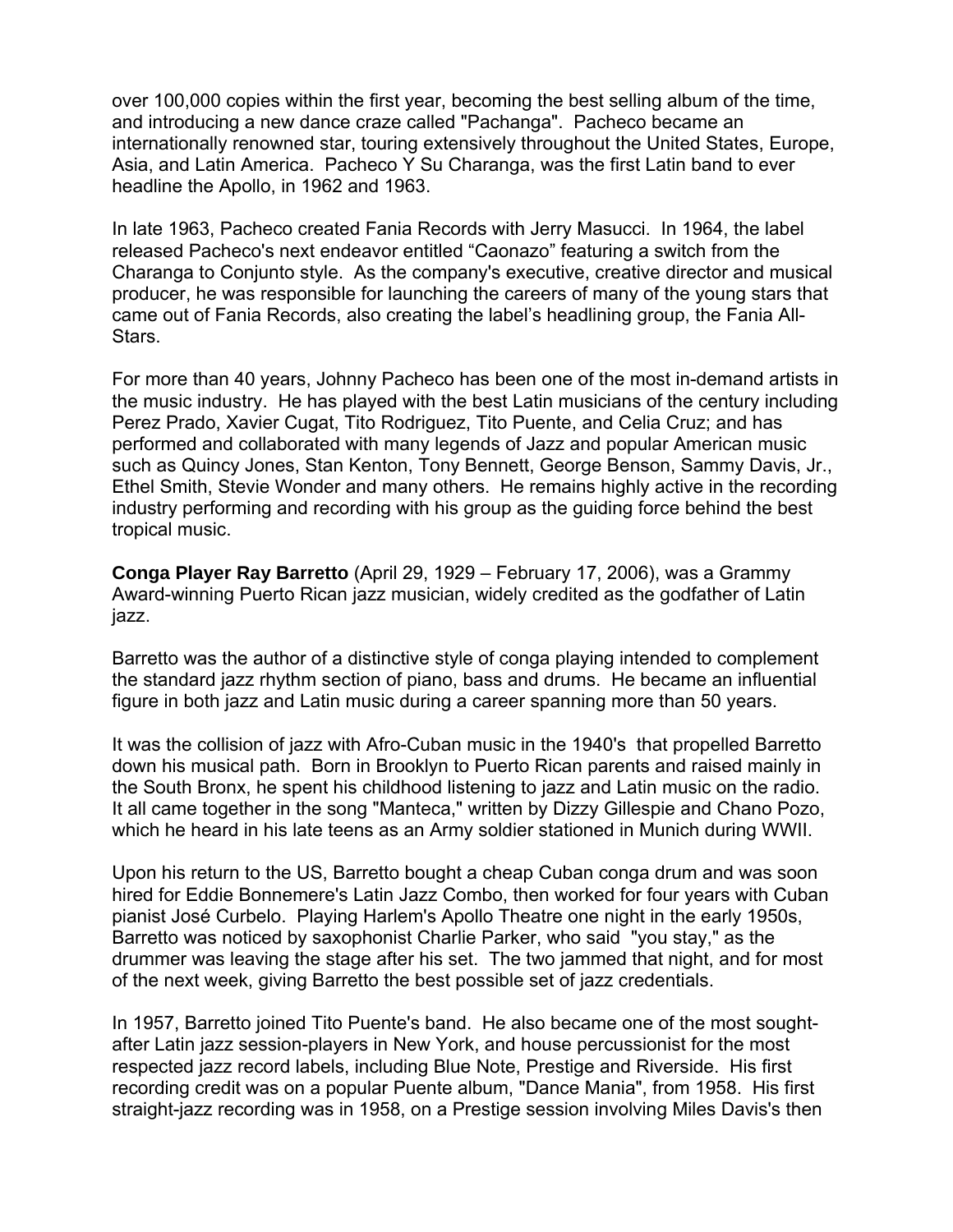over 100,000 copies within the first year, becoming the best selling album of the time, and introducing a new dance craze called "Pachanga". Pacheco became an internationally renowned star, touring extensively throughout the United States, Europe, Asia, and Latin America. Pacheco Y Su Charanga, was the first Latin band to ever headline the Apollo, in 1962 and 1963.

In late 1963, Pacheco created Fania Records with Jerry Masucci. In 1964, the label released Pacheco's next endeavor entitled "Caonazo" featuring a switch from the Charanga to Conjunto style. As the company's executive, creative director and musical producer, he was responsible for launching the careers of many of the young stars that came out of Fania Records, also creating the label's headlining group, the Fania All-Stars.

For more than 40 years, Johnny Pacheco has been one of the most in-demand artists in the music industry. He has played with the best Latin musicians of the century including Perez Prado, Xavier Cugat, Tito Rodriguez, Tito Puente, and Celia Cruz; and has performed and collaborated with many legends of Jazz and popular American music such as Quincy Jones, Stan Kenton, Tony Bennett, George Benson, Sammy Davis, Jr., Ethel Smith, Stevie Wonder and many others. He remains highly active in the recording industry performing and recording with his group as the guiding force behind the best tropical music.

**Conga Player Ray Barretto** [\(April 29](http://en.wikipedia.org/wiki/April_29), [1929](http://en.wikipedia.org/wiki/1929) – [February 17,](http://en.wikipedia.org/wiki/February_17) [2006\)](http://en.wikipedia.org/wiki/2006), was a [Grammy](http://en.wikipedia.org/wiki/Grammy) Award-winning [Puerto Rican](http://en.wikipedia.org/wiki/Puerto_Rico) [jazz](http://en.wikipedia.org/wiki/Jazz) musician, widely credited as the godfather of Latin jazz.

Barretto was the author of a distinctive style of conga playing intended to complement the standard jazz rhythm section of piano, bass and drums. He became an influential figure in both jazz and Latin music during a career spanning more than 50 years.

It was the collision of jazz with Afro-Cuban music in the 1940's that propelled Barretto down his musical path. Born in Brooklyn to Puerto Rican parents and raised mainly in the South Bronx, he spent his childhood listening to jazz and Latin music on the radio. It all came together in the song "Manteca," written by Dizzy Gillespie and Chano Pozo, which he heard in his late teens as an Army soldier stationed in Munich during WWII.

Upon his return to the US, Barretto bought a cheap Cuban conga drum and was soon hired for Eddie Bonnemere's Latin Jazz Combo, then worked for four years with Cuban pianist José Curbelo. Playing Harlem's Apollo Theatre one night in the early 1950s, Barretto was noticed by saxophonist Charlie Parker, who said "you stay," as the drummer was leaving the stage after his set. The two jammed that night, and for most of the next week, giving Barretto the best possible set of jazz credentials.

In 1957, Barretto joined Tito Puente's band. He also became one of the most soughtafter Latin jazz session-players in New York, and house percussionist for the most respected jazz record labels, including Blue Note, Prestige and Riverside. His first recording credit was on a popular Puente album, "Dance Mania", from 1958. His first straight-jazz recording was in 1958, on a Prestige session involving Miles Davis's then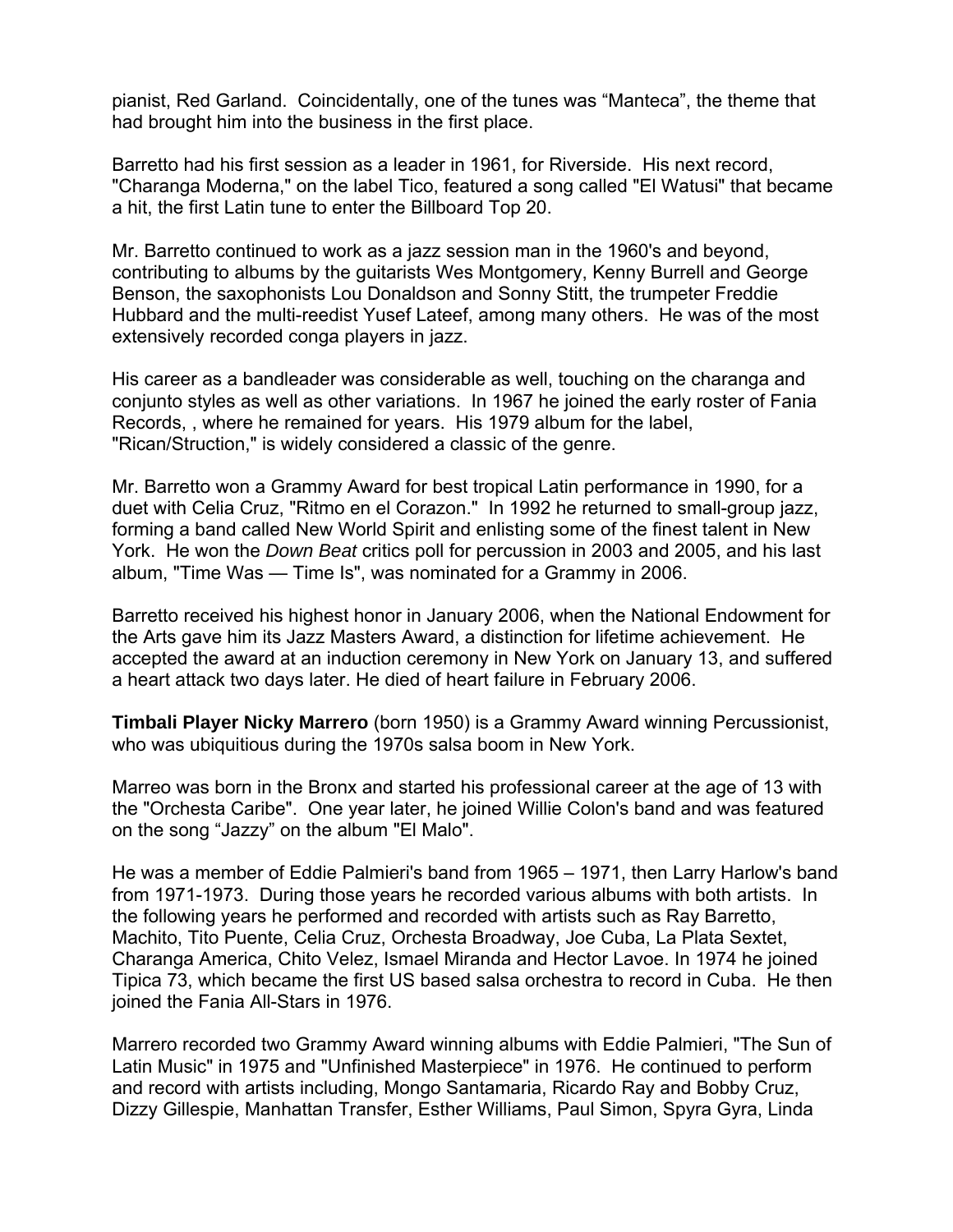pianist, Red Garland. Coincidentally, one of the tunes was "Manteca", the theme that had brought him into the business in the first place.

Barretto had his first session as a leader in 1961, for Riverside. His next record, "Charanga Moderna," on the label Tico, featured a song called "El Watusi" that became a hit, the first Latin tune to enter the Billboard Top 20.

Mr. Barretto continued to work as a jazz session man in the 1960's and beyond, contributing to albums by the guitarists Wes Montgomery, Kenny Burrell and George Benson, the saxophonists Lou Donaldson and Sonny Stitt, the trumpeter Freddie Hubbard and the multi-reedist Yusef Lateef, among many others. He was of the most extensively recorded conga players in jazz.

His career as a bandleader was considerable as well, touching on the charanga and conjunto styles as well as other variations. In 1967 he joined the early roster of Fania Records, , where he remained for years. His 1979 album for the label, "Rican/Struction," is widely considered a classic of the genre.

Mr. Barretto won a Grammy Award for best tropical Latin performance in 1990, for a duet with Celia Cruz, "Ritmo en el Corazon." In 1992 he returned to small-group jazz, forming a band called New World Spirit and enlisting some of the finest talent in New York. He won the *Down Beat* critics poll for percussion in 2003 and 2005, and his last album, "Time Was — Time Is", was nominated for a Grammy in 2006.

Barretto received his highest honor in January 2006, when the National Endowment for the Arts gave him its Jazz Masters Award, a distinction for lifetime achievement. He accepted the award at an induction ceremony in New York on January 13, and suffered a heart attack two days later. He died of heart failure in February 2006.

**Timbali Player Nicky Marrero** (born 1950) is a Grammy Award winning Percussionist, who was ubiquitious during the 1970s salsa boom in New York.

Marreo was born in the Bronx and started his professional career at the age of 13 with the "Orchesta Caribe". One year later, he joined Willie Colon's band and was featured on the song "Jazzy" on the album "El Malo".

He was a member of Eddie Palmieri's band from 1965 – 1971, then Larry Harlow's band from 1971-1973. During those years he recorded various albums with both artists. In the following years he performed and recorded with artists such as Ray Barretto, Machito, Tito Puente, Celia Cruz, Orchesta Broadway, Joe Cuba, La Plata Sextet, Charanga America, Chito Velez, Ismael Miranda and Hector Lavoe. In 1974 he joined Tipica 73, which became the first US based salsa orchestra to record in Cuba. He then joined the Fania All-Stars in 1976.

Marrero recorded two Grammy Award winning albums with Eddie Palmieri, "The Sun of Latin Music" in 1975 and "Unfinished Masterpiece" in 1976. He continued to perform and record with artists including, Mongo Santamaria, Ricardo Ray and Bobby Cruz, Dizzy Gillespie, Manhattan Transfer, Esther Williams, Paul Simon, Spyra Gyra, Linda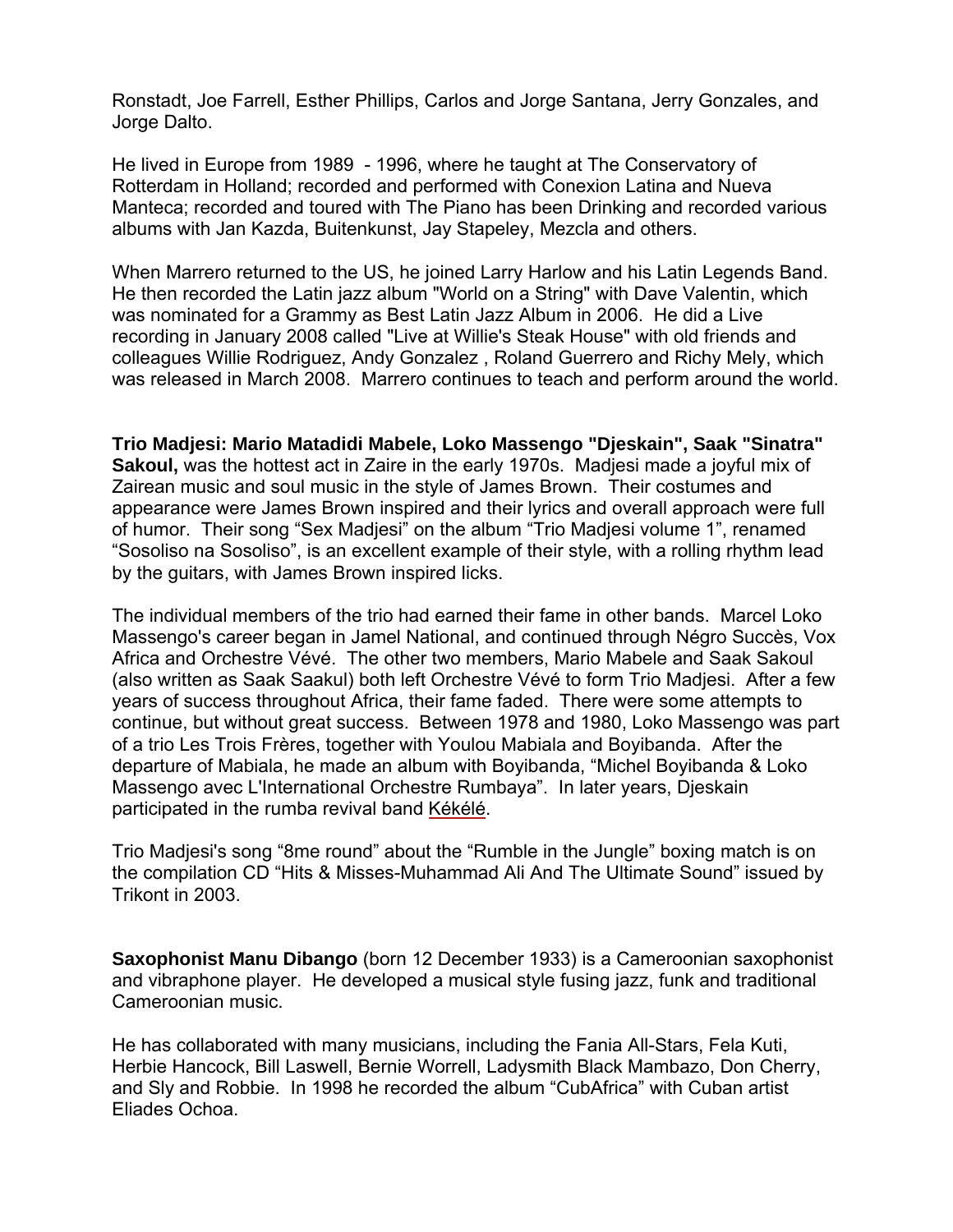Ronstadt, Joe Farrell, Esther Phillips, Carlos and Jorge Santana, Jerry Gonzales, and Jorge Dalto.

He lived in Europe from 1989 - 1996, where he taught at The Conservatory of Rotterdam in Holland; recorded and performed with Conexion Latina and Nueva Manteca; recorded and toured with The Piano has been Drinking and recorded various albums with Jan Kazda, Buitenkunst, Jay Stapeley, Mezcla and others.

When Marrero returned to the US, he joined Larry Harlow and his Latin Legends Band. He then recorded the Latin jazz album "World on a String" with Dave Valentin, which was nominated for a Grammy as Best Latin Jazz Album in 2006. He did a Live recording in January 2008 called "Live at Willie's Steak House" with old friends and colleagues Willie Rodriguez, Andy Gonzalez , Roland Guerrero and Richy Mely, which was released in March 2008. Marrero continues to teach and perform around the world.

**Trio Madjesi: Mario Matadidi Mabele, Loko Massengo "Djeskain", Saak "Sinatra" Sakoul,** was the hottest act in Zaire in the early 1970s. Madjesi made a joyful mix of Zairean music and soul music in the style of James Brown. Their costumes and appearance were James Brown inspired and their lyrics and overall approach were full of humor. Their song "Sex Madjesi" on the album "Trio Madjesi volume 1", renamed "Sosoliso na Sosoliso", is an excellent example of their style, with a rolling rhythm lead by the guitars, with James Brown inspired licks.

The individual members of the trio had earned their fame in other bands. Marcel Loko Massengo's career began in Jamel National, and continued through Négro Succès, Vox Africa and Orchestre Vévé. The other two members, Mario Mabele and Saak Sakoul (also written as Saak Saakul) both left Orchestre Vévé to form Trio Madjesi. After a few years of success throughout Africa, their fame faded. There were some attempts to continue, but without great success. Between 1978 and 1980, Loko Massengo was part of a trio Les Trois Frères, together with Youlou Mabiala and Boyibanda. After the departure of Mabiala, he made an album with Boyibanda, "Michel Boyibanda & Loko Massengo avec L'International Orchestre Rumbaya". In later years, Djeskain participated in the rumba revival band [Kékélé](http://www.geocities.com/fbessem/frames/art_kekele.html).

Trio Madjesi's song "8me round" about the "Rumble in the Jungle" boxing match is on the compilation CD "Hits & Misses-Muhammad Ali And The Ultimate Sound" issued by Trikont in 2003.

**Saxophonist Manu Dibango** (born [12 December](http://en.wikipedia.org/wiki/December_12) [1933\)](http://en.wikipedia.org/wiki/1933) is a Cameroonian [saxophonist](http://en.wikipedia.org/wiki/Saxophonist) and [vibraphone](http://en.wikipedia.org/wiki/Vibraphone) player. He developed a musical style fusing jazz, funk and traditional Cameroonian music.

He has collaborated with many musicians, including the [Fania All-Stars,](http://en.wikipedia.org/wiki/Fania_All_Stars) [Fela Kuti,](http://en.wikipedia.org/wiki/Fela_Kuti) [Herbie Hancock](http://en.wikipedia.org/wiki/Herbie_Hancock), [Bill Laswell](http://en.wikipedia.org/wiki/Bill_Laswell), [Bernie Worrell](http://en.wikipedia.org/wiki/Bernie_Worrell), [Ladysmith Black Mambazo](http://en.wikipedia.org/wiki/Ladysmith_Black_Mambazo), [Don Cherry](http://en.wikipedia.org/wiki/Don_Cherry_(jazz)), and [Sly and Robbie.](http://en.wikipedia.org/wiki/Sly_and_Robbie) In 1998 he recorded the album "CubAfrica" with Cuban artist [Eliades Ochoa](http://en.wikipedia.org/wiki/Eliades_Ochoa).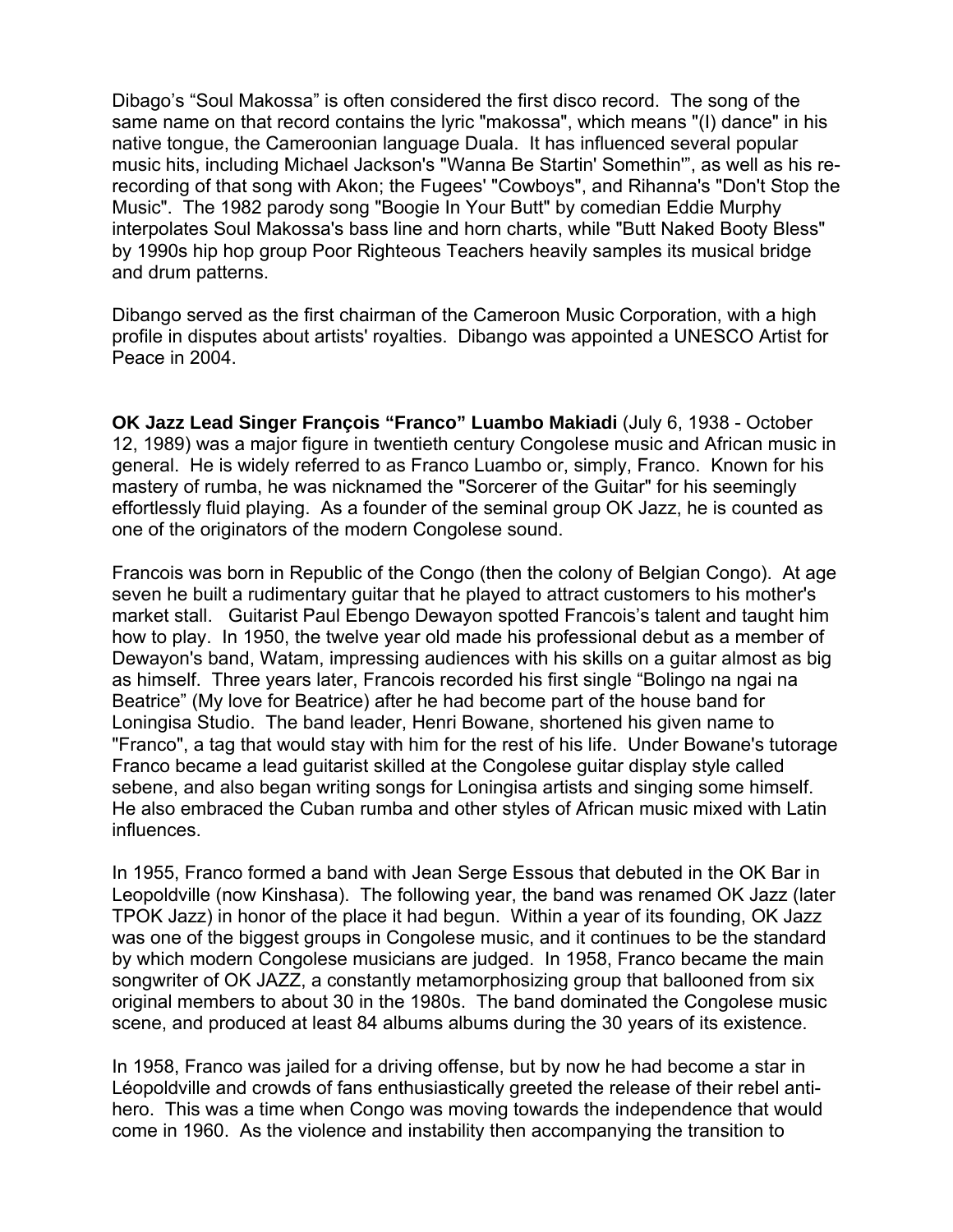Dibago's "[Soul Makossa](http://en.wikipedia.org/wiki/Soul_Makossa)" is often considered the first [disco](http://en.wikipedia.org/wiki/Disco) record. The song of the same name on that record contains the lyric "makossa", which means "(I) dance" in his native tongue, the [Cameroonian](http://en.wikipedia.org/wiki/Cameroon) language [Duala](http://en.wikipedia.org/wiki/Duala_language). It has influenced several popular music hits, including [Michael Jackson](http://en.wikipedia.org/wiki/Michael_Jackson)'s ["Wanna Be Startin' Somethin'"](http://en.wikipedia.org/wiki/Wanna_Be_Startin%27_Somethin%27), as well as his rerecording of that song with [Akon](http://en.wikipedia.org/wiki/Akon); the [Fugees](http://en.wikipedia.org/wiki/Fugees)' "Cowboys", and [Rihanna](http://en.wikipedia.org/wiki/Rihanna)'s ["Don't Stop the](http://en.wikipedia.org/wiki/Don%27t_Stop_the_Music_(Rihanna_song))  [Music](http://en.wikipedia.org/wiki/Don%27t_Stop_the_Music_(Rihanna_song))". The 1982 [parody](http://en.wikipedia.org/wiki/Parody) song ["Boogie In Your Butt](http://en.wikipedia.org/w/index.php?title=Boogie_In_Your_Butt&action=edit&redlink=1)" by comedian [Eddie Murphy](http://en.wikipedia.org/wiki/Eddie_Murphy) [interpolates](http://en.wikipedia.org/w/index.php?title=Interpolates&action=edit&redlink=1) Soul Makossa's bass line and horn charts, while ["Butt Naked Booty Bless](http://en.wikipedia.org/w/index.php?title=Butt_Naked_Booty_Bless&action=edit&redlink=1)" by 1990s hip hop group [Poor Righteous Teachers](http://en.wikipedia.org/wiki/Poor_Righteous_Teachers) heavily [samples](http://en.wikipedia.org/wiki/Sampling_(music)) its musical bridge and drum patterns.

Dibango served as the first chairman of the Cameroon Music Corporation, with a high profile in disputes about artists' [royalties](http://en.wikipedia.org/wiki/Royalties). Dibango was appointed a [UNESCO Artist for](http://en.wikipedia.org/wiki/UNESCO_Artist_for_Peace)  [Peace](http://en.wikipedia.org/wiki/UNESCO_Artist_for_Peace) in 2004.

**OK Jazz Lead Singer François "Franco" Luambo Makiadi** [\(July](http://en.wikipedia.org/wiki/July_6) 6, [1938](http://en.wikipedia.org/wiki/1938) - [October](http://en.wikipedia.org/wiki/October_12) 12, [1989\)](http://en.wikipedia.org/wiki/1989) was a major figure in twentieth century [Congolese music](http://en.wikipedia.org/wiki/Music_of_the_Democratic_Republic_of_the_Congo) and [African music](http://en.wikipedia.org/wiki/African_music) in general. He is widely referred to as Franco Luambo or, simply, Franco. Known for his mastery of [rumba](http://en.wikipedia.org/wiki/African_Rumba), he was nicknamed the "Sorcerer of the Guitar" for his seemingly effortlessly fluid playing. As a founder of the seminal group [OK Jazz,](http://en.wikipedia.org/wiki/OK_Jazz) he is counted as one of the originators of the modern Congolese sound.

Francois was born in Republic of the Congo (then the colony of Belgian Congo). At age seven he built a rudimentary guitar that he played to attract customers to his mother's market stall. Guitarist Paul Ebengo Dewayon spotted Francois's talent and taught him how to play. In 1950, the twelve year old made his professional debut as a member of Dewayon's band, Watam, impressing audiences with his skills on a guitar almost as big as himself. Three years later, Francois recorded his first single "Bolingo na ngai na Beatrice" (My love for Beatrice) after he had become part of the house band for Loningisa Studio. The band leader, Henri Bowane, shortened his given name to "Franco", a tag that would stay with him for the rest of his life. Under Bowane's tutorage Franco became a lead guitarist skilled at the Congolese guitar display style called sebene, and also began writing songs for Loningisa artists and singing some himself. He also embraced the Cuban rumba and other styles of African music mixed with Latin influences.

In 1955, Franco formed a band with Jean Serge Essous that debuted in the OK Bar in Leopoldville (now Kinshasa). The following year, the band was renamed OK Jazz (later TPOK Jazz) in honor of the place it had begun. Within a year of its founding, OK Jazz was one of the biggest groups in Congolese music, and it continues to be the standard by which modern Congolese musicians are judged. In 1958, Franco became the main songwriter of OK JAZZ, a constantly metamorphosizing group that ballooned from six original members to about 30 in the 1980s. The band dominated the Congolese music scene, and produced at least 84 albums albums during the 30 years of its existence.

In 1958, Franco was jailed for a driving offense, but by now he had become a star in Léopoldville and crowds of fans enthusiastically greeted the release of their rebel antihero. This was a time when Congo was moving towards the independence that would come in 1960. As the violence and instability then accompanying the transition to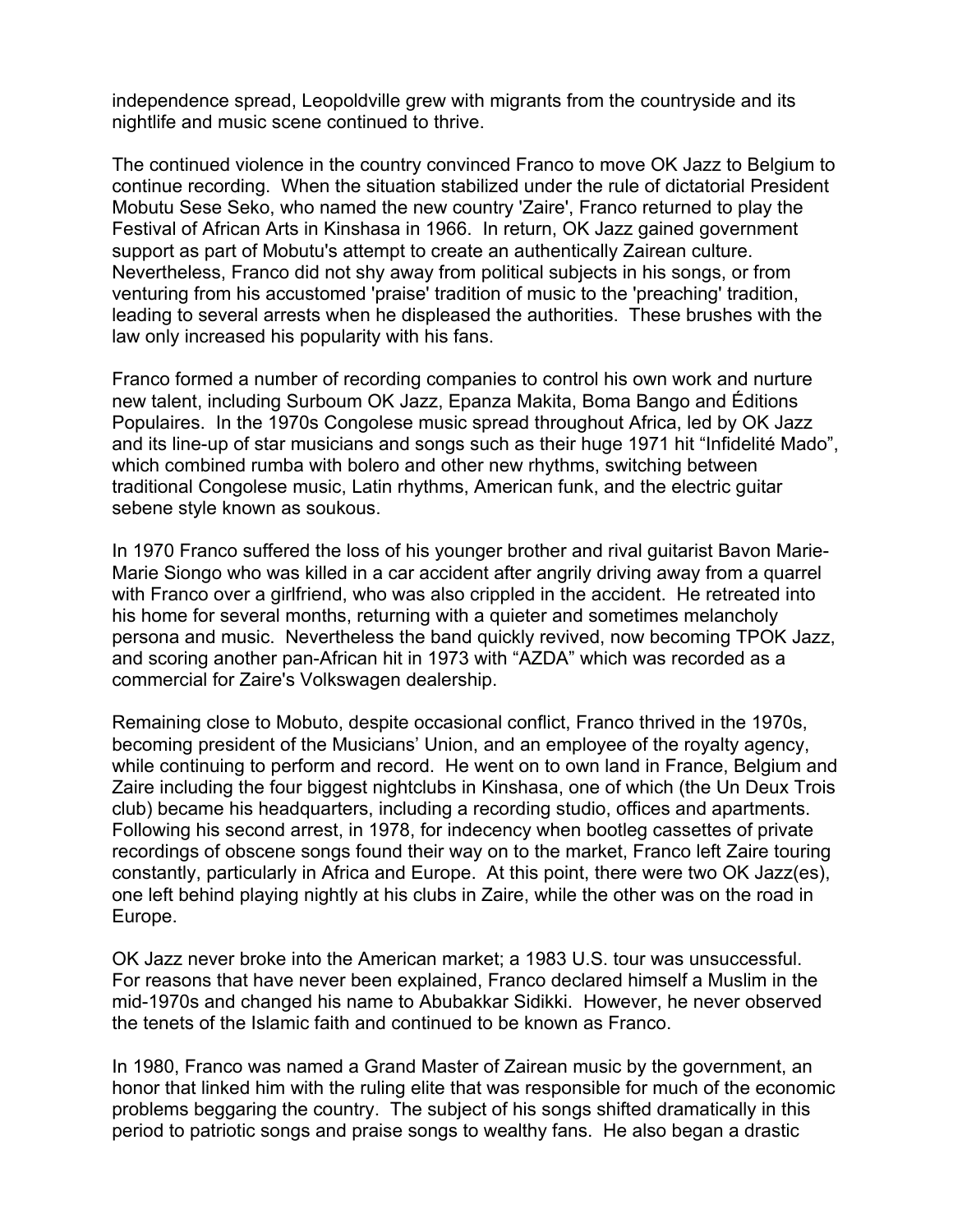independence spread, Leopoldville grew with migrants from the countryside and its nightlife and music scene continued to thrive.

The continued violence in the country convinced Franco to move OK Jazz to Belgium to continue recording. When the situation stabilized under the rule of dictatorial President Mobutu Sese Seko, who named the new country 'Zaire', Franco returned to play the Festival of African Arts in Kinshasa in 1966. In return, OK Jazz gained government support as part of Mobutu's attempt to create an authentically Zairean culture. Nevertheless, Franco did not shy away from political subjects in his songs, or from venturing from his accustomed 'praise' tradition of music to the 'preaching' tradition, leading to several arrests when he displeased the authorities. These brushes with the law only increased his popularity with his fans.

Franco formed a number of recording companies to control his own work and nurture new talent, including Surboum OK Jazz, Epanza Makita, Boma Bango and Éditions Populaires. In the 1970s Congolese music spread throughout Africa, led by OK Jazz and its line-up of star musicians and songs such as their huge 1971 hit "Infidelité Mado", which combined rumba with bolero and other new rhythms, switching between traditional Congolese music, Latin rhythms, American funk, and the electric guitar sebene style known as soukous.

In 1970 Franco suffered the loss of his younger brother and rival guitarist Bavon Marie-Marie Siongo who was killed in a car accident after angrily driving away from a quarrel with Franco over a girlfriend, who was also crippled in the accident. He retreated into his home for several months, returning with a quieter and sometimes melancholy persona and music. Nevertheless the band quickly revived, now becoming TPOK Jazz, and scoring another pan-African hit in 1973 with "AZDA" which was recorded as a commercial for Zaire's Volkswagen dealership.

Remaining close to Mobuto, despite occasional conflict, Franco thrived in the 1970s, becoming president of the Musicians' Union, and an employee of the royalty agency, while continuing to perform and record. He went on to own land in France, Belgium and Zaire including the four biggest nightclubs in Kinshasa, one of which (the Un Deux Trois club) became his headquarters, including a recording studio, offices and apartments. Following his second arrest, in 1978, for indecency when bootleg cassettes of private recordings of obscene songs found their way on to the market, Franco left Zaire touring constantly, particularly in Africa and Europe. At this point, there were two OK Jazz(es), one left behind playing nightly at his clubs in Zaire, while the other was on the road in Europe.

OK Jazz never broke into the American market; a 1983 U.S. tour was unsuccessful. For reasons that have never been explained, Franco declared himself a Muslim in the mid-1970s and changed his name to Abubakkar Sidikki. However, he never observed the tenets of the Islamic faith and continued to be known as Franco.

In 1980, Franco was named a Grand Master of Zairean music by the government, an honor that linked him with the ruling elite that was responsible for much of the economic problems beggaring the country. The subject of his songs shifted dramatically in this period to patriotic songs and praise songs to wealthy fans. He also began a drastic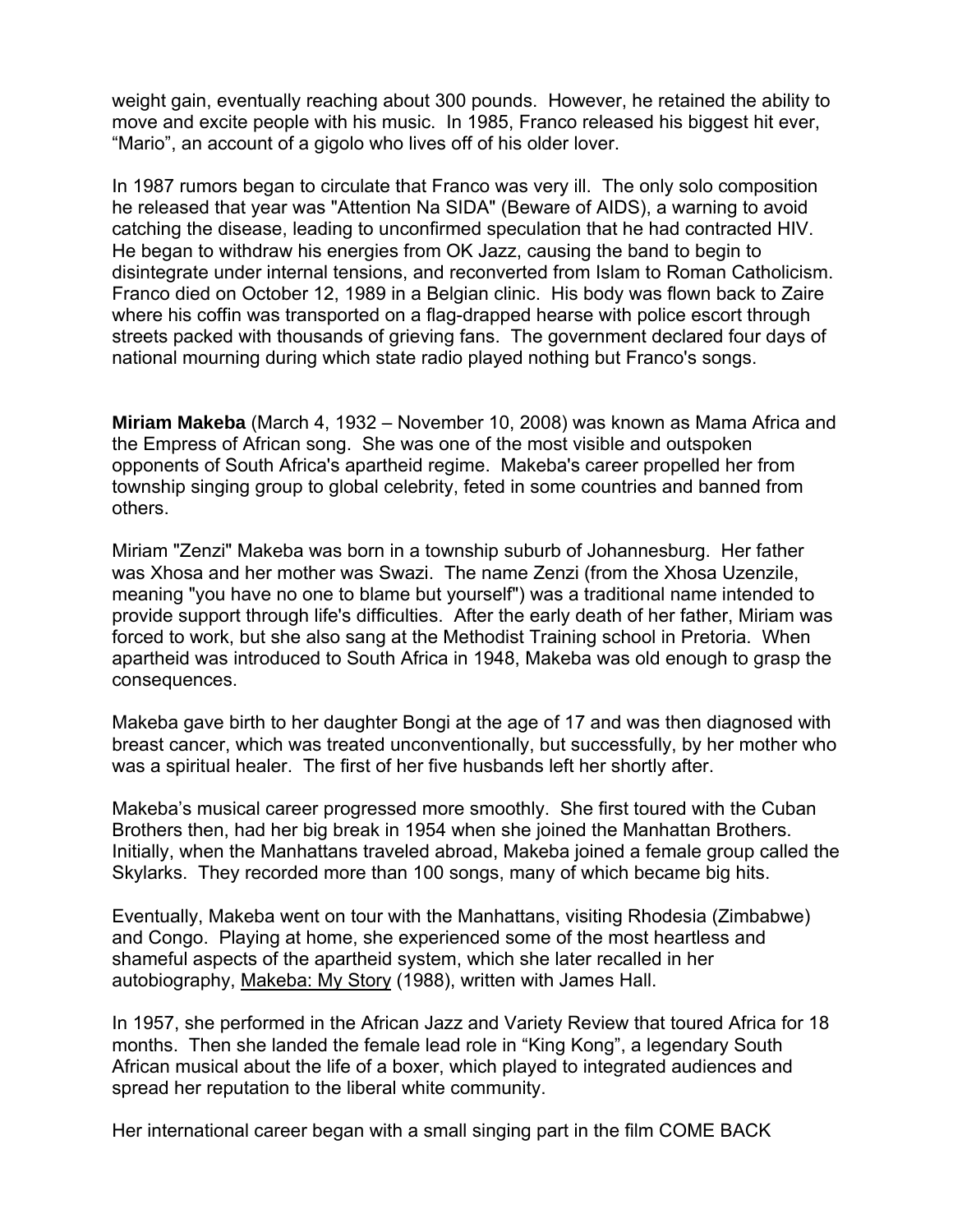weight gain, eventually reaching about 300 pounds. However, he retained the ability to move and excite people with his music. In 1985, Franco released his biggest hit ever, "Mario", an account of a gigolo who lives off of his older lover.

In 1987 rumors began to circulate that Franco was very ill. The only solo composition he released that year was "Attention Na SIDA" (Beware of AIDS), a warning to avoid catching the disease, leading to unconfirmed speculation that he had contracted HIV. He began to withdraw his energies from OK Jazz, causing the band to begin to disintegrate under internal tensions, and reconverted from Islam to Roman Catholicism. Franco died on October 12, 1989 in a Belgian clinic. His body was flown back to Zaire where his coffin was transported on a flag-drapped hearse with police escort through streets packed with thousands of grieving fans. The government declared four days of national mourning during which state radio played nothing but Franco's songs.

**Miriam Makeba** (March 4, 1932 – November 10, 2008) was known as Mama Africa and the Empress of African song. She was one of the most visible and outspoken opponents of South Africa's apartheid regime. Makeba's career propelled her from township singing group to global celebrity, feted in some countries and banned from others.

Miriam "Zenzi" Makeba was born in a township suburb of Johannesburg. Her father was Xhosa and her mother was Swazi. The name Zenzi (from the Xhosa Uzenzile, meaning "you have no one to blame but yourself") was a traditional name intended to provide support through life's difficulties. After the early death of her father, Miriam was forced to work, but she also sang at the Methodist Training school in Pretoria. When apartheid was introduced to South Africa in 1948, Makeba was old enough to grasp the consequences.

Makeba gave birth to her daughter Bongi at the age of 17 and was then diagnosed with breast cancer, which was treated unconventionally, but successfully, by her mother who was a spiritual healer. The first of her five husbands left her shortly after.

Makeba's musical career progressed more smoothly. She first toured with the Cuban Brothers then, had her big break in 1954 when she joined the Manhattan Brothers. Initially, when the Manhattans traveled abroad, Makeba joined a female group called the Skylarks. They recorded more than 100 songs, many of which became big hits.

Eventually, Makeba went on tour with the Manhattans, visiting Rhodesia (Zimbabwe) and Congo. Playing at home, she experienced some of the most heartless and shameful aspects of the apartheid system, which she later recalled in her autobiography, Makeba: My Story (1988), written with James Hall.

In 1957, she performed in the African Jazz and Variety Review that toured Africa for 18 months. Then she landed the female lead role in "King Kong", a legendary South African musical about the life of a boxer, which played to integrated audiences and spread her reputation to the liberal white community.

Her international career began with a small singing part in the film COME BACK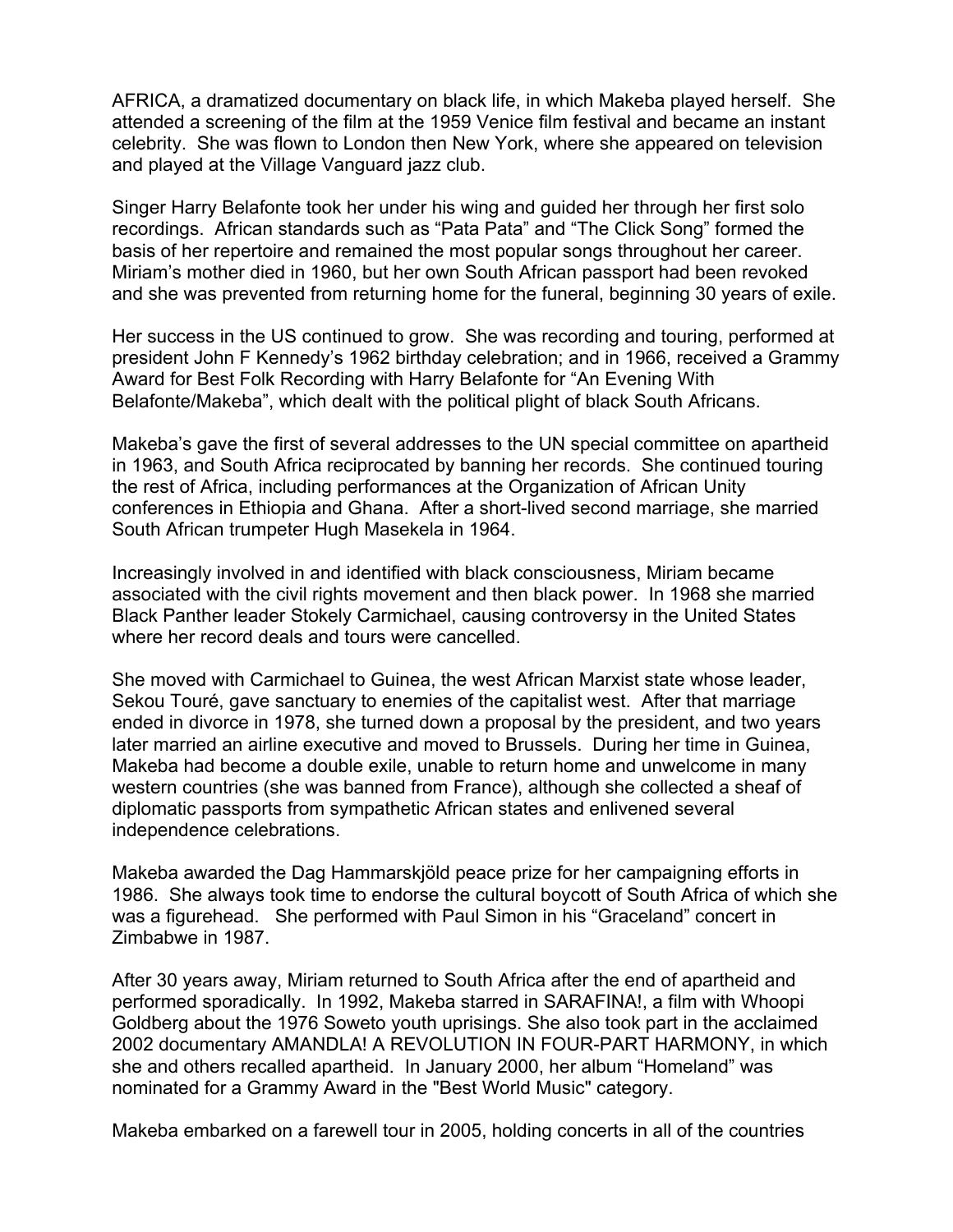AFRICA, a dramatized documentary on black life, in which Makeba played herself. She attended a screening of the film at the 1959 Venice film festival and became an instant celebrity. She was flown to London then New York, where she appeared on television and played at the Village Vanguard jazz club.

Singer Harry Belafonte took her under his wing and guided her through her first solo recordings. African standards such as "Pata Pata" and "The Click Song" formed the basis of her repertoire and remained the most popular songs throughout her career. Miriam's mother died in 1960, but her own South African passport had been revoked and she was prevented from returning home for the funeral, beginning 30 years of exile.

Her success in the US continued to grow. She was recording and touring, performed at president John F Kennedy's 1962 birthday celebration; and in 1966, received a [Grammy](http://en.wikipedia.org/wiki/Grammy_Award)  [Award](http://en.wikipedia.org/wiki/Grammy_Award) for [Best Folk Recording](http://en.wikipedia.org/wiki/Grammy_Award_for_Best_Ethnic_or_Traditional_Folk_Recording) with [Harry Belafonte](http://en.wikipedia.org/wiki/Harry_Belafonte) for "[An Evening With](http://en.wikipedia.org/wiki/An_Evening_With_Belafonte/Makeba)  [Belafonte/Makeba"](http://en.wikipedia.org/wiki/An_Evening_With_Belafonte/Makeba), which dealt with the political plight of black [South Africans.](http://en.wikipedia.org/wiki/South_Africans)

Makeba's gave the first of several addresses to the UN special committee on apartheid in 1963, and South Africa reciprocated by banning her records. She continued touring the rest of Africa, including performances at the Organization of African Unity conferences in Ethiopia and Ghana. After a short-lived second marriage, she married South African trumpeter Hugh Masekela in 1964.

Increasingly involved in and identified with black consciousness, Miriam became associated with the civil rights movement and then black power. In 1968 she married Black Panther leader Stokely Carmichael, causing controversy in the United States where her record deals and tours were cancelled.

She moved with Carmichael to Guinea, the west African Marxist state whose leader, Sekou Touré, gave sanctuary to enemies of the capitalist west. After that marriage ended in divorce in 1978, she turned down a proposal by the president, and two years later married an airline executive and moved to Brussels. During her time in Guinea, Makeba had become a double exile, unable to return home and unwelcome in many western countries (she was banned from France), although she collected a sheaf of diplomatic passports from sympathetic African states and enlivened several independence celebrations.

Makeba awarded the Dag Hammarskjöld peace prize for her campaigning efforts in 1986. She always took time to endorse the cultural boycott of South Africa of which she was a figurehead. She performed with Paul Simon in his "Graceland" concert in Zimbabwe in 1987.

After 30 years away, Miriam returned to South Africa after the end of apartheid and performed sporadically. In 1992, Makeba starred in SARAFINA!, a film with Whoopi Goldberg about the 1976 Soweto youth uprisings. She also took part in the acclaimed 2002 documentary AMANDLA! A REVOLUTION IN FOUR-PART HARMONY, in which she and others recalled apartheid. In January 2000, her album "[Homeland](http://en.wikipedia.org/w/index.php?title=Homeland_(Miriam_Makeba_album)&action=edit&redlink=1)" was nominated for a Grammy Award in the "Best World Music" category.

Makeba embarked on a farewell tour in 2005, holding concerts in all of the countries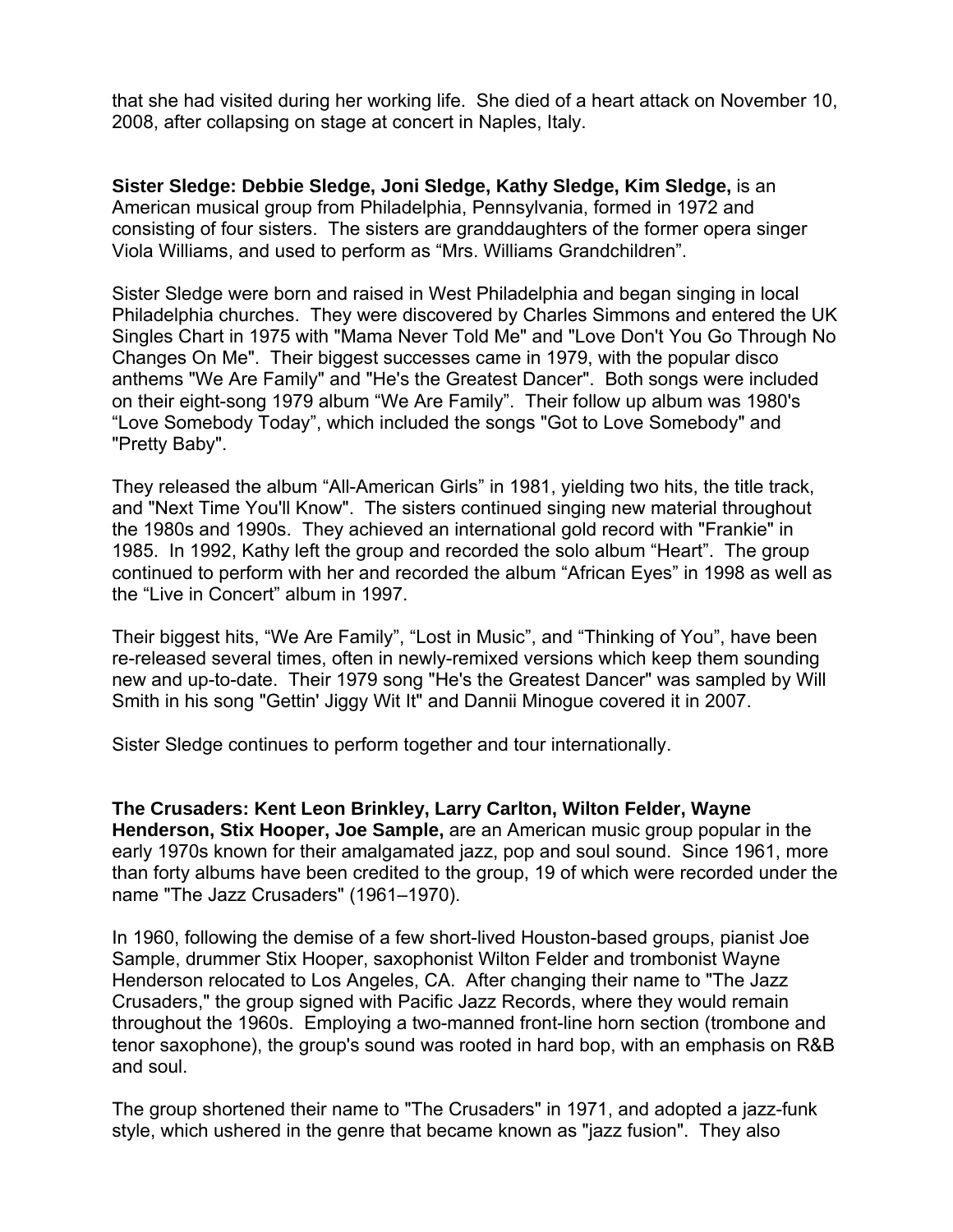that she had visited during her working life. She died of a heart attack on November 10, 2008, after collapsing on stage at concert in Naples, Italy.

**Sister Sledge: Debbie Sledge, Joni Sledge, Kathy Sledge, Kim Sledge,** is an [American](http://en.wikipedia.org/wiki/United_States) [musical group](http://en.wikipedia.org/wiki/Musical_group) from [Philadelphia,](http://en.wikipedia.org/wiki/Philadelphia) [Pennsylvania,](http://en.wikipedia.org/wiki/Pennsylvania) formed in 1972 and consisting of four sisters. The sisters are granddaughters of the former opera singer Viola Williams, and used to perform as "Mrs. Williams Grandchildren".

Sister Sledge were born and raised in West Philadelphia and began singing in local Philadelphia churches. They were discovered by Charles Simmons and entered the [UK](http://en.wikipedia.org/wiki/UK_Singles_Chart)  [Singles Chart](http://en.wikipedia.org/wiki/UK_Singles_Chart) in 1975 with "Mama Never Told Me" and "Love Don't You Go Through No Changes On Me". Their biggest successes came in 1979, with the popular [disco](http://en.wikipedia.org/wiki/Disco) anthems "[We Are Family](http://en.wikipedia.org/wiki/We_Are_Family_(song))" and "[He's the Greatest Dancer"](http://en.wikipedia.org/wiki/He%27s_the_Greatest_Dancer). Both [songs](http://en.wikipedia.org/wiki/Song) were included on their eight-song 1979 [album](http://en.wikipedia.org/wiki/Album) "[We Are Family](http://en.wikipedia.org/wiki/We_Are_Family_(album))". Their follow up album was 1980's "Love Somebody Today", which included the songs "Got to Love Somebody" and "Pretty Baby".

They released the album "All-American Girls" in 1981, yielding two [hits](http://en.wikipedia.org/wiki/Chart_hit), the title track, and "Next Time You'll Know". The sisters continued singing new material throughout the 1980s and 1990s. They achieved an international gold record with ["Frankie](http://en.wikipedia.org/wiki/Frankie_(song))" in 1985. In 1992, Kathy left the group and recorded the solo album "Heart". The group continued to perform with her and recorded the album "African Eyes" in 1998 as well as the "Live in Concert" album in 1997.

Their biggest hits, "We Are Family", "Lost in Music", and "Thinking of You", have been re-released several times, often in newly-[remixed](http://en.wikipedia.org/wiki/Remix) versions which keep them sounding new and up-to-date. Their 1979 song "[He's the Greatest Dancer"](http://en.wikipedia.org/wiki/He%27s_the_Greatest_Dancer) was sampled by [Will](http://en.wikipedia.org/wiki/Will_Smith)  [Smith](http://en.wikipedia.org/wiki/Will_Smith) in his song ["Gettin' Jiggy Wit It](http://en.wikipedia.org/wiki/Gettin%27_Jiggy_Wit_It)" and [Dannii Minogue](http://en.wikipedia.org/wiki/Dannii_Minogue) covered it in 2007.

Sister Sledge continues to perform together and tour internationally.

**The Crusaders: Kent Leon Brinkley, Larry Carlton, Wilton Felder, Wayne Henderson, Stix Hooper, Joe Sample,** are an [American](http://en.wikipedia.org/wiki/United_States) music group popular in the early 1970s known for their amalgamated [jazz,](http://en.wikipedia.org/wiki/Jazz) [pop](http://en.wikipedia.org/wiki/Pop_music) and [soul](http://en.wikipedia.org/wiki/Soul_music) sound. Since 1961, more than forty albums have been credited to the group, 19 of which were recorded under the name "The Jazz Crusaders" (1961–1970).

In 1960, following the demise of a few short-lived [Houston-](http://en.wikipedia.org/wiki/Houston,_Texas)based groups, [pianist](http://en.wikipedia.org/wiki/Piano) [Joe](http://en.wikipedia.org/wiki/Joe_Sample)  [Sample,](http://en.wikipedia.org/wiki/Joe_Sample) [drummer](http://en.wikipedia.org/wiki/Drum_kit) [Stix Hooper](http://en.wikipedia.org/wiki/Stix_Hooper), [saxophonist](http://en.wikipedia.org/wiki/Saxophone) [Wilton Felder](http://en.wikipedia.org/wiki/Wilton_Felder) and [trombonist](http://en.wikipedia.org/wiki/Trombone) [Wayne](http://en.wikipedia.org/wiki/Wayne_Henderson_(musician))  [Henderson](http://en.wikipedia.org/wiki/Wayne_Henderson_(musician)) relocated to [Los Angeles, CA](http://en.wikipedia.org/wiki/Los_Angeles,_California). After changing their name to "The Jazz Crusaders," the group signed with [Pacific Jazz Records](http://en.wikipedia.org/wiki/Pacific_Jazz_Records), where they would remain throughout the 1960s. Employing a two-manned front-line horn section ([trombone](http://en.wikipedia.org/wiki/Trombone) and [tenor saxophone](http://en.wikipedia.org/wiki/Tenor_saxophone)), the group's sound was rooted in [hard bop](http://en.wikipedia.org/wiki/Hard_bop), with an emphasis on [R&B](http://en.wikipedia.org/wiki/Rhythm_and_blues)  and soul.

The group shortened their name to "The Crusaders" in 1971, and adopted a [jazz-funk](http://en.wikipedia.org/wiki/Jazz-funk) style, which ushered in the genre that became known as "jazz fusion". They also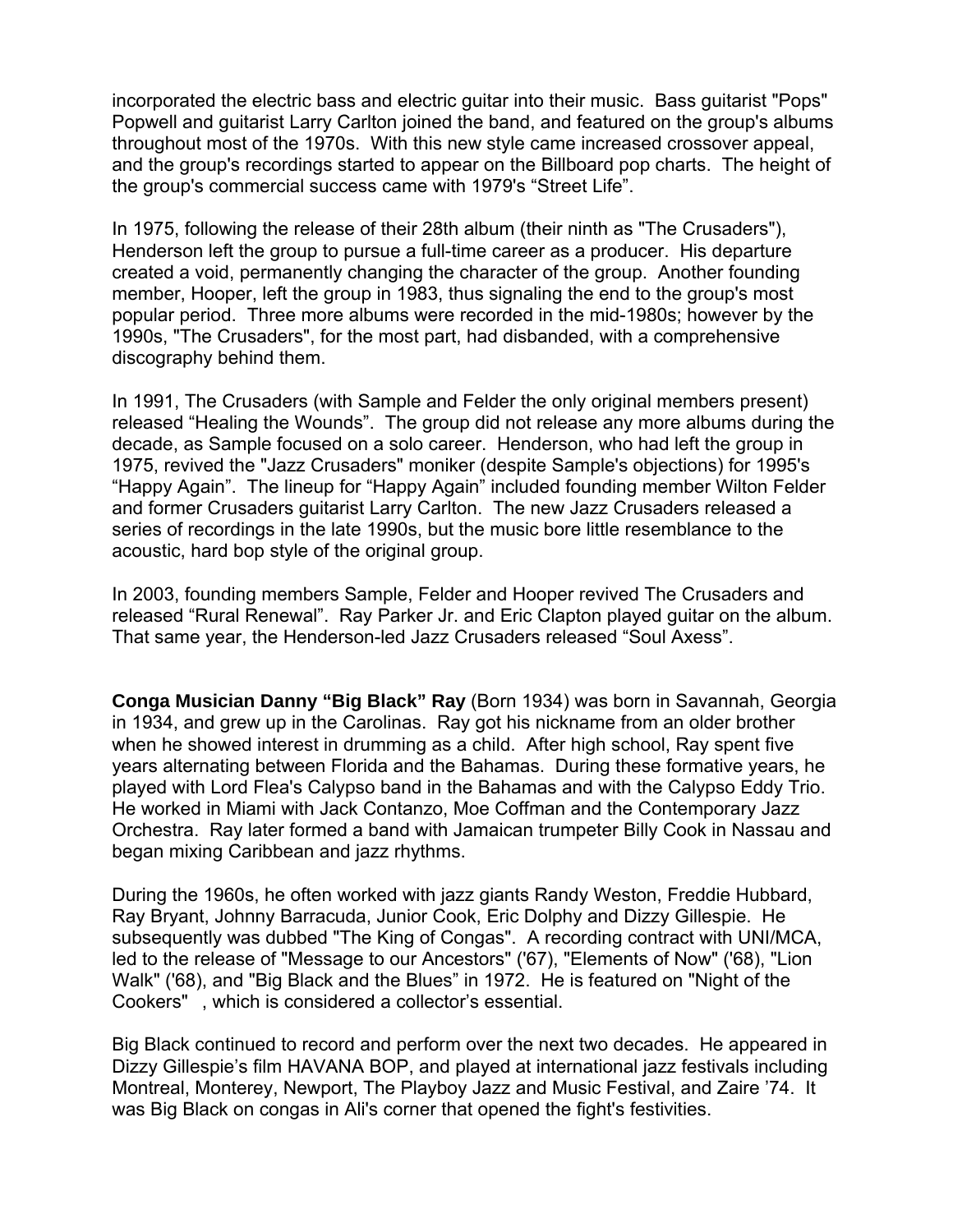incorporated the [electric bass](http://en.wikipedia.org/wiki/Bass_guitar) and [electric guitar](http://en.wikipedia.org/wiki/Electric_guitar) into their music. Bass guitarist ["Pops"](http://en.wikipedia.org/wiki/Robert_Popwell)  [Popwell](http://en.wikipedia.org/wiki/Robert_Popwell) and guitarist [Larry Carlton](http://en.wikipedia.org/wiki/Larry_Carlton) joined the band, and featured on the group's albums throughout most of the 1970s. With this new style came increased crossover appeal, and the group's recordings started to appear on the [Billboard](http://en.wikipedia.org/wiki/Billboard_magazine) pop charts. The height of the group's commercial success came with 1979's ["Street Life](http://en.wikipedia.org/wiki/Street_Life_(album))".

In 1975, following the release of their 28th album (their ninth as "The Crusaders"), Henderson left the group to pursue a full-time career as a [producer.](http://en.wikipedia.org/wiki/Record_producer) His departure created a void, permanently changing the character of the group. Another founding member, Hooper, left the group in 1983, thus signaling the end to the group's most popular period. Three more albums were recorded in the mid-1980s; however by the 1990s, "The Crusaders", for the most part, had disbanded, with a comprehensive discography behind them.

In 1991, The Crusaders (with Sample and Felder the only original members present) released "Healing the Wounds". The group did not release any more albums during the decade, as Sample focused on a solo career. Henderson, who had left the group in 1975, revived the "Jazz Crusaders" moniker (despite Sample's objections) for 1995's "Happy Again". The lineup for "Happy Again" included founding member Wilton Felder and former Crusaders guitarist Larry Carlton. The new Jazz Crusaders released a series of recordings in the late 1990s, but the music bore little resemblance to the acoustic, hard bop style of the original group.

In 2003, founding members Sample, Felder and Hooper revived The Crusaders and released "Rural Renewal". [Ray Parker Jr.](http://en.wikipedia.org/wiki/Ray_Parker_Jr.) and [Eric Clapton](http://en.wikipedia.org/wiki/Eric_Clapton) played guitar on the album. That same year, the Henderson-led Jazz Crusaders released "Soul Axess".

**Conga Musician Danny "Big Black" Ray** (Born 1934) was born in Savannah, Georgia in 1934, and grew up in the Carolinas. Ray got his nickname from an older brother when he showed interest in drumming as a child. After high school, Ray spent five years alternating between Florida and the Bahamas. During these formative years, he played with Lord Flea's Calypso band in the Bahamas and with the Calypso Eddy Trio. He worked in Miami with Jack Contanzo, Moe Coffman and the Contemporary Jazz Orchestra. Ray later formed a band with Jamaican trumpeter Billy Cook in Nassau and began mixing Caribbean and jazz rhythms.

During the 1960s, he often worked with jazz giants Randy Weston, Freddie Hubbard, Ray Bryant, Johnny Barracuda, Junior Cook, Eric Dolphy and Dizzy Gillespie. He subsequently was dubbed "The King of Congas". A recording contract with UNI/MCA, led to the release of "Message to our Ancestors" ('67), "Elements of Now" ('68), "Lion Walk" ('68), and "Big Black and the Blues" in 1972. He is featured on "Night of the Cookers", which is considered a collector's essential.

Big Black continued to record and perform over the next two decades. He appeared in Dizzy Gillespie's film HAVANA BOP, and played at international jazz festivals including Montreal, Monterey, Newport, The Playboy Jazz and Music Festival, and Zaire '74. It was Big Black on congas in Ali's corner that opened the fight's festivities.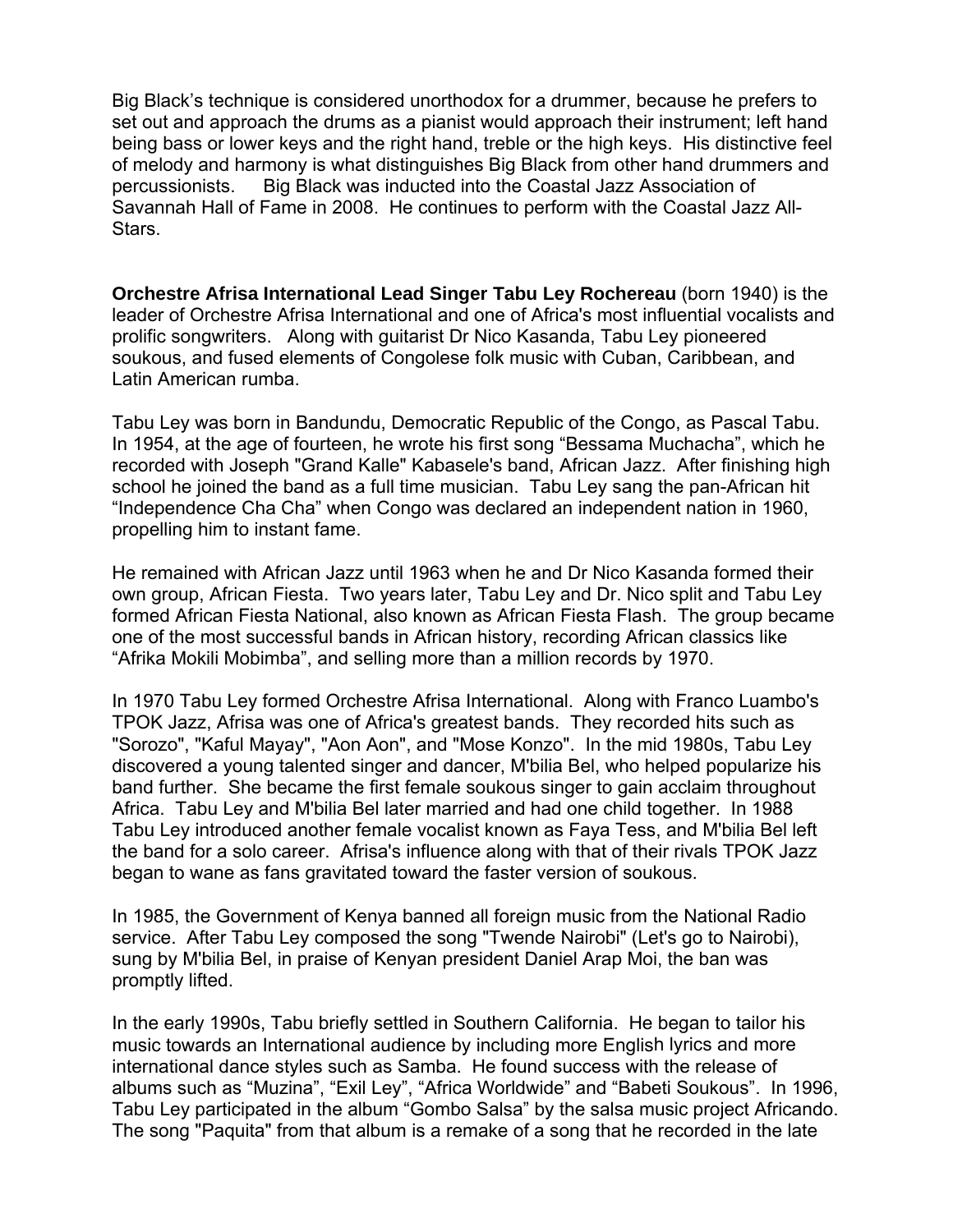Big Black's technique is considered unorthodox for a drummer, because he prefers to set out and approach the drums as a pianist would approach their instrument; left hand being bass or lower keys and the right hand, treble or the high keys. His distinctive feel of melody and harmony is what distinguishes Big Black from other hand drummers and percussionists. Big Black was inducted into the Coastal Jazz Association of Savannah Hall of Fame in 2008. He continues to perform with the Coastal Jazz All-Stars.

**Orchestre Afrisa International Lead Singer Tabu Ley Rochereau** (born 1940) is the leader of Orchestre Afrisa International and one of [Africa](http://en.wikipedia.org/wiki/Africa)'s most influential [vocalists](http://en.wikipedia.org/wiki/Vocalist) and prolific [songwriters](http://en.wikipedia.org/wiki/Songwriter). Along with [guitarist](http://en.wikipedia.org/wiki/Guitar) [Dr Nico Kasanda](http://en.wikipedia.org/wiki/Dr_Nico_Kasanda), Tabu Ley pioneered [soukous,](http://en.wikipedia.org/wiki/Soukous) and fused elements of [Congolese](http://en.wikipedia.org/wiki/Congo) folk music with [Cuban](http://en.wikipedia.org/wiki/Cuba), [Caribbean](http://en.wikipedia.org/wiki/Caribbean), and [Latin American](http://en.wikipedia.org/wiki/Latin_America) [rumba](http://en.wikipedia.org/wiki/Cuban_Rumba).

Tabu Ley was born in [Bandundu,](http://en.wikipedia.org/wiki/Bandundu) [Democratic Republic of the Congo](http://en.wikipedia.org/wiki/Democratic_Republic_of_the_Congo), as Pascal Tabu. In 1954, at the age of fourteen, he wrote his first song "Bessama Muchacha", which he recorded with Joseph "[Grand Kalle"](http://en.wikipedia.org/wiki/Grand_Kalle) Kabasele's band, [African Jazz.](http://en.wikipedia.org/wiki/Grand_Kalle_et_l%27African_Jazz) After finishing high school he joined the band as a full time musician. Tabu Ley sang the pan-African hit "Independence Cha Cha" when Congo was declared an independent nation in 1960, propelling him to instant fame.

He remained with African Jazz until 1963 when he and [Dr Nico Kasanda](http://en.wikipedia.org/wiki/Dr_Nico_Kasanda) formed their own group, [African Fiesta](http://en.wikipedia.org/wiki/African_Fiesta). Two years later, Tabu Ley and Dr. Nico split and Tabu Ley formed African Fiesta National, also known as African Fiesta Flash. The group became one of the most successful bands in African history, recording African classics like "Afrika Mokili Mobimba", and selling more than a million records by 1970.

In 1970 Tabu Ley formed Orchestre Afrisa International. Along with [Franco Luambo's](http://en.wikipedia.org/wiki/Francois_Luambo_Makiadi) [TPOK Jazz,](http://en.wikipedia.org/wiki/OK_Jazz) Afrisa was one of Africa's greatest bands. They recorded hits such as "Sorozo", "Kaful Mayay", "Aon Aon", and "Mose Konzo". In the mid 1980s, Tabu Ley discovered a young talented singer and dancer, [M'bilia Bel](http://en.wikipedia.org/wiki/M%27bilia_Bel), who helped popularize his band further. She became the first female soukous singer to gain acclaim throughout Africa. Tabu Ley and M'bilia Bel later married and had one child together. In 1988 Tabu Ley introduced another female vocalist known as [Faya Tess,](http://en.wikipedia.org/w/index.php?title=Faya_Tess&action=edit&redlink=1) and M'bilia Bel left the band for a solo career. Afrisa's influence along with that of their rivals TPOK Jazz began to wane as fans gravitated toward the faster version of soukous.

In 1985, the Government of [Kenya](http://en.wikipedia.org/wiki/Kenya) banned all foreign music from the National Radio service. After Tabu Ley composed the song "Twende Nairobi" (Let's go to Nairobi), sung by [M'bilia Bel,](http://en.wikipedia.org/wiki/M%27bilia_Bel) in praise of Kenyan president [Daniel Arap Moi](http://en.wikipedia.org/wiki/Daniel_arap_Moi), the ban was promptly lifted.

In the early 1990s, Tabu briefly settled in [Southern California](http://en.wikipedia.org/wiki/Southern_California). He began to tailor his music towards an International audience by including more English lyrics and more international dance styles such as Samba. He found success with the release of albums such as "Muzina", "Exil Ley", "Africa Worldwide" and "Babeti Soukous". In 1996, Tabu Ley participated in the album "Gombo Salsa" by the [salsa music](http://en.wikipedia.org/wiki/Salsa_music) project [Africando.](http://en.wikipedia.org/wiki/Africando) The song "Paquita" from that album is a remake of a song that he recorded in the late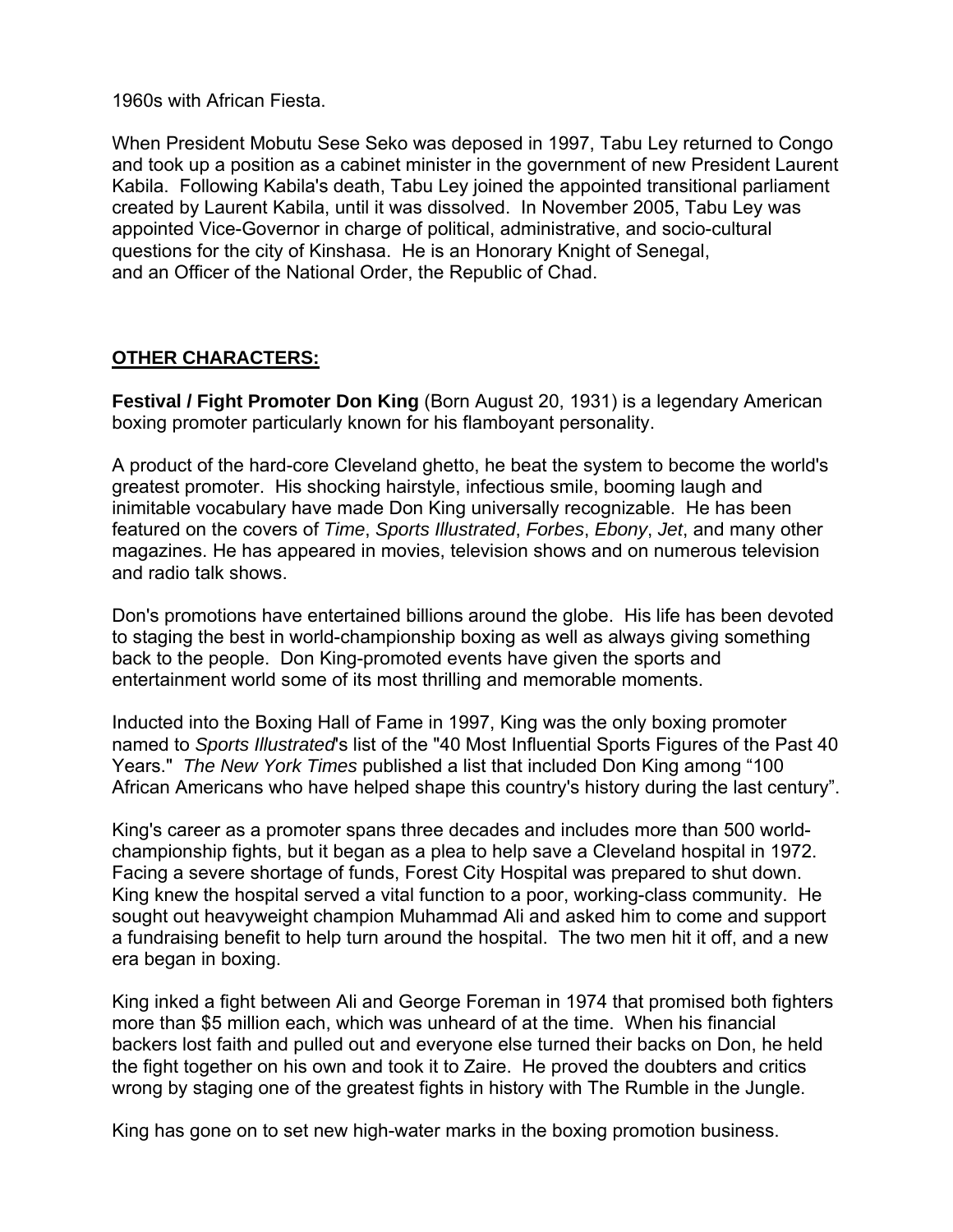1960s with African Fiesta.

When President [Mobutu Sese Seko](http://en.wikipedia.org/wiki/Mobutu_Sese_Seko) was deposed in 1997, Tabu Ley returned to [Congo](http://en.wikipedia.org/wiki/Kinshasa)  and took up a position as a [cabinet minister](http://en.wikipedia.org/wiki/Cabinet_minister) in the government of new President [Laurent](http://en.wikipedia.org/wiki/Laurent_Kabila)  [Kabila](http://en.wikipedia.org/wiki/Laurent_Kabila). Following Kabila's death, Tabu Ley joined the appointed transitional parliament created by Laurent Kabila, until it was dissolved. In November 2005, Tabu Ley was appointed Vice-Governor in charge of political, administrative, and socio-cultural questions for the city of [Kinshasa](http://en.wikipedia.org/wiki/Kinshasa). He is an Honorary Knight of [Senegal,](http://en.wikipedia.org/wiki/Senegal) and an Officer of the National Order, the Republic of [Chad.](http://en.wikipedia.org/wiki/Chad)

# **OTHER CHARACTERS:**

**Festival / Fight Promoter Don King** (Born August 20, 1931) is a legendary American boxing promoter particularly known for his flamboyant personality.

A product of the hard-core Cleveland ghetto, he beat the system to become the world's greatest promoter. His shocking hairstyle, infectious smile, booming laugh and inimitable vocabulary have made Don King universally recognizable. He has been featured on the covers of *Time*, *Sports Illustrated*, *Forbes*, *Ebony*, *Jet*, and many other magazines. He has appeared in movies, television shows and on numerous television and radio talk shows.

Don's promotions have entertained billions around the globe. His life has been devoted to staging the best in world-championship boxing as well as always giving something back to the people. Don King-promoted events have given the sports and entertainment world some of its most thrilling and memorable moments.

Inducted into the Boxing Hall of Fame in 1997, King was the only boxing promoter named to *Sports Illustrated*'s list of the "40 Most Influential Sports Figures of the Past 40 Years." *The New York Times* published a list that included Don King among "100 African Americans who have helped shape this country's history during the last century".

King's career as a promoter spans three decades and includes more than 500 worldchampionship fights, but it began as a plea to help save a Cleveland hospital in 1972. Facing a severe shortage of funds, Forest City Hospital was prepared to shut down. King knew the hospital served a vital function to a poor, working-class community. He sought out heavyweight champion Muhammad Ali and asked him to come and support a fundraising benefit to help turn around the hospital. The two men hit it off, and a new era began in boxing.

King inked a fight between Ali and George Foreman in 1974 that promised both fighters more than \$5 million each, which was unheard of at the time. When his financial backers lost faith and pulled out and everyone else turned their backs on Don, he held the fight together on his own and took it to Zaire. He proved the doubters and critics wrong by staging one of the greatest fights in history with The Rumble in the Jungle.

King has gone on to set new high-water marks in the boxing promotion business.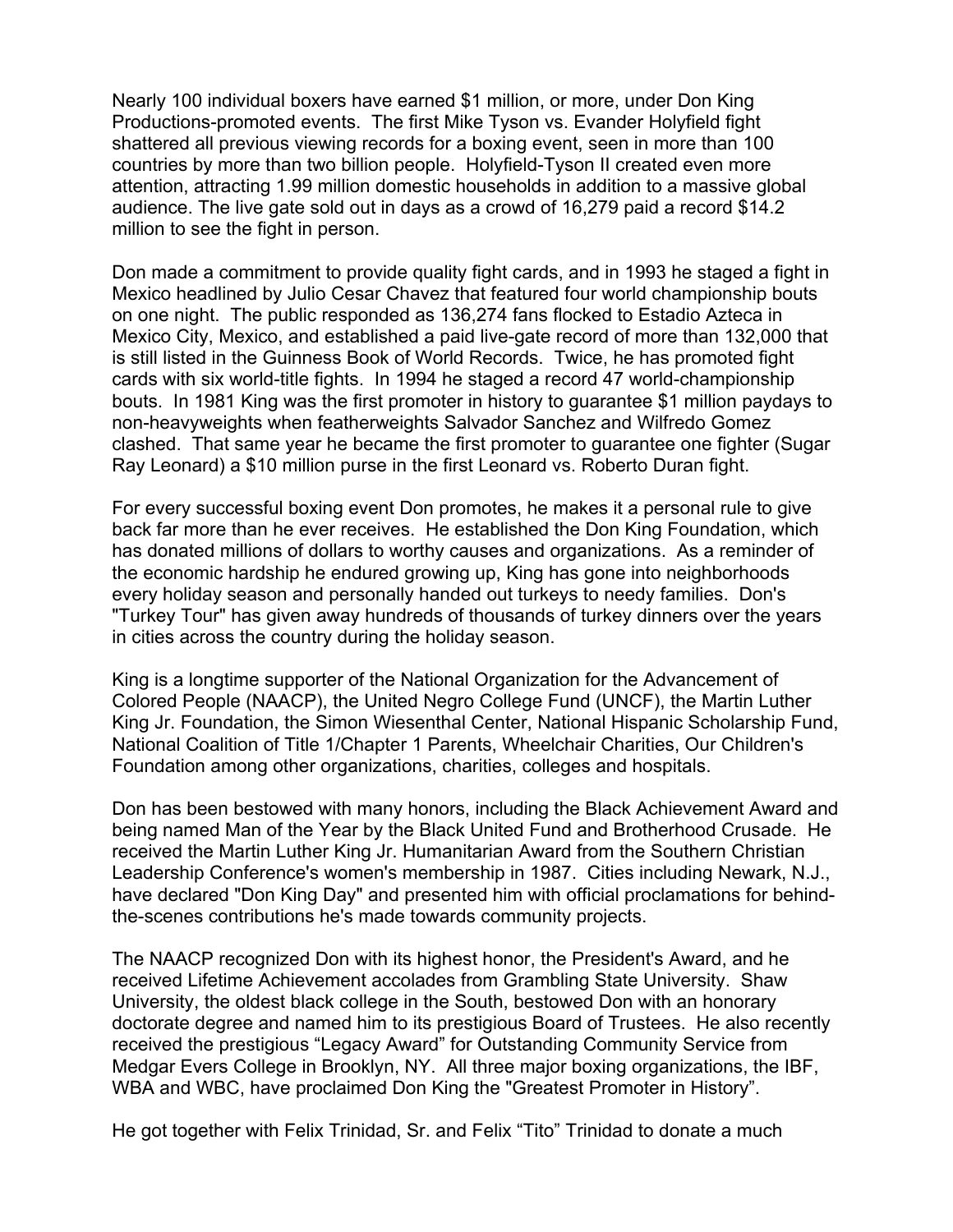Nearly 100 individual boxers have earned \$1 million, or more, under Don King Productions-promoted events. The first Mike Tyson vs. Evander Holyfield fight shattered all previous viewing records for a boxing event, seen in more than 100 countries by more than two billion people. Holyfield-Tyson II created even more attention, attracting 1.99 million domestic households in addition to a massive global audience. The live gate sold out in days as a crowd of 16,279 paid a record \$14.2 million to see the fight in person.

Don made a commitment to provide quality fight cards, and in 1993 he staged a fight in Mexico headlined by Julio Cesar Chavez that featured four world championship bouts on one night. The public responded as 136,274 fans flocked to Estadio Azteca in Mexico City, Mexico, and established a paid live-gate record of more than 132,000 that is still listed in the Guinness Book of World Records. Twice, he has promoted fight cards with six world-title fights. In 1994 he staged a record 47 world-championship bouts. In 1981 King was the first promoter in history to guarantee \$1 million paydays to non-heavyweights when featherweights Salvador Sanchez and Wilfredo Gomez clashed. That same year he became the first promoter to guarantee one fighter (Sugar Ray Leonard) a \$10 million purse in the first Leonard vs. Roberto Duran fight.

For every successful boxing event Don promotes, he makes it a personal rule to give back far more than he ever receives. He established the Don King Foundation, which has donated millions of dollars to worthy causes and organizations. As a reminder of the economic hardship he endured growing up, King has gone into neighborhoods every holiday season and personally handed out turkeys to needy families. Don's "Turkey Tour" has given away hundreds of thousands of turkey dinners over the years in cities across the country during the holiday season.

King is a longtime supporter of the National Organization for the Advancement of Colored People (NAACP), the United Negro College Fund (UNCF), the Martin Luther King Jr. Foundation, the Simon Wiesenthal Center, National Hispanic Scholarship Fund, National Coalition of Title 1/Chapter 1 Parents, Wheelchair Charities, Our Children's Foundation among other organizations, charities, colleges and hospitals.

Don has been bestowed with many honors, including the Black Achievement Award and being named Man of the Year by the Black United Fund and Brotherhood Crusade. He received the Martin Luther King Jr. Humanitarian Award from the Southern Christian Leadership Conference's women's membership in 1987. Cities including Newark, N.J., have declared "Don King Day" and presented him with official proclamations for behindthe-scenes contributions he's made towards community projects.

The NAACP recognized Don with its highest honor, the President's Award, and he received Lifetime Achievement accolades from Grambling State University. Shaw University, the oldest black college in the South, bestowed Don with an honorary doctorate degree and named him to its prestigious Board of Trustees. He also recently received the prestigious "Legacy Award" for Outstanding Community Service from Medgar Evers College in Brooklyn, NY. All three major boxing organizations, the IBF, WBA and WBC, have proclaimed Don King the "Greatest Promoter in History".

He got together with Felix Trinidad, Sr. and Felix "Tito" Trinidad to donate a much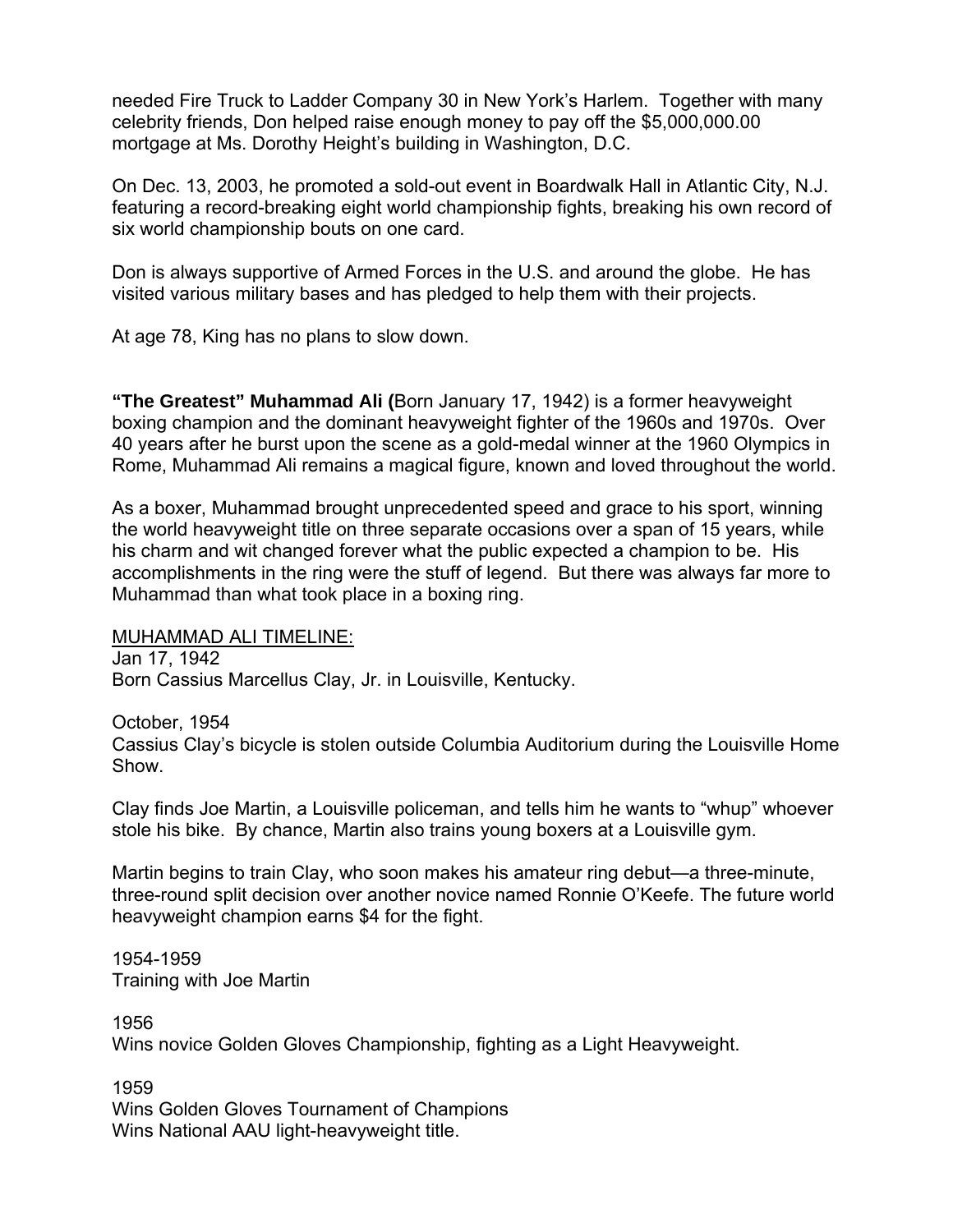needed Fire Truck to Ladder Company 30 in New York's Harlem. Together with many celebrity friends, Don helped raise enough money to pay off the \$5,000,000.00 mortgage at Ms. Dorothy Height's building in Washington, D.C.

On Dec. 13, 2003, he promoted a sold-out event in Boardwalk Hall in Atlantic City, N.J. featuring a record-breaking eight world championship fights, breaking his own record of six world championship bouts on one card.

Don is always supportive of Armed Forces in the U.S. and around the globe. He has visited various military bases and has pledged to help them with their projects.

At age 78, King has no plans to slow down.

**"The Greatest" Muhammad Ali (**Born January 17, 1942) is a former heavyweight boxing champion and the dominant heavyweight fighter of the 1960s and 1970s. Over 40 years after he burst upon the scene as a gold-medal winner at the 1960 Olympics in Rome, Muhammad Ali remains a magical figure, known and loved throughout the world.

As a boxer, Muhammad brought unprecedented speed and grace to his sport, winning the world heavyweight title on three separate occasions over a span of 15 years, while his charm and wit changed forever what the public expected a champion to be. His accomplishments in the ring were the stuff of legend. But there was always far more to Muhammad than what took place in a boxing ring.

## MUHAMMAD ALI TIMELINE:

Jan 17, 1942 Born Cassius Marcellus Clay, Jr. in Louisville, Kentucky.

October, 1954

Cassius Clay's bicycle is stolen outside Columbia Auditorium during the Louisville Home Show.

Clay finds Joe Martin, a Louisville policeman, and tells him he wants to "whup" whoever stole his bike. By chance, Martin also trains young boxers at a Louisville gym.

Martin begins to train Clay, who soon makes his amateur ring debut—a three-minute, three-round split decision over another novice named Ronnie O'Keefe. The future world heavyweight champion earns \$4 for the fight.

1954-1959 Training with Joe Martin

1956

Wins novice Golden Gloves Championship, fighting as a Light Heavyweight.

1959 Wins Golden Gloves Tournament of Champions Wins National AAU light-heavyweight title.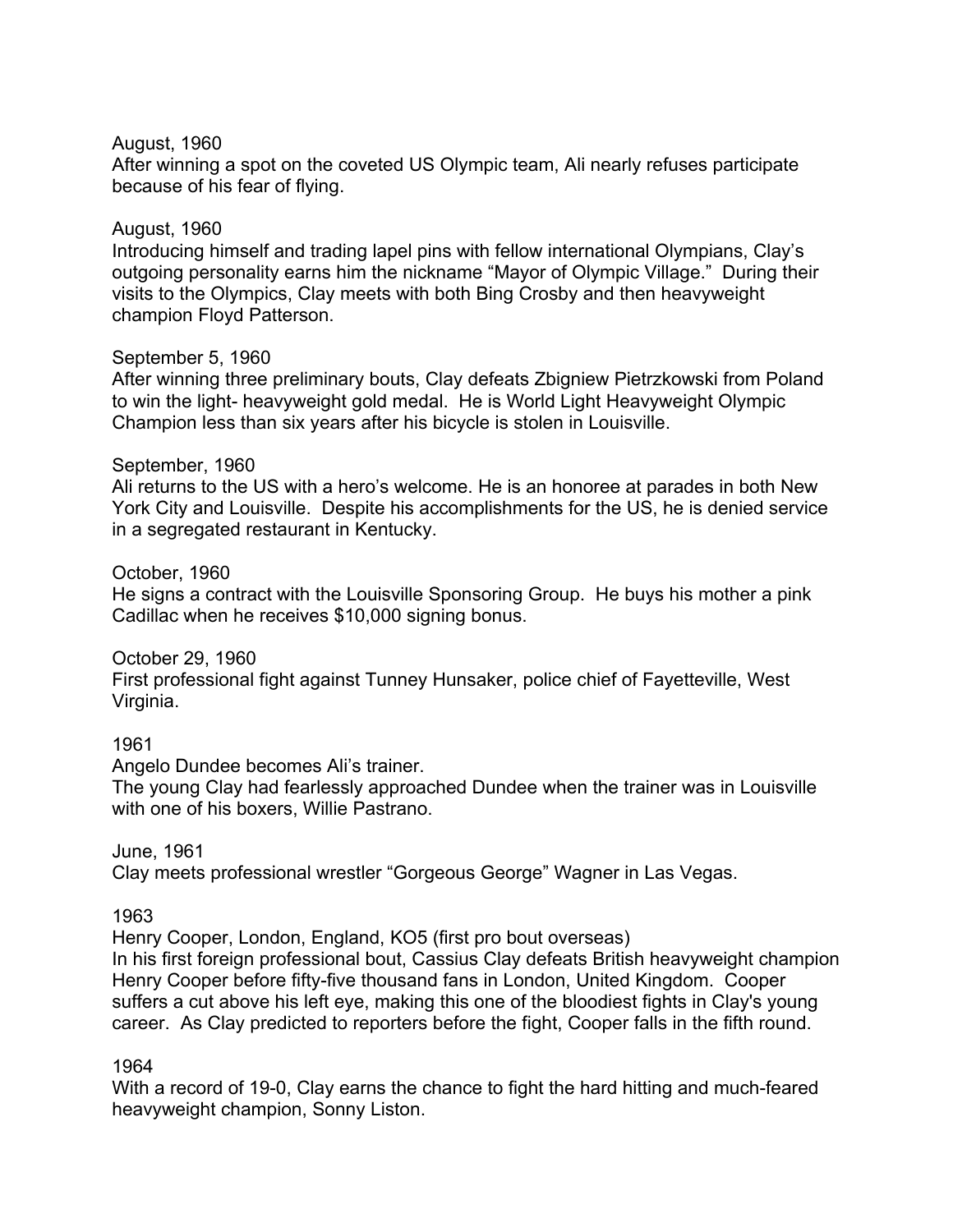## August, 1960

After winning a spot on the coveted US Olympic team, Ali nearly refuses participate because of his fear of flying.

## August, 1960

Introducing himself and trading lapel pins with fellow international Olympians, Clay's outgoing personality earns him the nickname "Mayor of Olympic Village." During their visits to the Olympics, Clay meets with both Bing Crosby and then heavyweight champion Floyd Patterson.

## September 5, 1960

After winning three preliminary bouts, Clay defeats Zbigniew Pietrzkowski from Poland to win the light- heavyweight gold medal. He is World Light Heavyweight Olympic Champion less than six years after his bicycle is stolen in Louisville.

## September, 1960

Ali returns to the US with a hero's welcome. He is an honoree at parades in both New York City and Louisville. Despite his accomplishments for the US, he is denied service in a segregated restaurant in Kentucky.

## October, 1960

He signs a contract with the Louisville Sponsoring Group. He buys his mother a pink Cadillac when he receives \$10,000 signing bonus.

October 29, 1960

First professional fight against Tunney Hunsaker, police chief of Fayetteville, West Virginia.

1961

Angelo Dundee becomes Ali's trainer.

The young Clay had fearlessly approached Dundee when the trainer was in Louisville with one of his boxers, Willie Pastrano.

June, 1961 Clay meets professional wrestler "Gorgeous George" Wagner in Las Vegas.

## 1963

Henry Cooper, London, England, KO5 (first pro bout overseas) In his first foreign professional bout, Cassius Clay defeats British heavyweight champion Henry Cooper before fifty-five thousand fans in London, United Kingdom. Cooper suffers a cut above his left eye, making this one of the bloodiest fights in Clay's young career. As Clay predicted to reporters before the fight, Cooper falls in the fifth round.

1964

With a record of 19-0, Clay earns the chance to fight the hard hitting and much-feared heavyweight champion, Sonny Liston.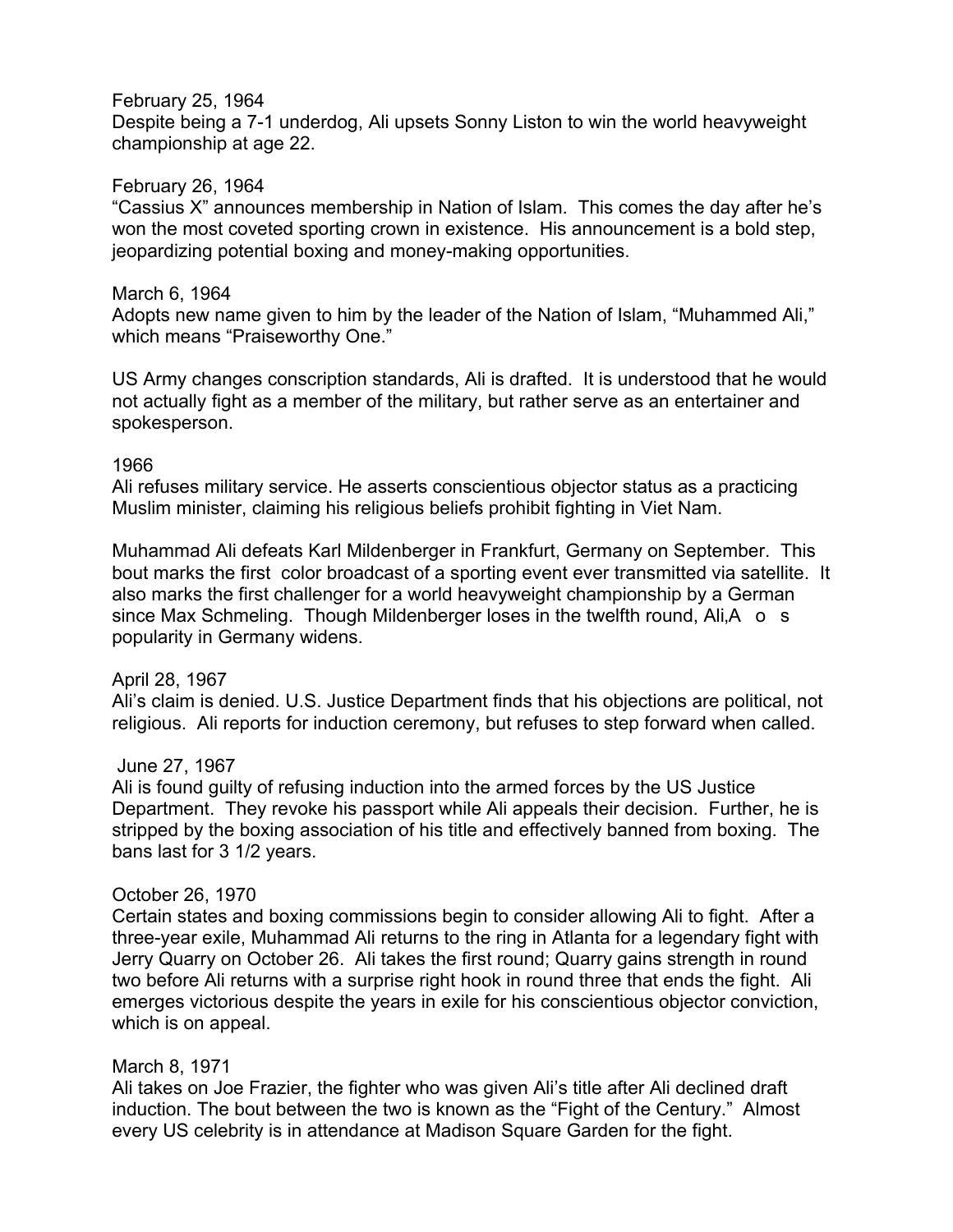## February 25, 1964

Despite being a 7-1 underdog, Ali upsets Sonny Liston to win the world heavyweight championship at age 22.

## February 26, 1964

"Cassius X" announces membership in Nation of Islam. This comes the day after he's won the most coveted sporting crown in existence. His announcement is a bold step, jeopardizing potential boxing and money-making opportunities.

## March 6, 1964

Adopts new name given to him by the leader of the Nation of Islam, "Muhammed Ali," which means "Praiseworthy One."

US Army changes conscription standards, Ali is drafted. It is understood that he would not actually fight as a member of the military, but rather serve as an entertainer and spokesperson.

## 1966

Ali refuses military service. He asserts conscientious objector status as a practicing Muslim minister, claiming his religious beliefs prohibit fighting in Viet Nam.

Muhammad Ali defeats Karl Mildenberger in Frankfurt, Germany on September. This bout marks the first color broadcast of a sporting event ever transmitted via satellite. It also marks the first challenger for a world heavyweight championship by a German since Max Schmeling. Though Mildenberger loses in the twelfth round, Ali,A o s popularity in Germany widens.

# April 28, 1967

Ali's claim is denied. U.S. Justice Department finds that his objections are political, not religious. Ali reports for induction ceremony, but refuses to step forward when called.

# June 27, 1967

Ali is found guilty of refusing induction into the armed forces by the US Justice Department. They revoke his passport while Ali appeals their decision. Further, he is stripped by the boxing association of his title and effectively banned from boxing. The bans last for 3 1/2 years.

## October 26, 1970

Certain states and boxing commissions begin to consider allowing Ali to fight. After a three-year exile, Muhammad Ali returns to the ring in Atlanta for a legendary fight with Jerry Quarry on October 26. Ali takes the first round; Quarry gains strength in round two before Ali returns with a surprise right hook in round three that ends the fight. Ali emerges victorious despite the years in exile for his conscientious objector conviction, which is on appeal.

## March 8, 1971

Ali takes on Joe Frazier, the fighter who was given Ali's title after Ali declined draft induction. The bout between the two is known as the "Fight of the Century." Almost every US celebrity is in attendance at Madison Square Garden for the fight.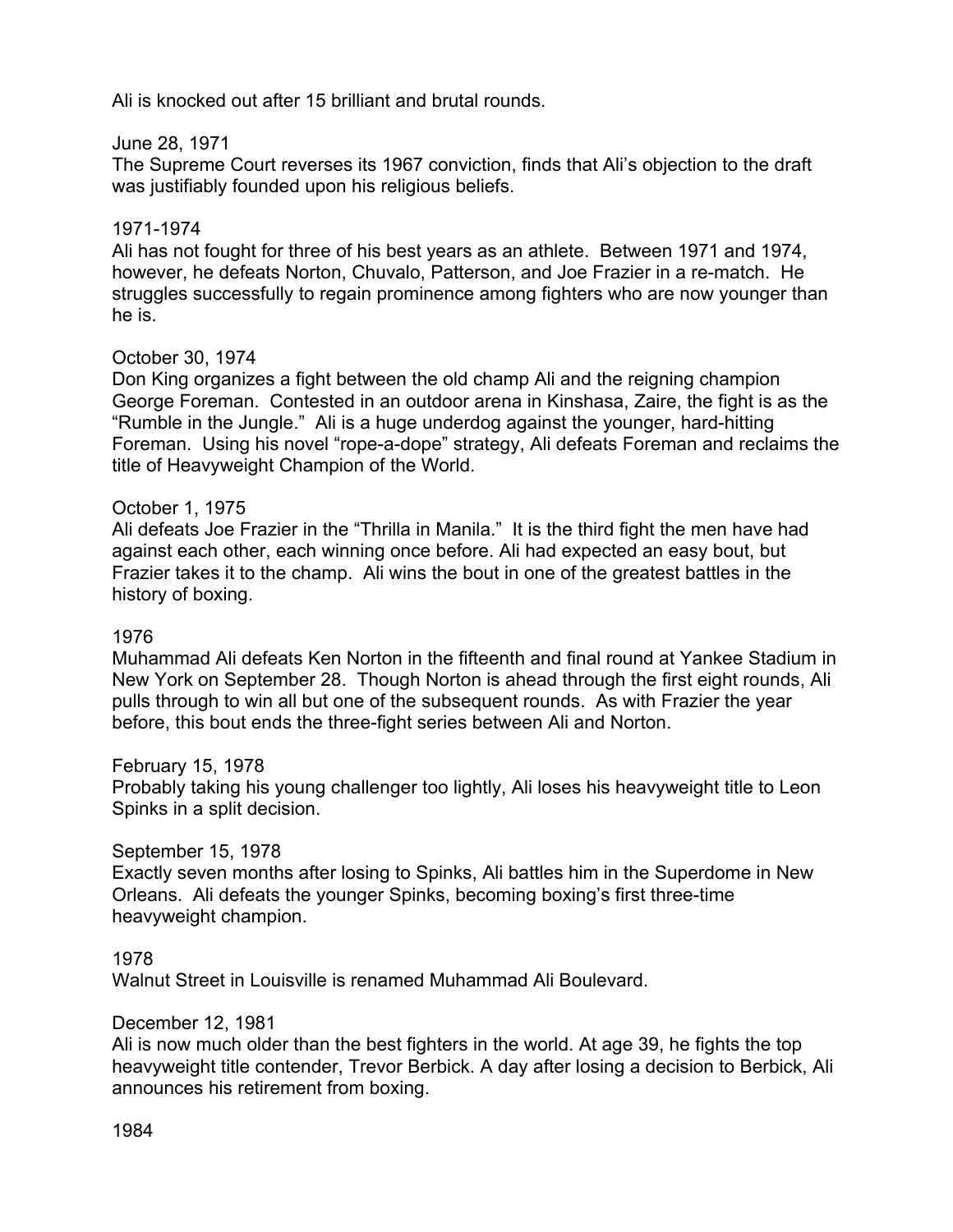Ali is knocked out after 15 brilliant and brutal rounds.

# June 28, 1971

The Supreme Court reverses its 1967 conviction, finds that Ali's objection to the draft was justifiably founded upon his religious beliefs.

# 1971-1974

Ali has not fought for three of his best years as an athlete. Between 1971 and 1974, however, he defeats Norton, Chuvalo, Patterson, and Joe Frazier in a re-match. He struggles successfully to regain prominence among fighters who are now younger than he is.

# October 30, 1974

Don King organizes a fight between the old champ Ali and the reigning champion George Foreman. Contested in an outdoor arena in Kinshasa, Zaire, the fight is as the "Rumble in the Jungle." Ali is a huge underdog against the younger, hard-hitting Foreman. Using his novel "rope-a-dope" strategy, Ali defeats Foreman and reclaims the title of Heavyweight Champion of the World.

# October 1, 1975

Ali defeats Joe Frazier in the "Thrilla in Manila." It is the third fight the men have had against each other, each winning once before. Ali had expected an easy bout, but Frazier takes it to the champ. Ali wins the bout in one of the greatest battles in the history of boxing.

# 1976

Muhammad Ali defeats Ken Norton in the fifteenth and final round at Yankee Stadium in New York on September 28. Though Norton is ahead through the first eight rounds, Ali pulls through to win all but one of the subsequent rounds. As with Frazier the year before, this bout ends the three-fight series between Ali and Norton.

# February 15, 1978

Probably taking his young challenger too lightly, Ali loses his heavyweight title to Leon Spinks in a split decision.

# September 15, 1978

Exactly seven months after losing to Spinks, Ali battles him in the Superdome in New Orleans. Ali defeats the younger Spinks, becoming boxing's first three-time heavyweight champion.

# 1978

Walnut Street in Louisville is renamed Muhammad Ali Boulevard.

# December 12, 1981

Ali is now much older than the best fighters in the world. At age 39, he fights the top heavyweight title contender, Trevor Berbick. A day after losing a decision to Berbick, Ali announces his retirement from boxing.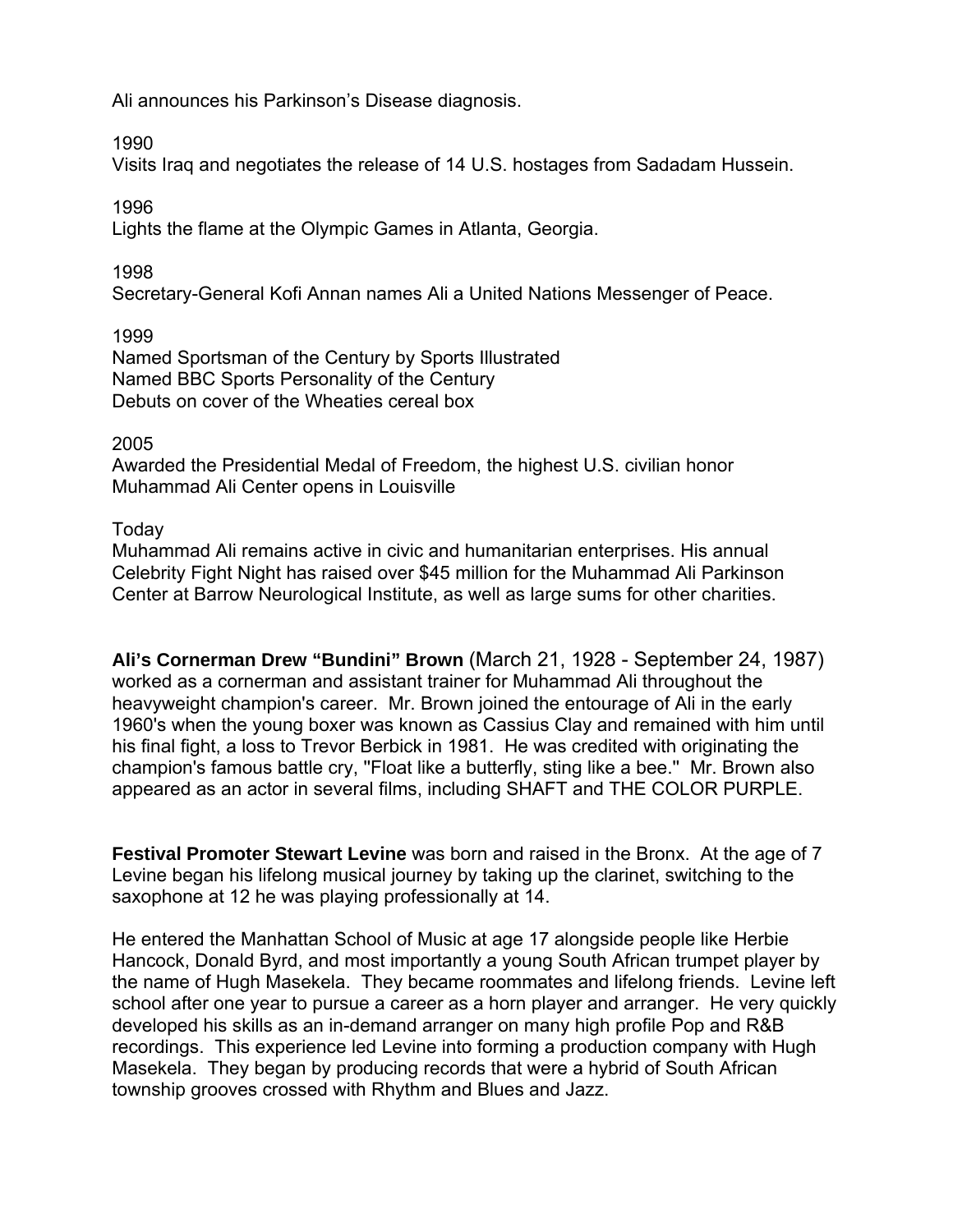Ali announces his Parkinson's Disease diagnosis.

1990

Visits Iraq and negotiates the release of 14 U.S. hostages from Sadadam Hussein.

1996

Lights the flame at the Olympic Games in Atlanta, Georgia.

1998

Secretary-General Kofi Annan names Ali a United Nations Messenger of Peace.

1999

Named Sportsman of the Century by Sports Illustrated Named BBC Sports Personality of the Century Debuts on cover of the Wheaties cereal box

2005

Awarded the Presidential Medal of Freedom, the highest U.S. civilian honor Muhammad Ali Center opens in Louisville

# Today

Muhammad Ali remains active in civic and humanitarian enterprises. His annual Celebrity Fight Night has raised over \$45 million for the Muhammad Ali Parkinson Center at Barrow Neurological Institute, as well as large sums for other charities.

**Ali's Cornerman Drew "Bundini" Brown** ([March 21,](http://en.wikipedia.org/wiki/March_21) [1928](http://en.wikipedia.org/wiki/1928) - [September 24](http://en.wikipedia.org/wiki/September_24), [1987](http://en.wikipedia.org/wiki/1987)) worked as a cornerman and assistant trainer for Muhammad Ali throughout the heavyweight champion's career. Mr. Brown joined the entourage of Ali in the early 1960's when the young boxer was known as Cassius Clay and remained with him until his final fight, a loss to Trevor Berbick in 1981. He was credited with originating the champion's famous battle cry, ''Float like a butterfly, sting like a bee.'' Mr. Brown also appeared as an actor in several films, including SHAFT and THE COLOR PURPLE.

**Festival Promoter Stewart Levine** was born and raised in the Bronx. At the age of 7 Levine began his lifelong musical journey by taking up the clarinet, switching to the saxophone at 12 he was playing professionally at 14.

He entered the Manhattan School of Music at age 17 alongside people like Herbie Hancock, Donald Byrd, and most importantly a young South African trumpet player by the name of Hugh Masekela. They became roommates and lifelong friends. Levine left school after one year to pursue a career as a horn player and arranger. He very quickly developed his skills as an in-demand arranger on many high profile Pop and R&B recordings. This experience led Levine into forming a production company with Hugh Masekela. They began by producing records that were a hybrid of South African township grooves crossed with Rhythm and Blues and Jazz.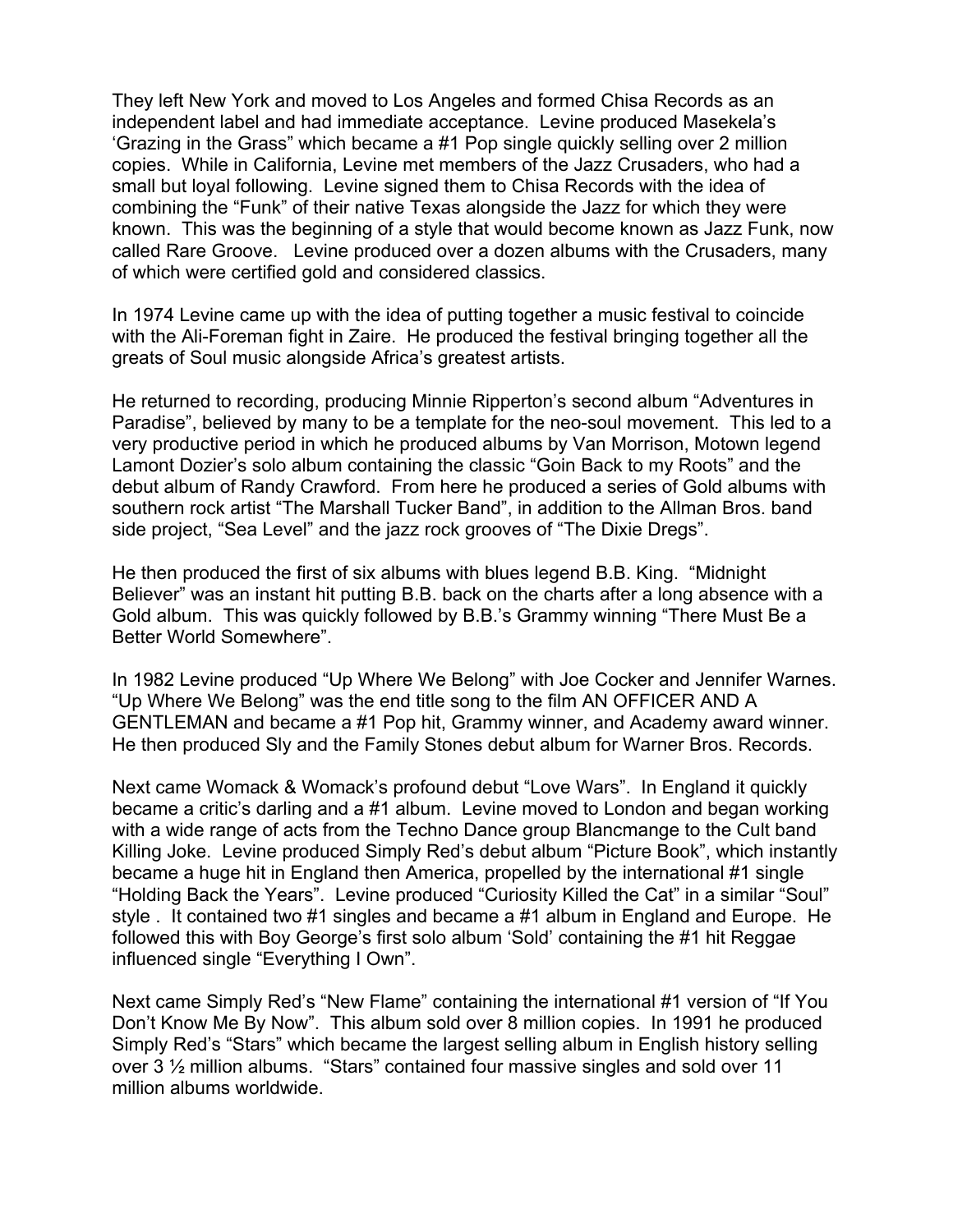They left New York and moved to Los Angeles and formed Chisa Records as an independent label and had immediate acceptance. Levine produced Masekela's 'Grazing in the Grass" which became a #1 Pop single quickly selling over 2 million copies. While in California, Levine met members of the Jazz Crusaders, who had a small but loyal following. Levine signed them to Chisa Records with the idea of combining the "Funk" of their native Texas alongside the Jazz for which they were known. This was the beginning of a style that would become known as Jazz Funk, now called Rare Groove. Levine produced over a dozen albums with the Crusaders, many of which were certified gold and considered classics.

In 1974 Levine came up with the idea of putting together a music festival to coincide with the Ali-Foreman fight in Zaire. He produced the festival bringing together all the greats of Soul music alongside Africa's greatest artists.

He returned to recording, producing Minnie Ripperton's second album "Adventures in Paradise", believed by many to be a template for the neo-soul movement. This led to a very productive period in which he produced albums by Van Morrison, Motown legend Lamont Dozier's solo album containing the classic "Goin Back to my Roots" and the debut album of Randy Crawford. From here he produced a series of Gold albums with southern rock artist "The Marshall Tucker Band", in addition to the Allman Bros. band side project, "Sea Level" and the jazz rock grooves of "The Dixie Dregs".

He then produced the first of six albums with blues legend B.B. King. "Midnight Believer" was an instant hit putting B.B. back on the charts after a long absence with a Gold album. This was quickly followed by B.B.'s Grammy winning "There Must Be a Better World Somewhere".

In 1982 Levine produced "Up Where We Belong" with Joe Cocker and Jennifer Warnes. "Up Where We Belong" was the end title song to the film AN OFFICER AND A GENTLEMAN and became a #1 Pop hit, Grammy winner, and Academy award winner. He then produced Sly and the Family Stones debut album for Warner Bros. Records.

Next came Womack & Womack's profound debut "Love Wars". In England it quickly became a critic's darling and a #1 album. Levine moved to London and began working with a wide range of acts from the Techno Dance group Blancmange to the Cult band Killing Joke. Levine produced Simply Red's debut album "Picture Book", which instantly became a huge hit in England then America, propelled by the international #1 single "Holding Back the Years". Levine produced "Curiosity Killed the Cat" in a similar "Soul" style . It contained two #1 singles and became a #1 album in England and Europe. He followed this with Boy George's first solo album 'Sold' containing the #1 hit Reggae influenced single "Everything I Own".

Next came Simply Red's "New Flame" containing the international #1 version of "If You Don't Know Me By Now". This album sold over 8 million copies. In 1991 he produced Simply Red's "Stars" which became the largest selling album in English history selling over 3 ½ million albums. "Stars" contained four massive singles and sold over 11 million albums worldwide.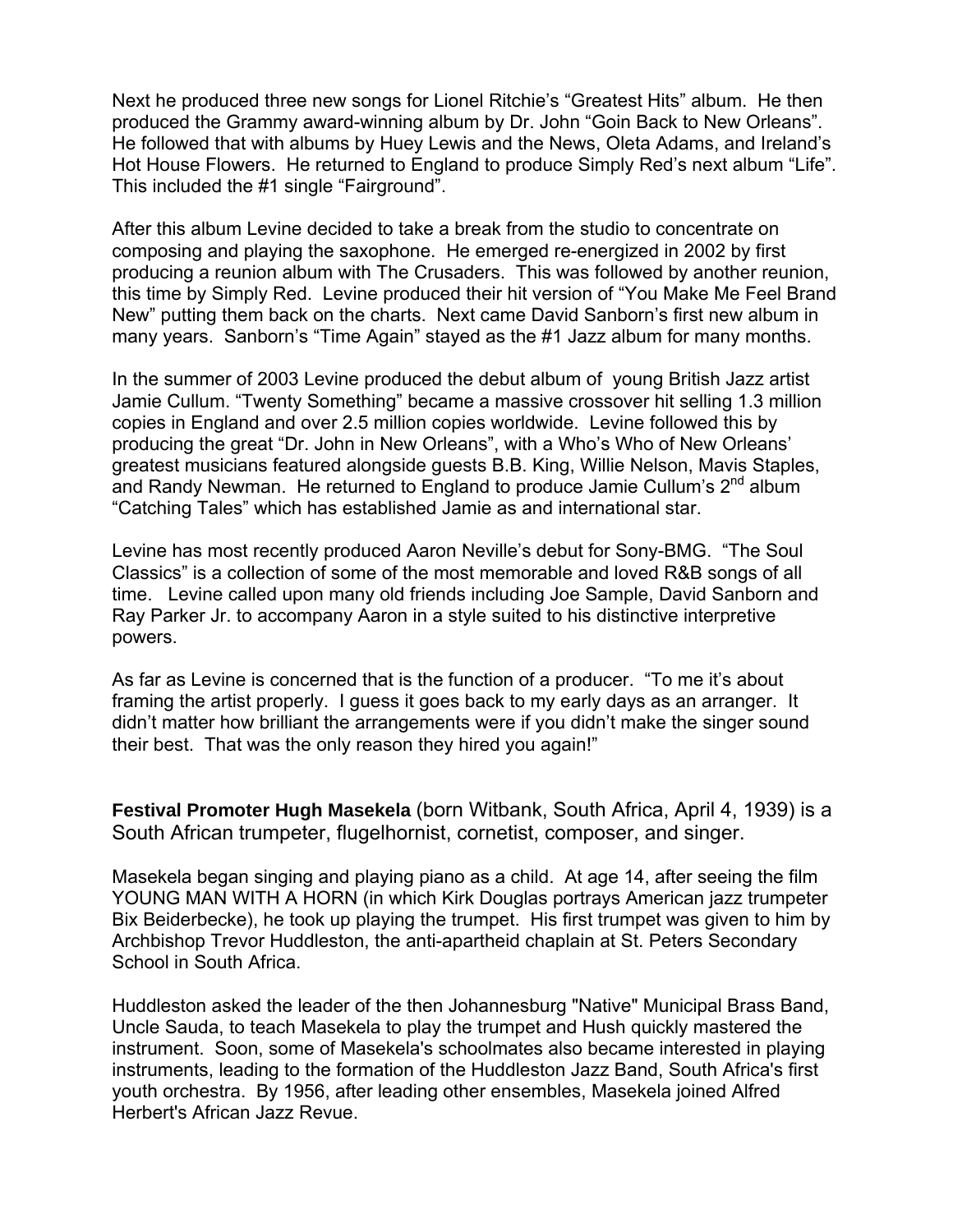Next he produced three new songs for Lionel Ritchie's "Greatest Hits" album. He then produced the Grammy award-winning album by Dr. John "Goin Back to New Orleans". He followed that with albums by Huey Lewis and the News, Oleta Adams, and Ireland's Hot House Flowers. He returned to England to produce Simply Red's next album "Life". This included the #1 single "Fairground".

After this album Levine decided to take a break from the studio to concentrate on composing and playing the saxophone. He emerged re-energized in 2002 by first producing a reunion album with The Crusaders. This was followed by another reunion, this time by Simply Red. Levine produced their hit version of "You Make Me Feel Brand New" putting them back on the charts. Next came David Sanborn's first new album in many years. Sanborn's "Time Again" stayed as the #1 Jazz album for many months.

In the summer of 2003 Levine produced the debut album of young British Jazz artist Jamie Cullum. "Twenty Something" became a massive crossover hit selling 1.3 million copies in England and over 2.5 million copies worldwide. Levine followed this by producing the great "Dr. John in New Orleans", with a Who's Who of New Orleans' greatest musicians featured alongside guests B.B. King, Willie Nelson, Mavis Staples, and Randy Newman. He returned to England to produce Jamie Cullum's  $2^{nd}$  album "Catching Tales" which has established Jamie as and international star.

Levine has most recently produced Aaron Neville's debut for Sony-BMG. "The Soul Classics" is a collection of some of the most memorable and loved R&B songs of all time. Levine called upon many old friends including Joe Sample, David Sanborn and Ray Parker Jr. to accompany Aaron in a style suited to his distinctive interpretive powers.

As far as Levine is concerned that is the function of a producer. "To me it's about framing the artist properly. I guess it goes back to my early days as an arranger. It didn't matter how brilliant the arrangements were if you didn't make the singer sound their best. That was the only reason they hired you again!"

**Festival Promoter Hugh Masekela** (born [Witbank](http://en.wikipedia.org/wiki/Witbank), [South Africa](http://en.wikipedia.org/wiki/South_Africa), [April 4](http://en.wikipedia.org/wiki/April_4), [1939\)](http://en.wikipedia.org/wiki/1939) is a [South African](http://en.wikipedia.org/wiki/South_African) [trumpeter](http://en.wikipedia.org/wiki/Trumpet), [flugelhornist,](http://en.wikipedia.org/wiki/Flugelhorn) [cornetist,](http://en.wikipedia.org/wiki/Cornet) [composer](http://en.wikipedia.org/wiki/Composer), and [singer](http://en.wikipedia.org/wiki/Singer).

Masekela began singing and playing piano as a child. At age 14, after seeing the film YOUNG MAN WITH A HORN (in which Kirk Douglas portrays American jazz trumpeter Bix Beiderbecke), he took up playing the trumpet. His first trumpet was given to him by Archbishop Trevor Huddleston, the anti-apartheid chaplain at St. Peters Secondary School in South Africa.

Huddleston asked the leader of the then Johannesburg "Native" Municipal Brass Band, Uncle Sauda, to teach Masekela to play the trumpet and Hush quickly mastered the instrument. Soon, some of Masekela's schoolmates also became interested in playing instruments, leading to the formation of the Huddleston Jazz Band, South Africa's first youth orchestra. By 1956, after leading other ensembles, Masekela joined Alfred Herbert's African Jazz Revue.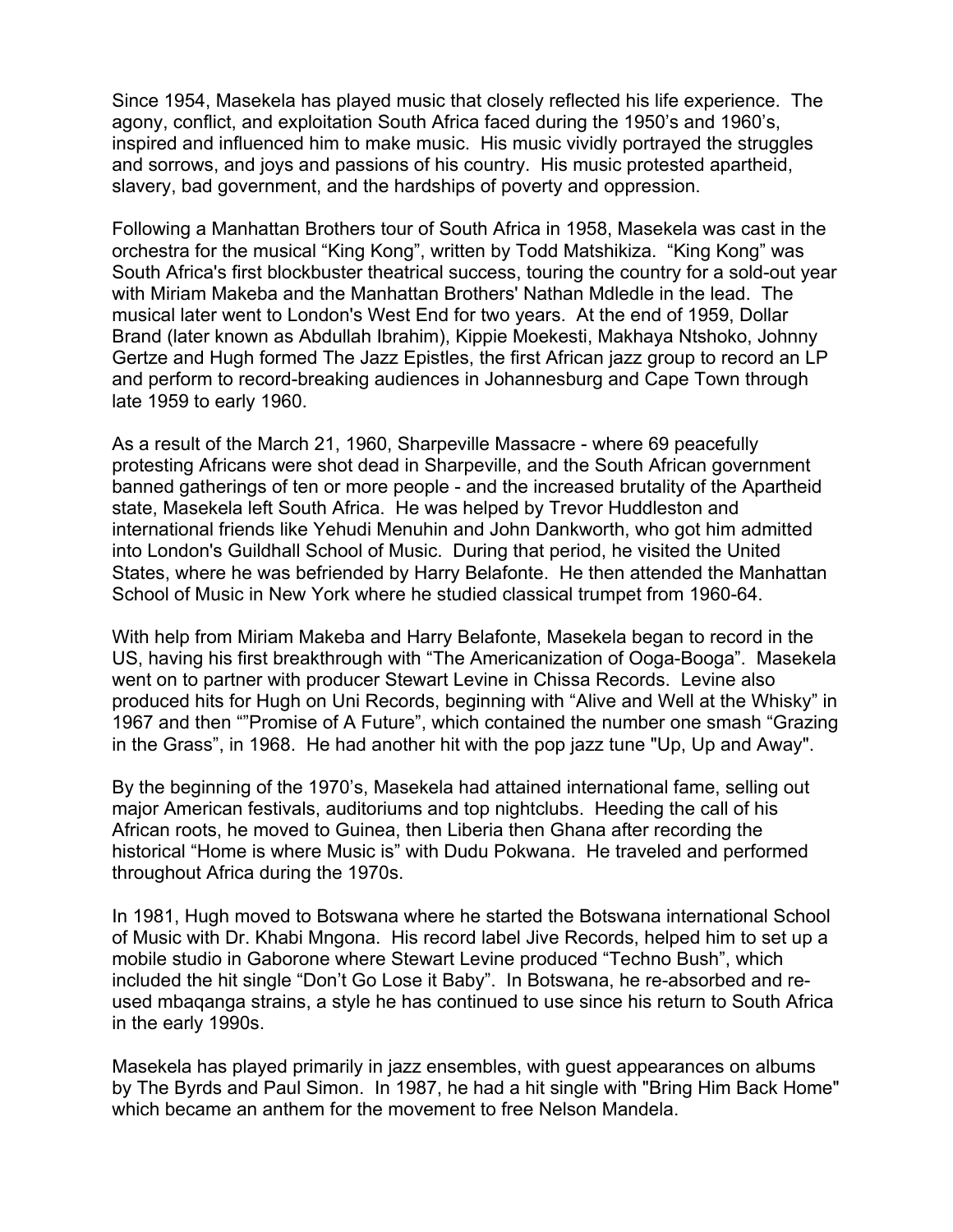Since 1954, Masekela has played music that closely reflected his life experience. The agony, conflict, and exploitation South Africa faced during the 1950's and 1960's, inspired and influenced him to make music. His music vividly portrayed the struggles and sorrows, and joys and passions of his country. His music protested apartheid, slavery, bad government, and the hardships of poverty and oppression.

Following a Manhattan Brothers tour of South Africa in 1958, Masekela was cast in the orchestra for the musical "King Kong", written by Todd Matshikiza. "King Kong" was South Africa's first blockbuster theatrical success, touring the country for a sold-out year with Miriam Makeba and the Manhattan Brothers' Nathan Mdledle in the lead. The musical later went to London's West End for two years. At the end of 1959, Dollar Brand (later known as Abdullah Ibrahim), Kippie Moekesti, Makhaya Ntshoko, Johnny Gertze and Hugh formed The Jazz Epistles, the first African jazz group to record an LP and perform to record-breaking audiences in Johannesburg and Cape Town through late 1959 to early 1960.

As a result of the March 21, 1960, Sharpeville Massacre - where 69 peacefully protesting Africans were shot dead in Sharpeville, and the South African government banned gatherings of ten or more people - and the increased brutality of the Apartheid state, Masekela left South Africa. He was helped by Trevor Huddleston and international friends like Yehudi Menuhin and John Dankworth, who got him admitted into London's Guildhall School of Music. During that period, he visited the United States, where he was befriended by Harry Belafonte. He then attended the Manhattan School of Music in New York where he studied classical trumpet from 1960-64.

With help from Miriam Makeba and Harry Belafonte, Masekela began to record in the US, having his first breakthrough with "The Americanization of Ooga-Booga". Masekela went on to partner with producer Stewart Levine in Chissa Records. Levine also produced hits for Hugh on Uni Records, beginning with "Alive and Well at the Whisky" in 1967 and then ""Promise of A Future", which contained the number one smash "Grazing in the Grass", in 1968. He had another hit with the pop jazz tune "Up, Up and Away".

By the beginning of the 1970's, Masekela had attained international fame, selling out major American festivals, auditoriums and top nightclubs. Heeding the call of his African roots, he moved to Guinea, then Liberia then Ghana after recording the historical "Home is where Music is" with Dudu Pokwana. He traveled and performed throughout Africa during the 1970s.

In 1981, Hugh moved to Botswana where he started the Botswana international School of Music with Dr. Khabi Mngona. His record label Jive Records, helped him to set up a mobile studio in Gaborone where Stewart Levine produced "Techno Bush", which included the hit single "Don't Go Lose it Baby". In Botswana, he re-absorbed and reused mbaqanga strains, a style he has continued to use since his return to South Africa in the early 1990s.

Masekela has played primarily in jazz ensembles, with guest appearances on albums by The Byrds and Paul Simon. In 1987, he had a hit single with "Bring Him Back Home" which became an anthem for the movement to free Nelson Mandela.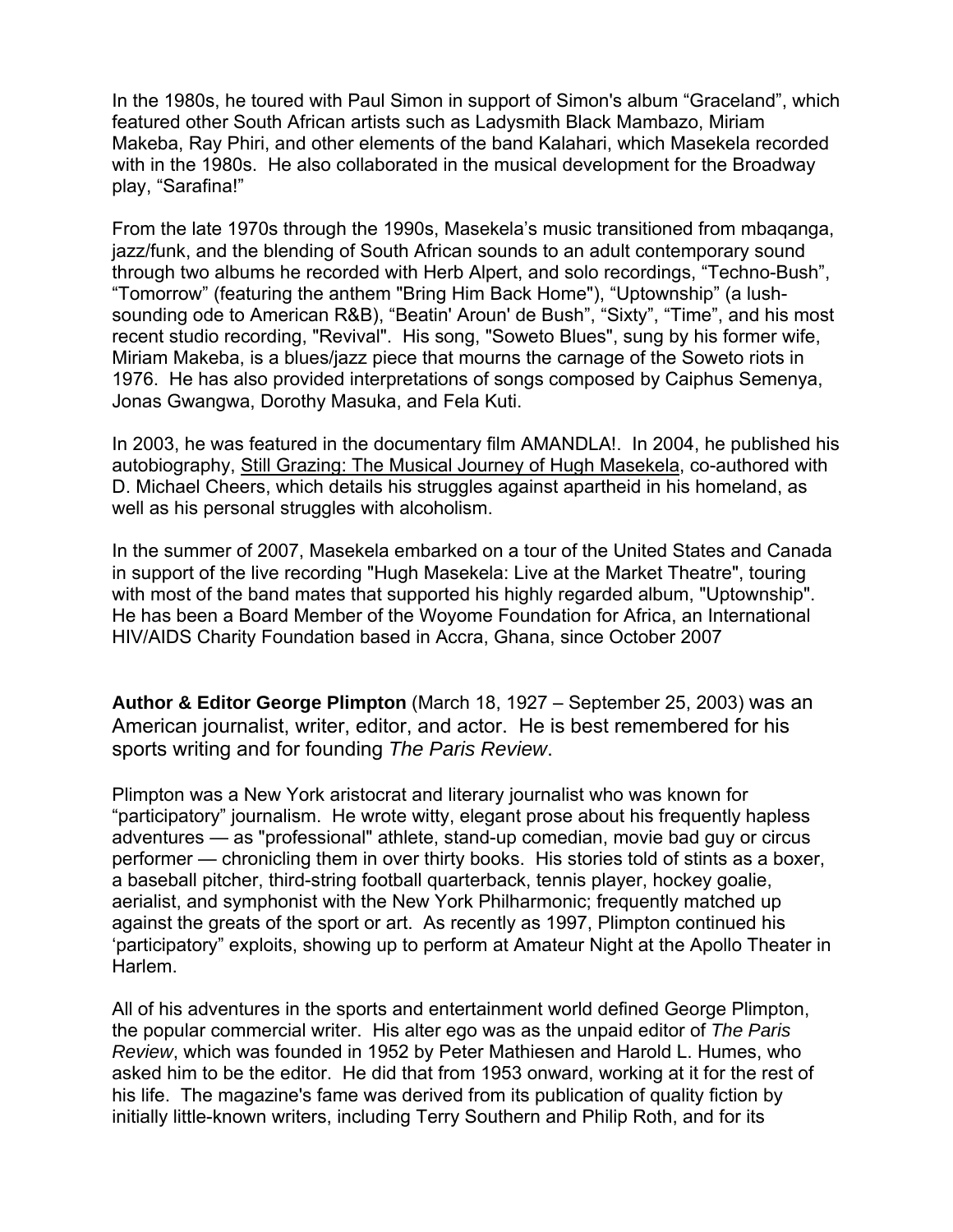In the 1980s, he toured with Paul Simon in support of Simon's album "Graceland", which featured other South African artists such as Ladysmith Black Mambazo, Miriam Makeba, Ray Phiri, and other elements of the band Kalahari, which Masekela recorded with in the 1980s. He also collaborated in the musical development for the Broadway play, "Sarafina!"

From the late 1970s through the 1990s, Masekela's music transitioned from mbaqanga, jazz/funk, and the blending of South African sounds to an adult contemporary sound through two albums he recorded with Herb Alpert, and solo recordings, "Techno-Bush", "Tomorrow" (featuring the anthem "Bring Him Back Home"), "Uptownship" (a lushsounding ode to American R&B), "Beatin' Aroun' de Bush", "Sixty", "Time", and his most recent studio recording, "Revival". His song, "Soweto Blues", sung by his former wife, Miriam Makeba, is a blues/jazz piece that mourns the carnage of the Soweto riots in 1976. He has also provided interpretations of songs composed by Caiphus Semenya, Jonas Gwangwa, Dorothy Masuka, and Fela Kuti.

In 2003, he was featured in the documentary film AMANDLA!. In 2004, he published his autobiography, Still Grazing: The Musical Journey of Hugh Masekela, co-authored with D. Michael Cheers, which details his struggles against apartheid in his homeland, as well as his personal struggles with alcoholism.

In the summer of 2007, Masekela embarked on a tour of the United States and Canada in support of the live recording "Hugh Masekela: Live at the Market Theatre", touring with most of the band mates that supported his highly regarded album, "Uptownship". He has been a Board Member of the Woyome Foundation for Africa, an International HIV/AIDS Charity Foundation based in Accra, Ghana, since October 2007

**Author & Editor George Plimpton** (March 18, 1927 – September 25, 2003) was an [American](http://en.wikipedia.org/wiki/United_States) [journalist,](http://en.wikipedia.org/wiki/Journalist) [writer](http://en.wikipedia.org/wiki/Writer), [editor](http://en.wikipedia.org/wiki/Literary_editor), and [actor.](http://en.wikipedia.org/wiki/Actor) He is best remembered for his [sports writing](http://en.wikipedia.org/wiki/Sports_writing) and for founding *[The Paris Review](http://en.wikipedia.org/wiki/The_Paris_Review)*.

Plimpton was a New York aristocrat and literary journalist who was known for "participatory" journalism. He wrote witty, elegant prose about his frequently hapless adventures — as "professional" athlete, stand-up comedian, movie bad guy or circus performer — chronicling them in over thirty books. His stories told of stints as a boxer, a baseball pitcher, third-string football quarterback, tennis player, hockey goalie, aerialist, and symphonist with the New York Philharmonic; frequently matched up against the greats of the sport or art. As recently as 1997, Plimpton continued his 'participatory" exploits, showing up to perform at Amateur Night at the Apollo Theater in Harlem.

All of his adventures in the sports and entertainment world defined George Plimpton, the popular commercial writer. His alter ego was as the unpaid editor of *The Paris Review*, which was founded in 1952 by Peter Mathiesen and Harold L. Humes, who asked him to be the editor. He did that from 1953 onward, working at it for the rest of his life. The magazine's fame was derived from its publication of quality fiction by initially little-known writers, including Terry Southern and Philip Roth, and for its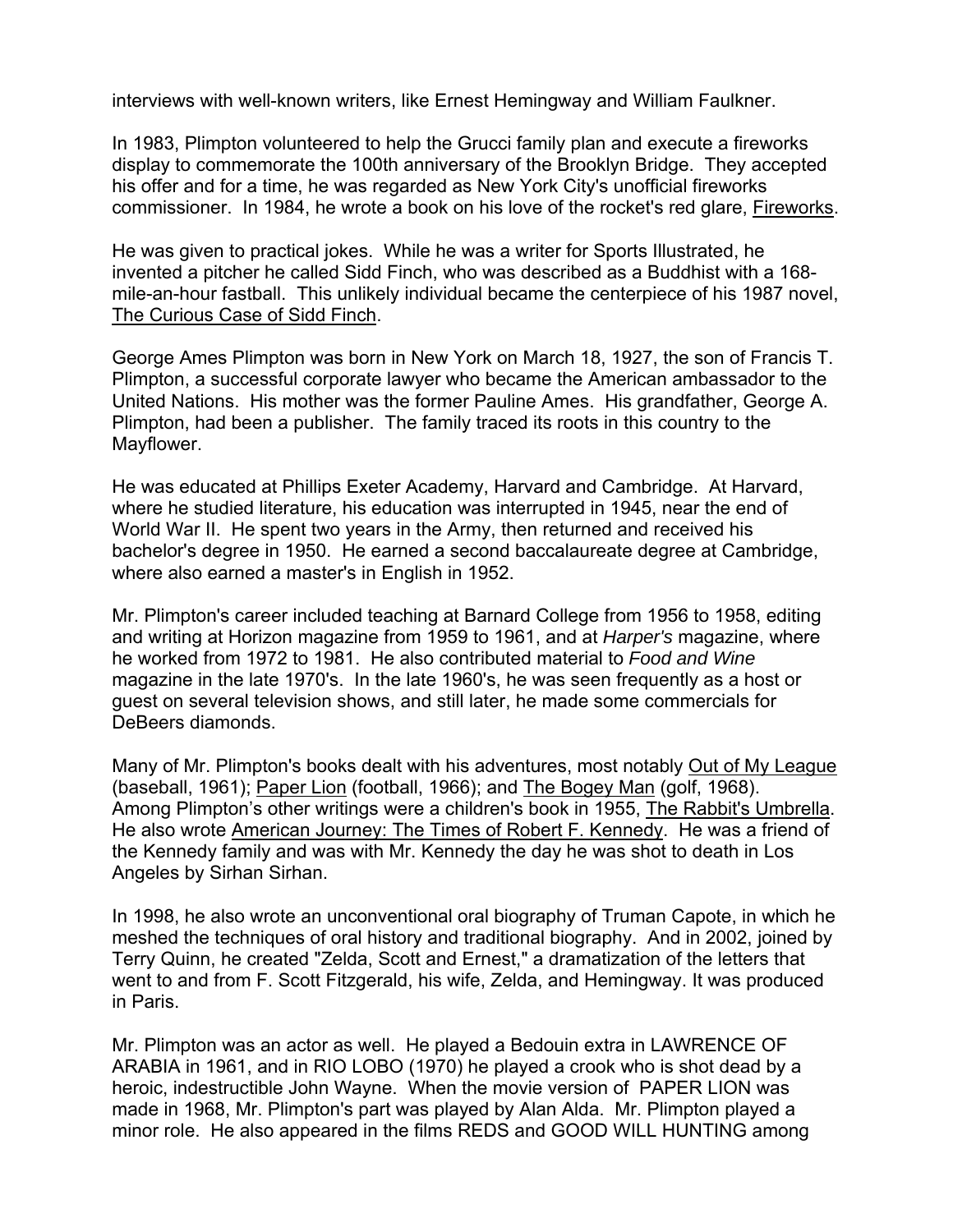interviews with well-known writers, like Ernest Hemingway and William Faulkner.

In 1983, Plimpton volunteered to help the Grucci family plan and execute a fireworks display to commemorate the 100th anniversary of the Brooklyn Bridge. They accepted his offer and for a time, he was regarded as New York City's unofficial fireworks commissioner. In 1984, he wrote a book on his love of the rocket's red glare, Fireworks.

He was given to practical jokes. While he was a writer for Sports Illustrated, he invented a pitcher he called Sidd Finch, who was described as a Buddhist with a 168 mile-an-hour fastball. This unlikely individual became the centerpiece of his 1987 novel, The Curious Case of Sidd Finch.

George Ames Plimpton was born in New York on March 18, 1927, the son of Francis T. Plimpton, a successful corporate lawyer who became the American ambassador to the United Nations. His mother was the former Pauline Ames. His grandfather, George A. Plimpton, had been a publisher. The family traced its roots in this country to the Mayflower.

He was educated at Phillips Exeter Academy, Harvard and Cambridge. At Harvard, where he studied literature, his education was interrupted in 1945, near the end of World War II. He spent two years in the Army, then returned and received his bachelor's degree in 1950. He earned a second baccalaureate degree at Cambridge, where also earned a master's in English in 1952.

Mr. Plimpton's career included teaching at Barnard College from 1956 to 1958, editing and writing at Horizon magazine from 1959 to 1961, and at *Harper's* magazine, where he worked from 1972 to 1981. He also contributed material to *Food and Wine* magazine in the late 1970's. In the late 1960's, he was seen frequently as a host or guest on several television shows, and still later, he made some commercials for DeBeers diamonds.

Many of Mr. Plimpton's books dealt with his adventures, most notably Out of My League (baseball, 1961); Paper Lion (football, 1966); and The Bogey Man (golf, 1968). Among Plimpton's other writings were a children's book in 1955, The Rabbit's Umbrella. He also wrote American Journey: The Times of Robert F. Kennedy. He was a friend of the Kennedy family and was with Mr. Kennedy the day he was shot to death in Los Angeles by Sirhan Sirhan.

In 1998, he also wrote an unconventional oral biography of Truman Capote, in which he meshed the techniques of oral history and traditional biography. And in 2002, joined by Terry Quinn, he created "Zelda, Scott and Ernest," a dramatization of the letters that went to and from F. Scott Fitzgerald, his wife, Zelda, and Hemingway. It was produced in Paris.

Mr. Plimpton was an actor as well. He played a Bedouin extra in LAWRENCE OF ARABIA in 1961, and in RIO LOBO (1970) he played a crook who is shot dead by a heroic, indestructible John Wayne. When the movie version of PAPER LION was made in 1968, Mr. Plimpton's part was played by Alan Alda. Mr. Plimpton played a minor role. He also appeared in the films REDS and GOOD WILL HUNTING among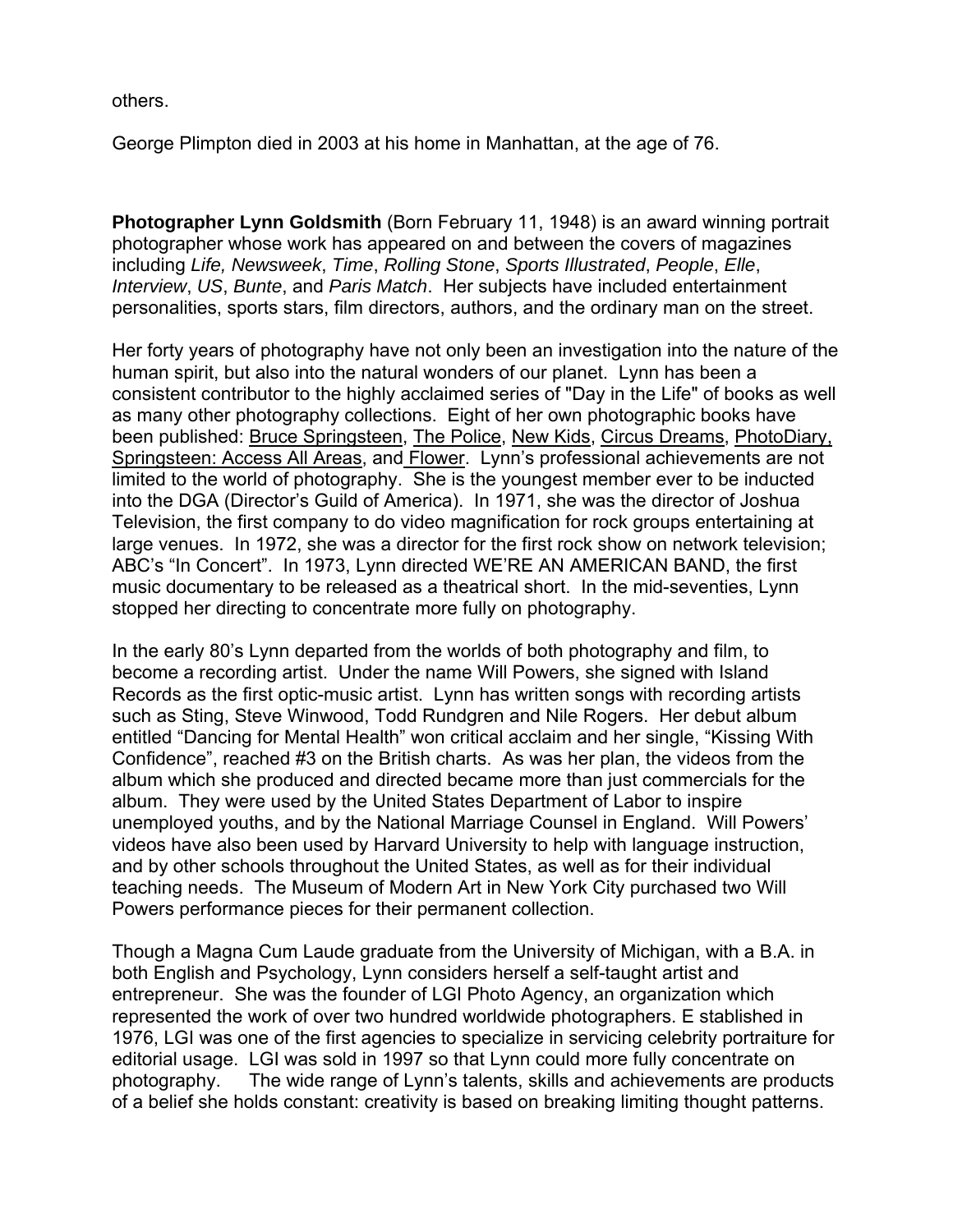others.

George Plimpton died in 2003 at his home in Manhattan, at the age of 76.

**Photographer Lynn Goldsmith** (Born February 11, 1948) is an award winning portrait photographer whose work has appeared on and between the covers of magazines including *Life, Newsweek*, *Time*, *Rolling Stone*, *Sports Illustrated*, *People*, *Elle*, *Interview*, *US*, *Bunte*, and *Paris Match*. Her subjects have included entertainment personalities, sports stars, film directors, authors, and the ordinary man on the street.

Her forty years of photography have not only been an investigation into the nature of the human spirit, but also into the natural wonders of our planet. Lynn has been a consistent contributor to the highly acclaimed series of "Day in the Life" of books as well as many other photography collections. Eight of her own photographic books have been published: Bruce Springsteen, The Police, New Kids, Circus Dreams, PhotoDiary, Springsteen: Access All Areas, and Flower. Lynn's professional achievements are not limited to the world of photography. She is the youngest member ever to be inducted into the DGA (Director's Guild of America). In 1971, she was the director of Joshua Television, the first company to do video magnification for rock groups entertaining at large venues. In 1972, she was a director for the first rock show on network television; ABC's "In Concert". In 1973, Lynn directed WE'RE AN AMERICAN BAND, the first music documentary to be released as a theatrical short. In the mid-seventies, Lynn stopped her directing to concentrate more fully on photography.

In the early 80's Lynn departed from the worlds of both photography and film, to become a recording artist. Under the name Will Powers, she signed with Island Records as the first optic-music artist. Lynn has written songs with recording artists such as Sting, Steve Winwood, Todd Rundgren and Nile Rogers. Her debut album entitled "Dancing for Mental Health" won critical acclaim and her single, "Kissing With Confidence", reached #3 on the British charts. As was her plan, the videos from the album which she produced and directed became more than just commercials for the album. They were used by the United States Department of Labor to inspire unemployed youths, and by the National Marriage Counsel in England. Will Powers' videos have also been used by Harvard University to help with language instruction, and by other schools throughout the United States, as well as for their individual teaching needs. The Museum of Modern Art in New York City purchased two Will Powers performance pieces for their permanent collection.

Though a Magna Cum Laude graduate from the University of Michigan, with a B.A. in both English and Psychology, Lynn considers herself a self-taught artist and entrepreneur. She was the founder of LGI Photo Agency, an organization which represented the work of over two hundred worldwide photographers. E stablished in 1976, LGI was one of the first agencies to specialize in servicing celebrity portraiture for editorial usage. LGI was sold in 1997 so that Lynn could more fully concentrate on photography. The wide range of Lynn's talents, skills and achievements are products of a belief she holds constant: creativity is based on breaking limiting thought patterns.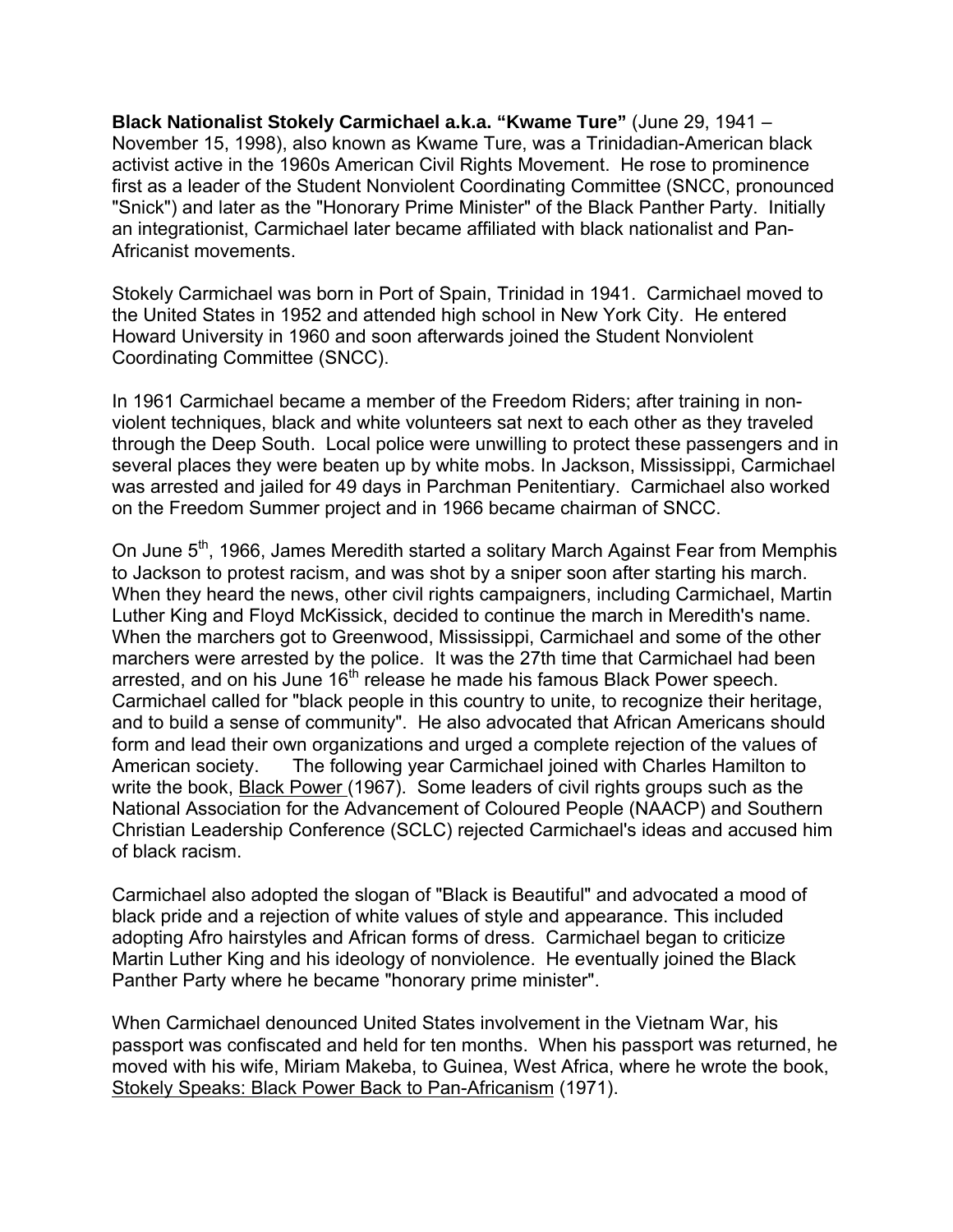**Black Nationalist Stokely Carmichael a.k.a. "Kwame Ture"** [\(June 29,](http://en.wikipedia.org/wiki/June_29) [1941](http://en.wikipedia.org/wiki/1941) – [November 15](http://en.wikipedia.org/wiki/November_15), [1998](http://en.wikipedia.org/wiki/1998)), also known as Kwame Ture, was a [Trinidadian](http://en.wikipedia.org/wiki/Trinidad_and_Tobago)[-American](http://en.wikipedia.org/wiki/United_States) black activist active in the 1960s [American Civil Rights Movement.](http://en.wikipedia.org/wiki/African-American_Civil_Rights_Movement_(1955-1968)) He rose to prominence first as a leader of the [Student Nonviolent Coordinating Committee](http://en.wikipedia.org/wiki/Student_Nonviolent_Coordinating_Committee) (SNCC, pronounced "Snick") and later as the "[Honorary](http://en.wikipedia.org/wiki/Honorary) [Prime Minister"](http://en.wikipedia.org/wiki/Prime_Minister) of the [Black Panther Party.](http://en.wikipedia.org/wiki/Black_Panther_Party) Initially an [integrationist,](http://en.wikipedia.org/wiki/Racial_integration) Carmichael later became affiliated with [black nationalist](http://en.wikipedia.org/wiki/Black_nationalism) and [Pan-](http://en.wikipedia.org/wiki/Pan-African)[Africanist](http://en.wikipedia.org/wiki/Pan-African) movements.

Stokely Carmichael was born in Port of Spain, Trinidad in 1941. Carmichael moved to the United States in 1952 and attended high school in New York City. He entered [Howard University](http://www.spartacus.schoolnet.co.uk/USAChoward.htm) in 1960 and soon afterwards joined the [Student Nonviolent](http://www.spartacus.schoolnet.co.uk/USAsncc.htm)  [Coordinating Committee](http://www.spartacus.schoolnet.co.uk/USAsncc.htm) (SNCC).

In 1961 Carmichael became a member of the [Freedom Riders](http://www.spartacus.schoolnet.co.uk/USAfreedomR.htm); after training in nonviolent techniques, black and white volunteers sat next to each other as they traveled through the Deep South. Local police were unwilling to protect these passengers and in several places they were beaten up by white mobs. In Jackson, Mississippi, Carmichael was arrested and jailed for 49 days in Parchman Penitentiary. Carmichael also worked on the [Freedom Summer](http://www.spartacus.schoolnet.co.uk/USAfreedomS.htm) project and in 1966 became chairman of [SNCC](http://www.spartacus.schoolnet.co.uk/USAsncc.htm).

On June 5<sup>th</sup>, 1966, [James Meredith](http://www.spartacus.schoolnet.co.uk/USAmeredith.htm) started a solitary [March Against Fear](http://www.spartacus.schoolnet.co.uk/USAmeredithM.htm) from Memphis to Jackson to protest racism, and was shot by a sniper soon after starting his march. When they heard the news, other civil rights campaigners, including Carmichael, [Martin](http://www.spartacus.schoolnet.co.uk/USAkingML.htm)  [Luther King](http://www.spartacus.schoolnet.co.uk/USAkingML.htm) and [Floyd McKissick](http://www.spartacus.schoolnet.co.uk/USAmckissick.htm), decided to continue the march in Meredith's name. When the marchers got to Greenwood, Mississippi, Carmichael and some of the other marchers were arrested by the police. It was the 27th time that Carmichael had been arrested, and on his June 16<sup>th</sup> release he made his famous [Black Power](http://www.spartacus.schoolnet.co.uk/USAblackpower.htm) speech. Carmichael called for "black people in this country to unite, to recognize their heritage, and to build a sense of community". He also advocated that African Americans should form and lead their own organizations and urged a complete rejection of the values of American society. The following year Carmichael joined with Charles Hamilton to write the book, Black Power (1967). Some leaders of civil rights groups such as the [National Association for the Advancement of Coloured People](http://www.spartacus.schoolnet.co.uk/USAnaacp.htm) (NAACP) and [Southern](http://www.spartacus.schoolnet.co.uk/USAsclc.htm)  [Christian Leadership Conference](http://www.spartacus.schoolnet.co.uk/USAsclc.htm) (SCLC) rejected Carmichael's ideas and accused him of black racism.

Carmichael also adopted the slogan of "Black is Beautiful" and advocated a mood of black pride and a rejection of white values of style and appearance. This included adopting Afro hairstyles and African forms of dress. Carmichael began to criticize [Martin Luther King](http://www.spartacus.schoolnet.co.uk/USAkingML.htm) and his ideology of nonviolence. He eventually joined the [Black](http://www.spartacus.schoolnet.co.uk/USApantherB.htm)  [Panther Party](http://www.spartacus.schoolnet.co.uk/USApantherB.htm) where he became "honorary prime minister".

When Carmichael denounced United States involvement in the [Vietnam War](http://www.spartacus.schoolnet.co.uk/vietnam.html), his passport was confiscated and held for ten months. When his passport was returned, he moved with his wife, Miriam Makeba, to Guinea, West Africa, where he wrote the book, Stokely Speaks: Black Power Back to Pan-Africanism (1971).